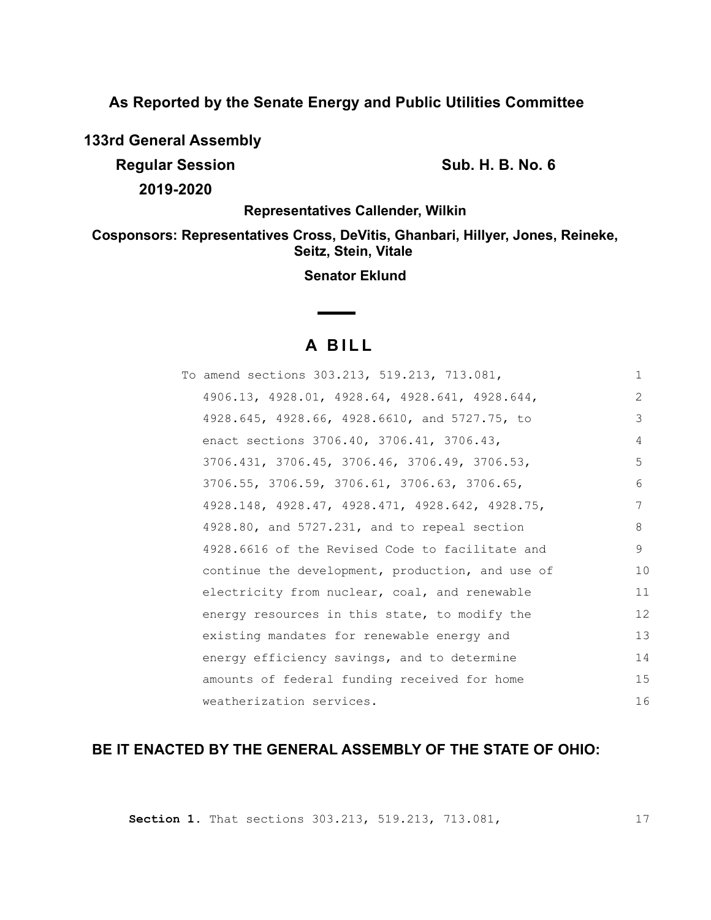**As Reported by the Senate Energy and Public Utilities Committee**

**133rd General Assembly**

**Regular Session Sub. H. B. No. 6 Sub. H. B. No. 6** 

**2019-2020**

**Representatives Callender, Wilkin**

**Cosponsors: Representatives Cross, DeVitis, Ghanbari, Hillyer, Jones, Reineke, Seitz, Stein, Vitale** 

**Senator Eklund**

## **A B I L L**

**Contract Contract Contract** 

| To amend sections 303.213, 519.213, 713.081,     | $\mathbf{1}$  |
|--------------------------------------------------|---------------|
| 4906.13, 4928.01, 4928.64, 4928.641, 4928.644,   | $\mathcal{L}$ |
| 4928.645, 4928.66, 4928.6610, and 5727.75, to    | 3             |
| enact sections 3706.40, 3706.41, 3706.43,        | 4             |
| 3706.431, 3706.45, 3706.46, 3706.49, 3706.53,    | 5             |
| 3706.55, 3706.59, 3706.61, 3706.63, 3706.65,     | 6             |
| 4928.148, 4928.47, 4928.471, 4928.642, 4928.75,  | 7             |
| 4928.80, and 5727.231, and to repeal section     | 8             |
| 4928.6616 of the Revised Code to facilitate and  | 9             |
| continue the development, production, and use of | 10            |
| electricity from nuclear, coal, and renewable    | 11            |
| energy resources in this state, to modify the    | 12            |
| existing mandates for renewable energy and       | 13            |
| energy efficiency savings, and to determine      | 14            |
| amounts of federal funding received for home     | 15            |
| weatherization services.                         | 16            |

# **BE IT ENACTED BY THE GENERAL ASSEMBLY OF THE STATE OF OHIO:**

**Section 1.** That sections 303.213, 519.213, 713.081,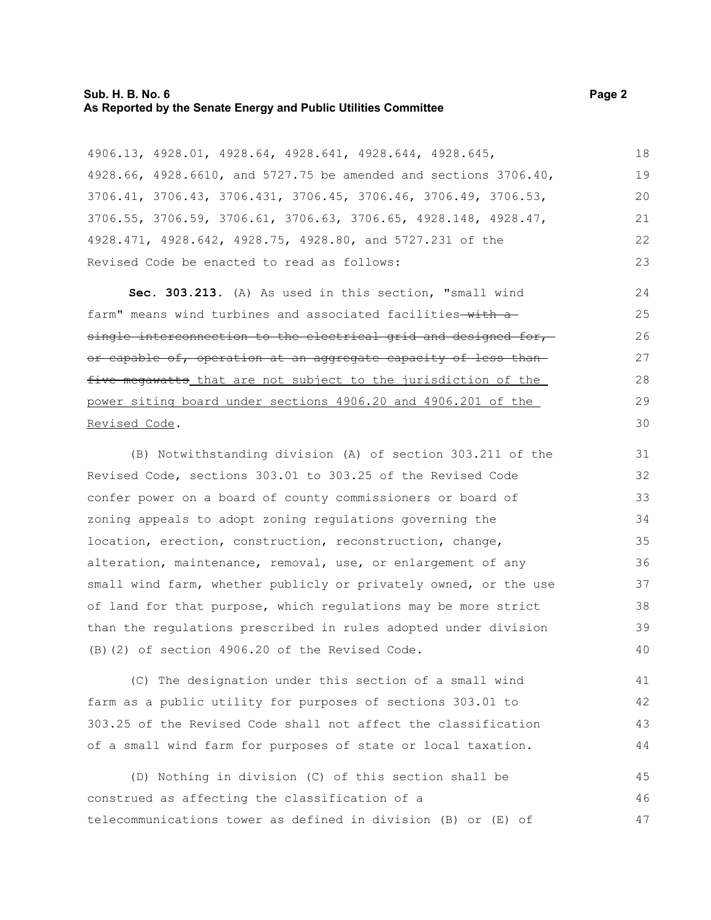#### **Sub. H. B. No. 6 Page 2 As Reported by the Senate Energy and Public Utilities Committee**

4906.13, 4928.01, 4928.64, 4928.641, 4928.644, 4928.645, 4928.66, 4928.6610, and 5727.75 be amended and sections 3706.40, 3706.41, 3706.43, 3706.431, 3706.45, 3706.46, 3706.49, 3706.53, 3706.55, 3706.59, 3706.61, 3706.63, 3706.65, 4928.148, 4928.47, 4928.471, 4928.642, 4928.75, 4928.80, and 5727.231 of the Revised Code be enacted to read as follows: 18 19 20 21 22 23

**Sec. 303.213.** (A) As used in this section, "small wind farm" means wind turbines and associated facilities-with asingle interconnection to the electrical grid and designed for, or capable of, operation at an aggregate capacity of less than five megawatts that are not subject to the jurisdiction of the power siting board under sections 4906.20 and 4906.201 of the Revised Code.

(B) Notwithstanding division (A) of section 303.211 of the Revised Code, sections 303.01 to 303.25 of the Revised Code confer power on a board of county commissioners or board of zoning appeals to adopt zoning regulations governing the location, erection, construction, reconstruction, change, alteration, maintenance, removal, use, or enlargement of any small wind farm, whether publicly or privately owned, or the use of land for that purpose, which regulations may be more strict than the regulations prescribed in rules adopted under division (B)(2) of section 4906.20 of the Revised Code. 31 32 33 34 35 36 37 38 39 40

(C) The designation under this section of a small wind farm as a public utility for purposes of sections 303.01 to 303.25 of the Revised Code shall not affect the classification of a small wind farm for purposes of state or local taxation. 41 42 43 44

(D) Nothing in division (C) of this section shall be construed as affecting the classification of a telecommunications tower as defined in division (B) or (E) of 45 46 47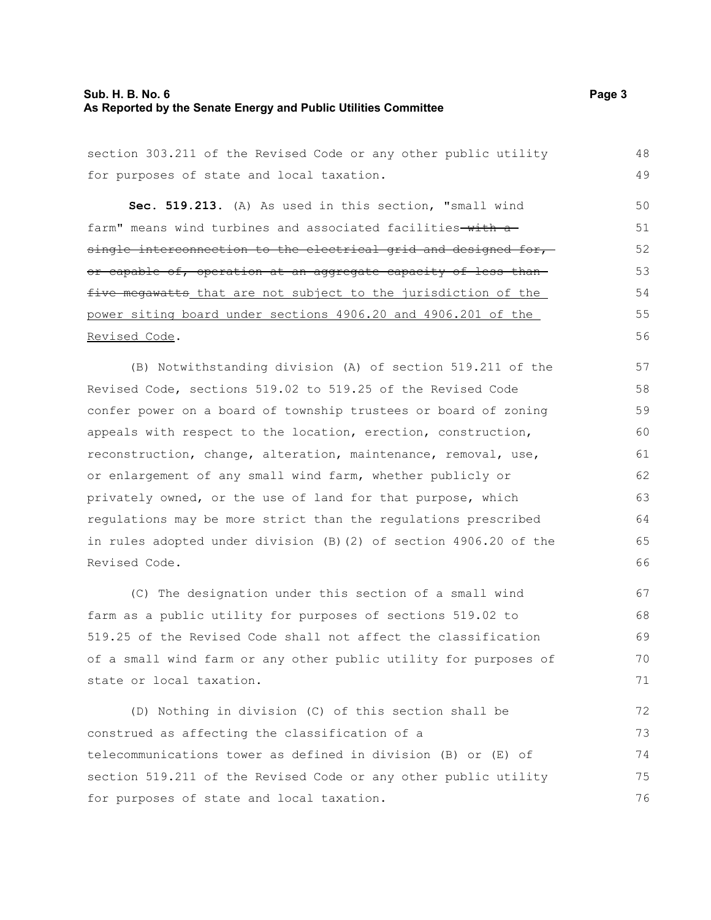## **Sub. H. B. No. 6 Page 3 As Reported by the Senate Energy and Public Utilities Committee**

section 303.211 of the Revised Code or any other public utility

| for purposes of state and local taxation.                         | 49 |
|-------------------------------------------------------------------|----|
| Sec. 519.213. (A) As used in this section, "small wind            | 50 |
| farm" means wind turbines and associated facilities-with a-       | 51 |
| single interconnection to the electrical grid and designed for,-  | 52 |
| or capable of, operation at an aggregate capacity of less than-   | 53 |
| five megawatts that are not subject to the jurisdiction of the    | 54 |
| power siting board under sections 4906.20 and 4906.201 of the     | 55 |
| Revised Code.                                                     | 56 |
| (B) Notwithstanding division (A) of section 519.211 of the        | 57 |
| Revised Code, sections 519.02 to 519.25 of the Revised Code       | 58 |
| confer power on a board of township trustees or board of zoning   | 59 |
| appeals with respect to the location, erection, construction,     | 60 |
| reconstruction, change, alteration, maintenance, removal, use,    | 61 |
| or enlargement of any small wind farm, whether publicly or        | 62 |
| privately owned, or the use of land for that purpose, which       | 63 |
| regulations may be more strict than the regulations prescribed    | 64 |
| in rules adopted under division (B) (2) of section 4906.20 of the | 65 |
| Revised Code.                                                     | 66 |
| (C) The designation under this section of a small wind            | 67 |
| farm as a public utility for purposes of sections 519.02 to       | 68 |
| 519.25 of the Revised Code shall not affect the classification    | 69 |
| of a small wind farm or any other public utility for purposes of  | 70 |
| state or local taxation.                                          | 71 |
| (D) Nothing in division (C) of this section shall be              | 72 |
| construed as affecting the classification of a                    | 73 |
| telecommunications tower as defined in division (B) or (E) of     | 74 |
| section 519.211 of the Revised Code or any other public utility   | 75 |
| for purposes of state and local taxation.                         | 76 |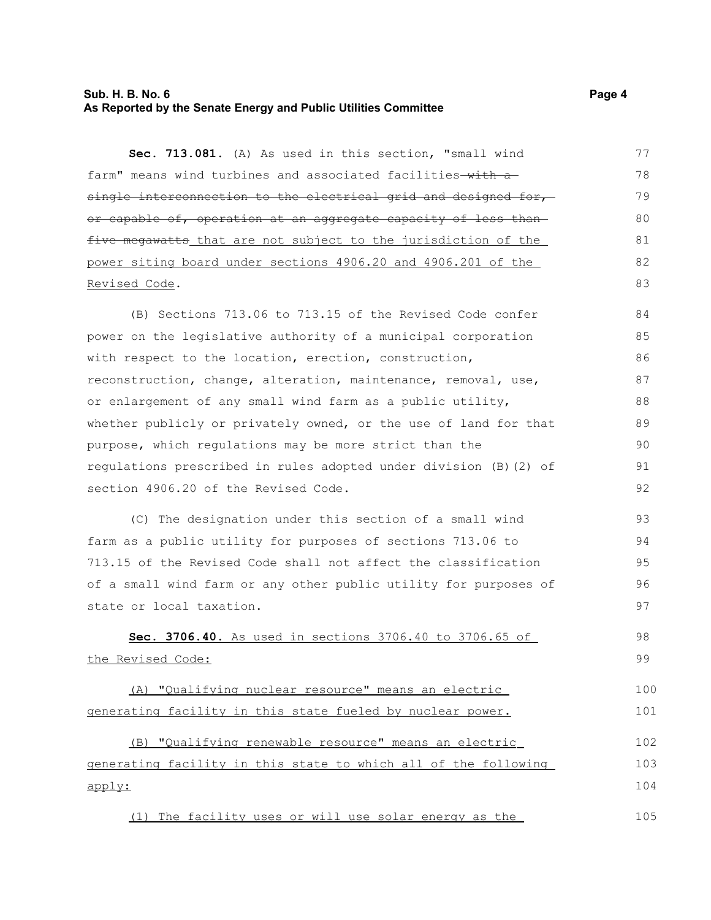### **Sub. H. B. No. 6 Page 4 As Reported by the Senate Energy and Public Utilities Committee**

**Sec. 713.081.** (A) As used in this section, "small wind farm" means wind turbines and associated facilities-with asingle interconnection to the electrical grid and designed for,or capable of, operation at an aggregate capacity of less than five megawatts that are not subject to the jurisdiction of the power siting board under sections 4906.20 and 4906.201 of the Revised Code. 77 78 79 80 81 82 83

(B) Sections 713.06 to 713.15 of the Revised Code confer power on the legislative authority of a municipal corporation with respect to the location, erection, construction, reconstruction, change, alteration, maintenance, removal, use, or enlargement of any small wind farm as a public utility, whether publicly or privately owned, or the use of land for that purpose, which regulations may be more strict than the regulations prescribed in rules adopted under division (B)(2) of section 4906.20 of the Revised Code. 84 85 86 87 88 89 90 91 92

(C) The designation under this section of a small wind farm as a public utility for purposes of sections 713.06 to 713.15 of the Revised Code shall not affect the classification of a small wind farm or any other public utility for purposes of state or local taxation. 93 94 95 96 97

 **Sec. 3706.40.** As used in sections 3706.40 to 3706.65 of the Revised Code: 98 99

(A) "Qualifying nuclear resource" means an electric generating facility in this state fueled by nuclear power. 100 101

 (B) "Qualifying renewable resource" means an electric generating facility in this state to which all of the following apply: 102 103 104

(1) The facility uses or will use solar energy as the 105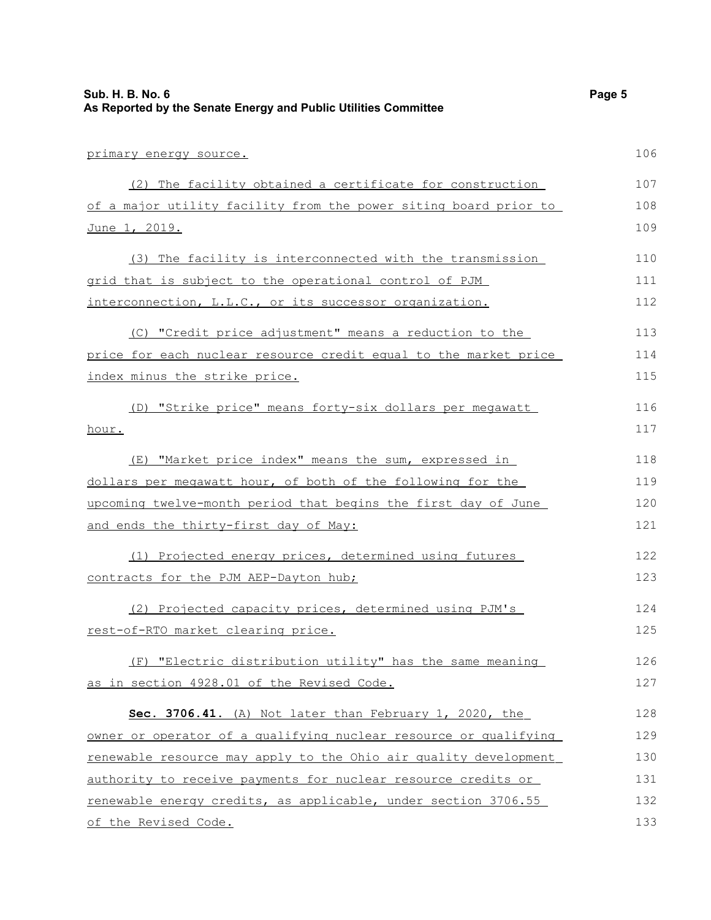| Sub. H. B. No. 6<br>As Reported by the Senate Energy and Public Utilities Committee | Page 5 |
|-------------------------------------------------------------------------------------|--------|
| primary energy source.                                                              | 106    |
| (2) The facility obtained a certificate for construction                            | 107    |
| of a major utility facility from the power siting board prior to                    | 108    |
| June 1, 2019.                                                                       | 109    |
| (3) The facility is interconnected with the transmission                            | 110    |
| grid that is subject to the operational control of PJM                              | 111    |
| interconnection, L.L.C., or its successor organization.                             | 112    |
| (C) "Credit price adjustment" means a reduction to the                              | 113    |
| price for each nuclear resource credit equal to the market price                    | 114    |
| index minus the strike price.                                                       | 115    |
| (D) "Strike price" means forty-six dollars per megawatt                             | 116    |
| hour.                                                                               | 117    |
| (E) "Market price index" means the sum, expressed in                                | 118    |
| dollars per megawatt hour, of both of the following for the                         | 119    |
| upcoming twelve-month period that begins the first day of June                      | 120    |
| and ends the thirty-first day of May:                                               | 121    |
| (1) Projected energy prices, determined using futures                               | 122    |
| contracts for the PJM AEP-Dayton hub;                                               | 123    |
| (2) Projected capacity prices, determined using PJM's                               | 124    |
| rest-of-RTO market clearing price.                                                  | 125    |
| (F) "Electric distribution utility" has the same meaning                            | 126    |
| as in section 4928.01 of the Revised Code.                                          | 127    |
| Sec. 3706.41. (A) Not later than February 1, 2020, the                              | 128    |
| owner or operator of a qualifying nuclear resource or qualifying                    | 129    |
| renewable resource may apply to the Ohio air quality development                    | 130    |
| authority to receive payments for nuclear resource credits or                       | 131    |
| renewable energy credits, as applicable, under section 3706.55                      | 132    |
| of the Revised Code.                                                                | 133    |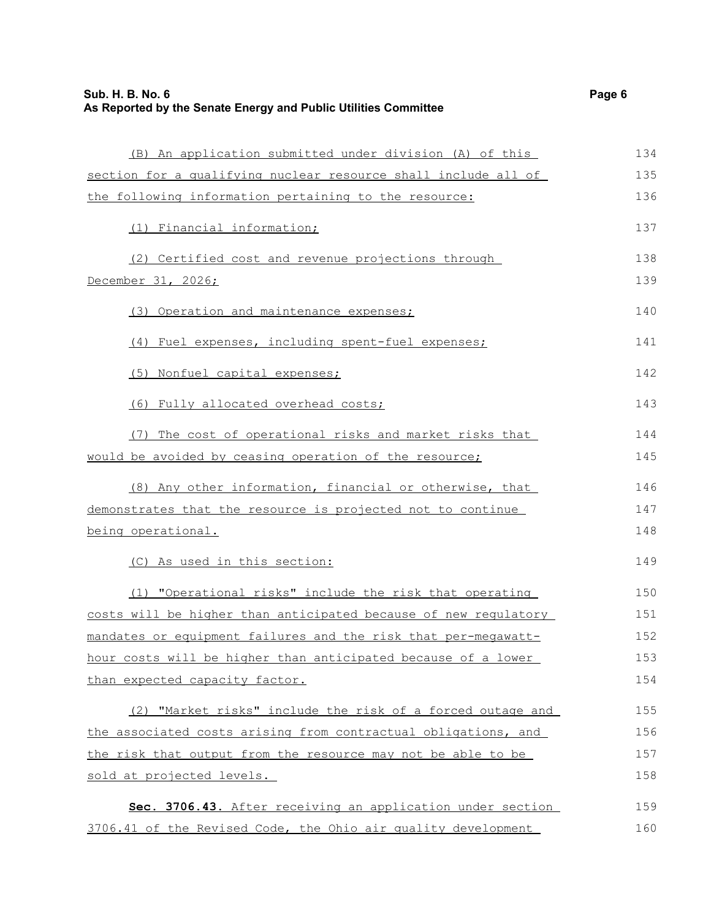| (B) An application submitted under division (A) of this         | 134 |
|-----------------------------------------------------------------|-----|
| section for a qualifying nuclear resource shall include all of  | 135 |
| the following information pertaining to the resource:           | 136 |
| (1) Financial information;                                      | 137 |
| (2) Certified cost and revenue projections through              | 138 |
| December 31, 2026;                                              | 139 |
| (3) Operation and maintenance expenses;                         | 140 |
| (4) Fuel expenses, including spent-fuel expenses;               | 141 |
| (5) Nonfuel capital expenses;                                   | 142 |
| (6) Fully allocated overhead costs;                             | 143 |
| (7) The cost of operational risks and market risks that         | 144 |
| would be avoided by ceasing operation of the resource;          | 145 |
| (8) Any other information, financial or otherwise, that         | 146 |
| demonstrates that the resource is projected not to continue     | 147 |
| being operational.                                              | 148 |
| (C) As used in this section:                                    | 149 |
| (1) "Operational risks" include the risk that operating         | 150 |
| costs will be higher than anticipated because of new regulatory | 151 |
| mandates or equipment failures and the risk that per-megawatt-  | 152 |
| hour costs will be higher than anticipated because of a lower   | 153 |
| than expected capacity factor.                                  | 154 |
| (2) "Market risks" include the risk of a forced outage and      | 155 |
| the associated costs arising from contractual obligations, and  | 156 |
| the risk that output from the resource may not be able to be    | 157 |
| sold at projected levels.                                       | 158 |
| Sec. 3706.43. After receiving an application under section      | 159 |
| 3706.41 of the Revised Code, the Ohio air quality development   | 160 |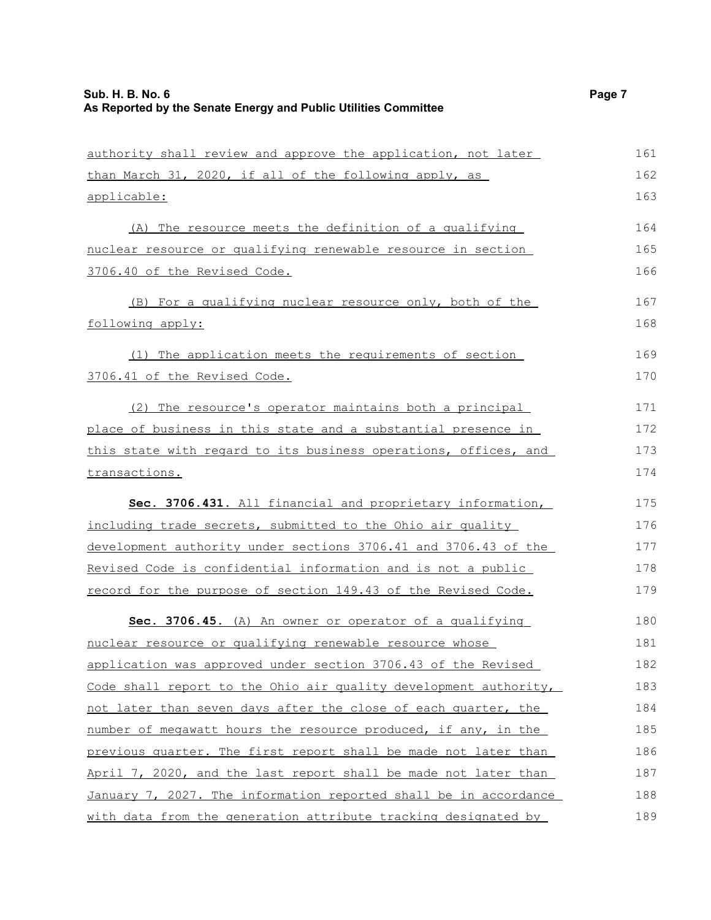| authority shall review and approve the application, not later    | 161 |
|------------------------------------------------------------------|-----|
| than March 31, 2020, if all of the following apply, as           | 162 |
| applicable:                                                      | 163 |
| (A) The resource meets the definition of a qualifying            | 164 |
| nuclear resource or qualifying renewable resource in section     | 165 |
| 3706.40 of the Revised Code.                                     | 166 |
| (B) For a qualifying nuclear resource only, both of the          | 167 |
| following apply:                                                 | 168 |
| (1) The application meets the requirements of section            | 169 |
| 3706.41 of the Revised Code.                                     | 170 |
| (2) The resource's operator maintains both a principal           | 171 |
| place of business in this state and a substantial presence in    | 172 |
| this state with regard to its business operations, offices, and  | 173 |
| transactions.                                                    | 174 |
| Sec. 3706.431. All financial and proprietary information,        | 175 |
| including trade secrets, submitted to the Ohio air quality       | 176 |
| development authority under sections 3706.41 and 3706.43 of the  | 177 |
| Revised Code is confidential information and is not a public     | 178 |
| record for the purpose of section 149.43 of the Revised Code.    | 179 |
| Sec. 3706.45. (A) An owner or operator of a qualifying           | 180 |
| nuclear resource or qualifying renewable resource whose          | 181 |
| application was approved under section 3706.43 of the Revised    | 182 |
| Code shall report to the Ohio air quality development authority, | 183 |
| not later than seven days after the close of each quarter, the   | 184 |
| number of megawatt hours the resource produced, if any, in the   | 185 |
| previous quarter. The first report shall be made not later than  | 186 |
| April 7, 2020, and the last report shall be made not later than  | 187 |
| January 7, 2027. The information reported shall be in accordance | 188 |
| with data from the generation attribute tracking designated by   | 189 |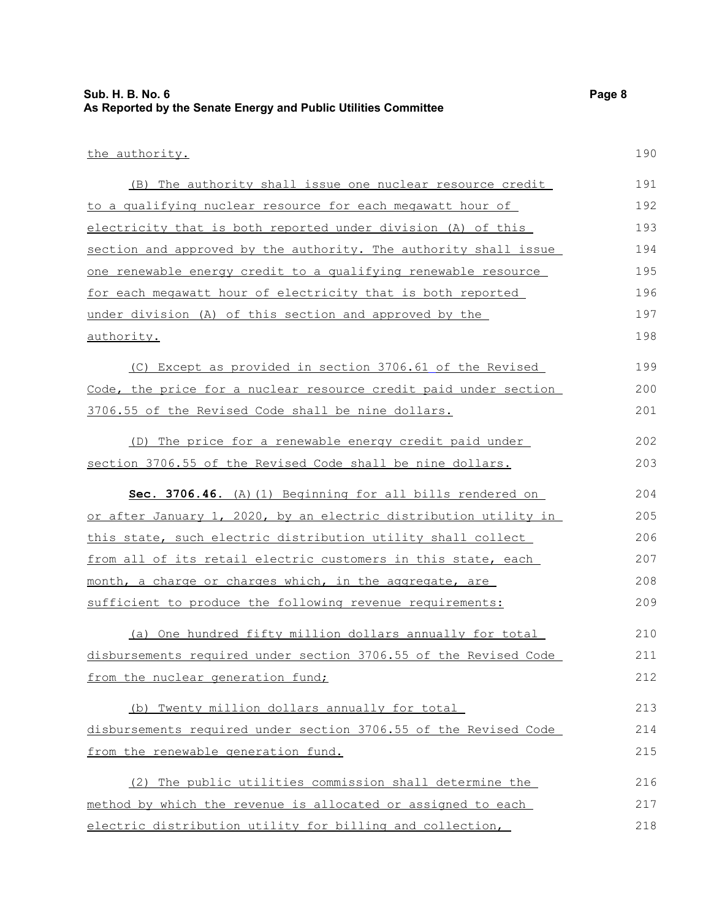| Sub. H. B. No. 6                                                | Page 8 |
|-----------------------------------------------------------------|--------|
| As Reported by the Senate Energy and Public Utilities Committee |        |

## the authority.

| (B) The authority shall issue one nuclear resource credit        | 191 |
|------------------------------------------------------------------|-----|
| to a qualifying nuclear resource for each megawatt hour of       | 192 |
| electricity that is both reported under division (A) of this     | 193 |
| section and approved by the authority. The authority shall issue | 194 |
| one renewable energy credit to a qualifying renewable resource   | 195 |
| for each meqawatt hour of electricity that is both reported      | 196 |
| under division (A) of this section and approved by the           | 197 |
| authority.                                                       | 198 |
| (C) Except as provided in section 3706.61 of the Revised         | 199 |
| Code, the price for a nuclear resource credit paid under section | 200 |
| 3706.55 of the Revised Code shall be nine dollars.               | 201 |
| (D) The price for a renewable energy credit paid under           | 202 |
| section 3706.55 of the Revised Code shall be nine dollars.       | 203 |
| Sec. 3706.46. (A) (1) Beginning for all bills rendered on        | 204 |
| or after January 1, 2020, by an electric distribution utility in | 205 |
| this state, such electric distribution utility shall collect     | 206 |
| from all of its retail electric customers in this state, each    | 207 |
| month, a charge or charges which, in the aggregate, are          | 208 |
| sufficient to produce the following revenue requirements:        | 209 |
| (a) One hundred fifty million dollars annually for total         | 210 |
| disbursements required under section 3706.55 of the Revised Code | 211 |
| from the nuclear generation fund;                                | 212 |
| (b) Twenty million dollars annually for total                    | 213 |
| disbursements required under section 3706.55 of the Revised Code | 214 |
| from the renewable generation fund.                              | 215 |
| The public utilities commission shall determine the<br>(2)       | 216 |
| method by which the revenue is allocated or assigned to each     | 217 |
| electric distribution utility for billing and collection,        | 218 |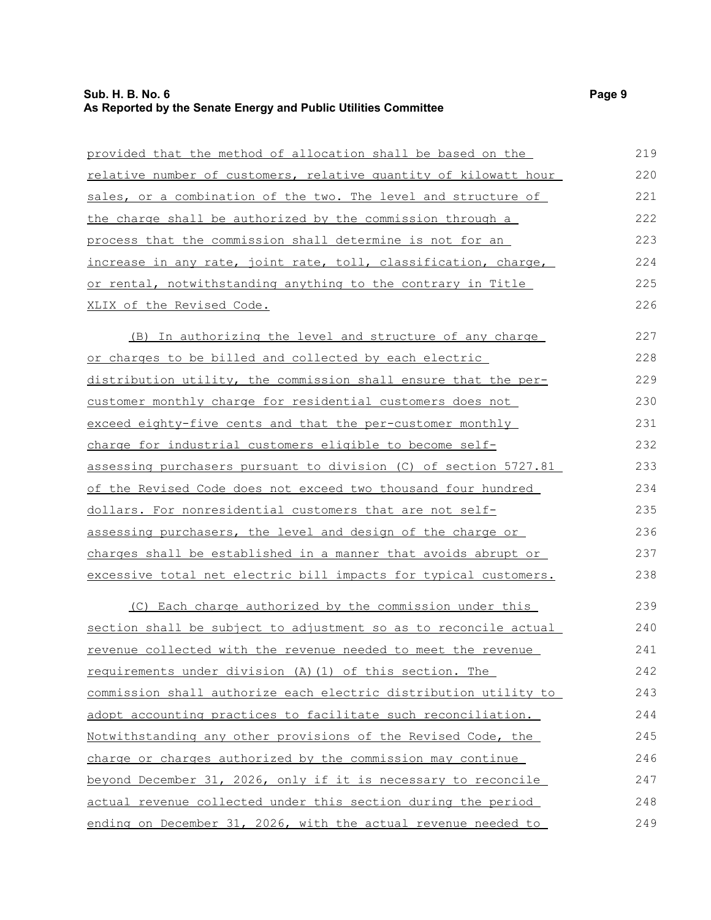## **Sub. H. B. No. 6 Page 9 As Reported by the Senate Energy and Public Utilities Committee**

| provided that the method of allocation shall be based on the         | 219 |
|----------------------------------------------------------------------|-----|
| relative number of customers, relative quantity of kilowatt hour     | 220 |
| sales, or a combination of the two. The level and structure of       | 221 |
| the charge shall be authorized by the commission through a           | 222 |
| process that the commission shall determine is not for an            | 223 |
| increase in any rate, joint rate, toll, classification, charge,      | 224 |
| or rental, notwithstanding anything to the contrary in Title         | 225 |
| XLIX of the Revised Code.                                            | 226 |
| <u>(B)</u> In authorizing the level and structure of any charge      | 227 |
| or charges to be billed and collected by each electric               | 228 |
| distribution utility, the commission shall ensure that the per-      | 229 |
| customer monthly charge for residential customers does not           | 230 |
| exceed eighty-five cents and that the per-customer monthly           | 231 |
| charge for industrial customers eligible to become self-             | 232 |
| assessing purchasers pursuant to division (C) of section 5727.81     | 233 |
| of the Revised Code does not exceed two thousand four hundred        | 234 |
| dollars. For nonresidential customers that are not self-             | 235 |
| assessing purchasers, the level and design of the charge or          | 236 |
| charges shall be established in a manner that avoids abrupt or       | 237 |
| excessive total net electric bill impacts for typical customers.     | 238 |
| (C) Each charge authorized by the commission under this              | 239 |
| section shall be subject to adjustment so as to reconcile actual     | 240 |
| <u>revenue collected with the revenue needed to meet the revenue</u> | 241 |
| requirements under division (A) (1) of this section. The             | 242 |
| commission shall authorize each electric distribution utility to     | 243 |
| adopt accounting practices to facilitate such reconciliation.        | 244 |
| Notwithstanding any other provisions of the Revised Code, the        | 245 |
| charge or charges authorized by the commission may continue          | 246 |
| beyond December 31, 2026, only if it is necessary to reconcile       | 247 |
| actual revenue collected under this section during the period        | 248 |
| ending on December 31, 2026, with the actual revenue needed to       | 249 |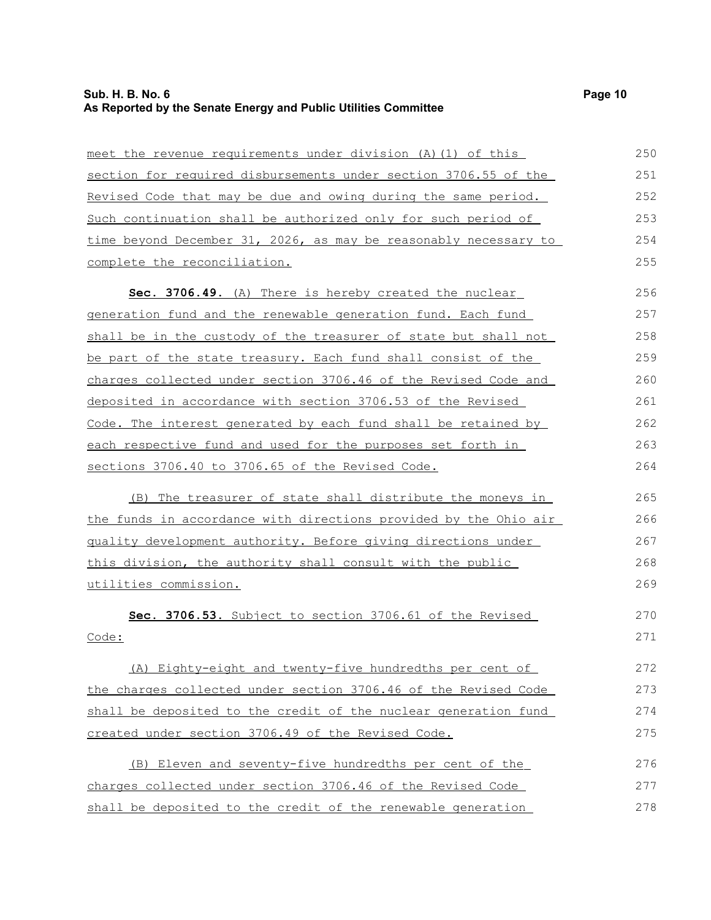## **Sub. H. B. No. 6 Page 10 As Reported by the Senate Energy and Public Utilities Committee**

| meet the revenue requirements under division (A) (1) of this     | 250 |
|------------------------------------------------------------------|-----|
| section for required disbursements under section 3706.55 of the  | 251 |
| Revised Code that may be due and owing during the same period.   | 252 |
| Such continuation shall be authorized only for such period of    | 253 |
| time beyond December 31, 2026, as may be reasonably necessary to | 254 |
| complete the reconciliation.                                     | 255 |
| Sec. 3706.49. (A) There is hereby created the nuclear            | 256 |
| generation fund and the renewable generation fund. Each fund     | 257 |
| shall be in the custody of the treasurer of state but shall not  | 258 |
| be part of the state treasury. Each fund shall consist of the    | 259 |
| charges collected under section 3706.46 of the Revised Code and  | 260 |
| deposited in accordance with section 3706.53 of the Revised      | 261 |
| Code. The interest generated by each fund shall be retained by   | 262 |
| each respective fund and used for the purposes set forth in      | 263 |
| sections 3706.40 to 3706.65 of the Revised Code.                 | 264 |
| (B) The treasurer of state shall distribute the moneys in        | 265 |
| the funds in accordance with directions provided by the Ohio air | 266 |
| quality development authority. Before giving directions under    | 267 |
| this division, the authority shall consult with the public       | 268 |
| utilities commission.                                            | 269 |
| Sec. 3706.53. Subject to section 3706.61 of the Revised          | 270 |
| Code:                                                            | 271 |
| (A) Eighty-eight and twenty-five hundredths per cent of          | 272 |
| the charges collected under section 3706.46 of the Revised Code  | 273 |
| shall be deposited to the credit of the nuclear generation fund  | 274 |
| created under section 3706.49 of the Revised Code.               | 275 |
| (B) Eleven and seventy-five hundredths per cent of the           | 276 |
| charges collected under section 3706.46 of the Revised Code      | 277 |
| shall be deposited to the credit of the renewable generation     | 278 |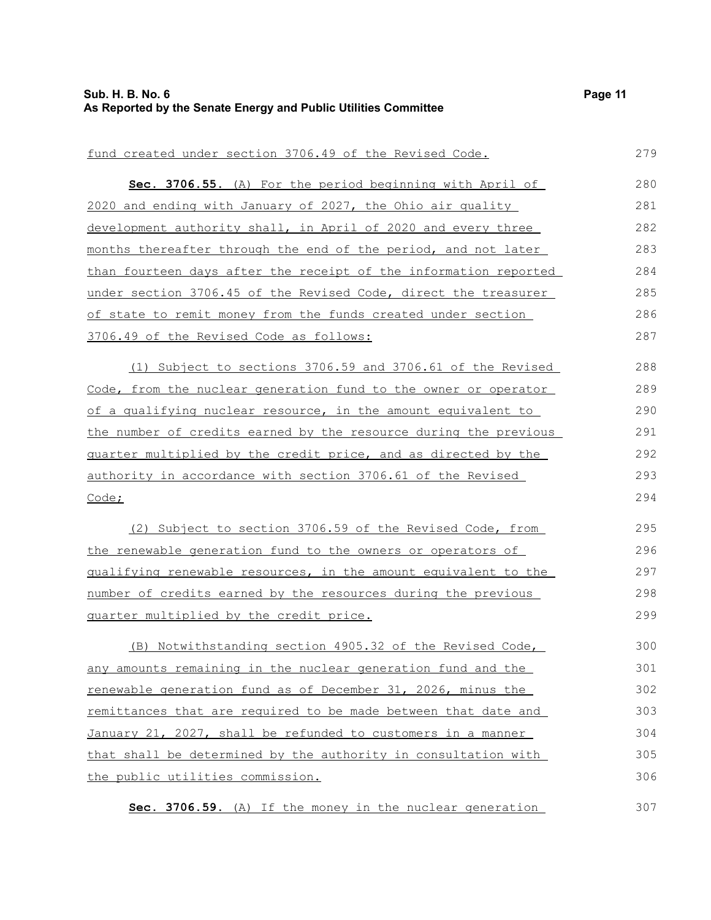#### fund created under section 3706.49 of the Revised Code. **Sec. 3706.55.** (A) For the period beginning with April of 2020 and ending with January of 2027, the Ohio air quality development authority shall, in April of 2020 and every three months thereafter through the end of the period, and not later than fourteen days after the receipt of the information reported under section 3706.45 of the Revised Code, direct the treasurer of state to remit money from the funds created under section 3706.49 of the Revised Code as follows: (1) Subject to sections 3706.59 and 3706.61 of the Revised Code, from the nuclear generation fund to the owner or operator of a qualifying nuclear resource, in the amount equivalent to the number of credits earned by the resource during the previous quarter multiplied by the credit price, and as directed by the authority in accordance with section 3706.61 of the Revised Code; (2) Subject to section 3706.59 of the Revised Code, from the renewable generation fund to the owners or operators of qualifying renewable resources, in the amount equivalent to the number of credits earned by the resources during the previous quarter multiplied by the credit price. (B) Notwithstanding section 4905.32 of the Revised Code, any amounts remaining in the nuclear generation fund and the renewable generation fund as of December 31, 2026, minus the remittances that are required to be made between that date and January 21, 2027, shall be refunded to customers in a manner that shall be determined by the authority in consultation with the public utilities commission. **Sec. 3706.59.** (A) If the money in the nuclear generation 279 280 281 282 283 284 285 286 287 288 289 290 291 292 293 294 295 296 297 298 299 300 301 302 303 304 305 306 307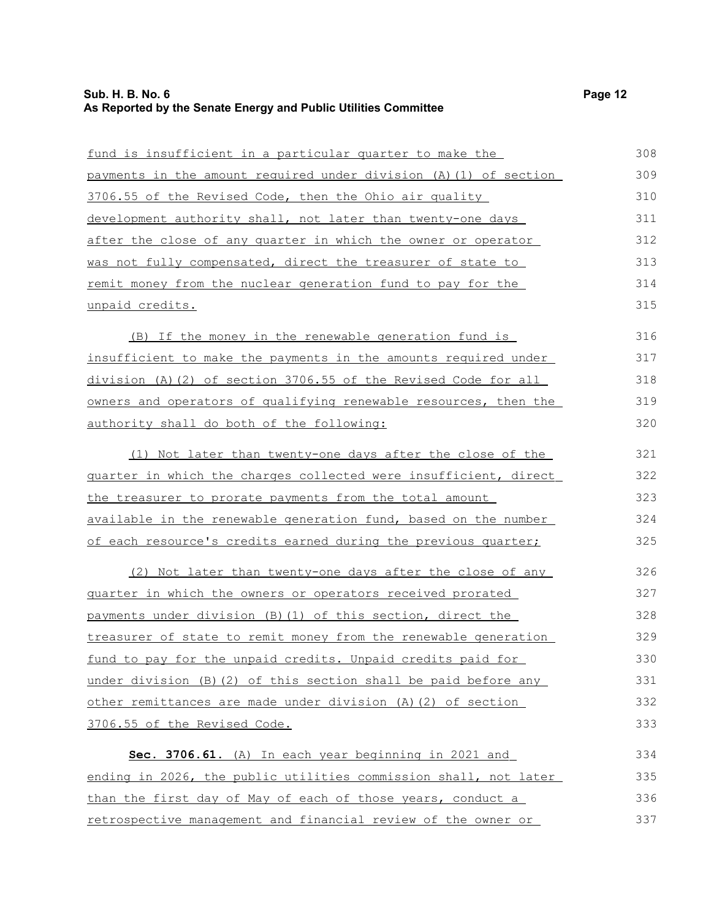| fund is insufficient in a particular quarter to make the           | 308 |
|--------------------------------------------------------------------|-----|
| payments in the amount required under division (A) (1) of section  | 309 |
| 3706.55 of the Revised Code, then the Ohio air quality             | 310 |
| development authority shall, not later than twenty-one days        | 311 |
| after the close of any quarter in which the owner or operator      | 312 |
| was not fully compensated, direct the treasurer of state to        | 313 |
| <u>remit money from the nuclear generation fund to pay for the</u> | 314 |
| unpaid credits.                                                    | 315 |
| (B) If the money in the renewable generation fund is               | 316 |
| insufficient to make the payments in the amounts required under    | 317 |
| division (A)(2) of section 3706.55 of the Revised Code for all     | 318 |
| owners and operators of qualifying renewable resources, then the   | 319 |
| <u>authority shall do both of the following:</u>                   | 320 |
| (1) Not later than twenty-one days after the close of the          | 321 |
| quarter in which the charges collected were insufficient, direct   | 322 |
| the treasurer to prorate payments from the total amount            | 323 |
| available in the renewable generation fund, based on the number    | 324 |
| of each resource's credits earned during the previous quarter;     | 325 |
| (2) Not later than twenty-one days after the close of any          | 326 |
| quarter in which the owners or operators received prorated         | 327 |
| payments under division (B) (1) of this section, direct the        | 328 |
| treasurer of state to remit money from the renewable generation    | 329 |
| fund to pay for the unpaid credits. Unpaid credits paid for        | 330 |
| under division (B) (2) of this section shall be paid before any    | 331 |
| other remittances are made under division (A) (2) of section       | 332 |
| 3706.55 of the Revised Code.                                       | 333 |
| Sec. 3706.61. (A) In each year beginning in 2021 and               | 334 |
| ending in 2026, the public utilities commission shall, not later   | 335 |
| than the first day of May of each of those years, conduct a        | 336 |
| retrospective management and financial review of the owner or      | 337 |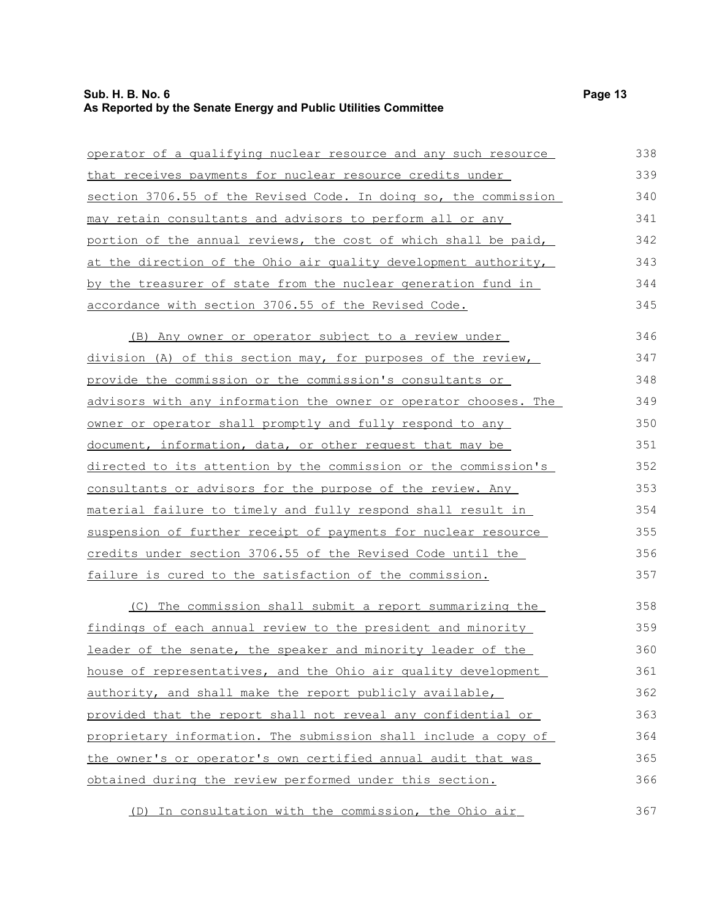## **Sub. H. B. No. 6 Page 13 As Reported by the Senate Energy and Public Utilities Committee**

| operator of a qualifying nuclear resource and any such resource          | 338 |
|--------------------------------------------------------------------------|-----|
| that receives payments for nuclear resource credits under                | 339 |
| section 3706.55 of the Revised Code. In doing so, the commission         | 340 |
| <u>may retain consultants and advisors to perform all or any </u>        | 341 |
| portion of the annual reviews, the cost of which shall be paid,          | 342 |
| at the direction of the Ohio air quality development authority,          | 343 |
| by the treasurer of state from the nuclear generation fund in            | 344 |
| accordance with section 3706.55 of the Revised Code.                     | 345 |
| (B) Any owner or operator subject to a review under                      | 346 |
| division (A) of this section may, for purposes of the review,            | 347 |
| provide the commission or the commission's consultants or                | 348 |
| <u>advisors with any information the owner or operator chooses. The </u> | 349 |
| owner or operator shall promptly and fully respond to any                | 350 |
| document, information, data, or other request that may be                | 351 |
| directed to its attention by the commission or the commission's          | 352 |
| consultants or advisors for the purpose of the review. Any               | 353 |
| material failure to timely and fully respond shall result in             | 354 |
| suspension of further receipt of payments for nuclear resource           | 355 |
| credits under section 3706.55 of the Revised Code until the              | 356 |
| <u>failure is cured to the satisfaction of the commission.</u>           | 357 |
| (C) The commission shall submit a report summarizing the                 | 358 |
| findings of each annual review to the president and minority             | 359 |
| leader of the senate, the speaker and minority leader of the             | 360 |
| house of representatives, and the Ohio air quality development           | 361 |
| authority, and shall make the report publicly available,                 | 362 |
| provided that the report shall not reveal any confidential or            | 363 |
| proprietary information. The submission shall include a copy of          | 364 |
| the owner's or operator's own certified annual audit that was            | 365 |
| obtained during the review performed under this section.                 | 366 |
| (D) In consultation with the commission, the Ohio air                    | 367 |

(D) In consultation with the commission, the Ohio air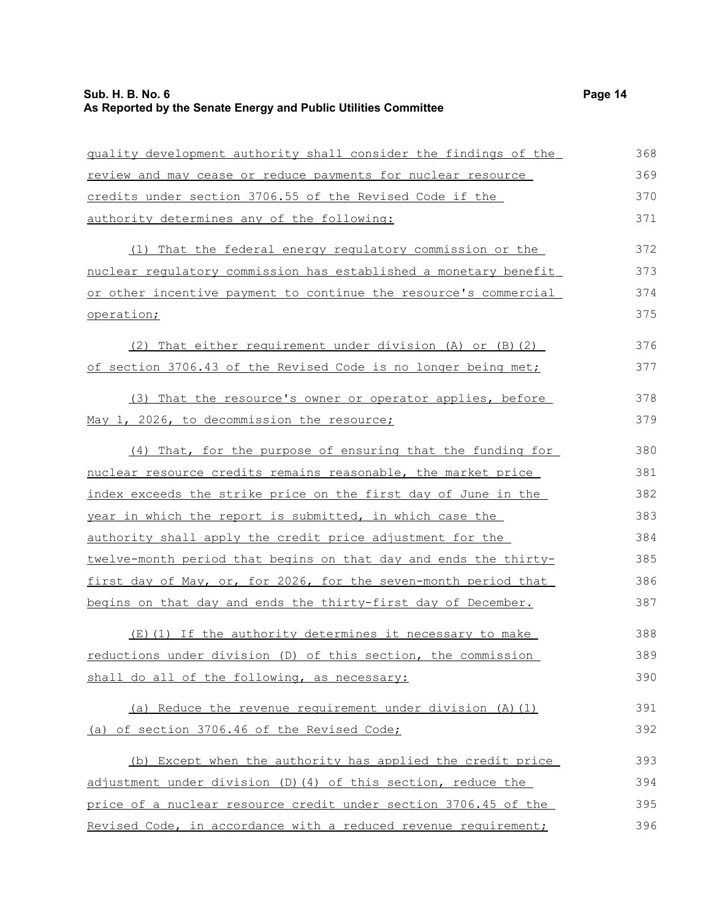| guality development authority shall consider the findings of the | 368 |
|------------------------------------------------------------------|-----|
| review and may cease or reduce payments for nuclear resource     | 369 |
| credits under section 3706.55 of the Revised Code if the         | 370 |
| authority determines any of the following:                       | 371 |
| (1) That the federal energy regulatory commission or the         | 372 |
| nuclear regulatory commission has established a monetary benefit | 373 |
| or other incentive payment to continue the resource's commercial | 374 |
| operation;                                                       | 375 |
| (2) That either requirement under division (A) or (B) (2)        | 376 |
| of section 3706.43 of the Revised Code is no longer being met;   | 377 |
| (3) That the resource's owner or operator applies, before        | 378 |
| May 1, 2026, to decommission the resource;                       | 379 |
| (4) That, for the purpose of ensuring that the funding for       | 380 |
| nuclear resource credits remains reasonable, the market price    | 381 |
| index exceeds the strike price on the first day of June in the   | 382 |
| year in which the report is submitted, in which case the         | 383 |
| authority shall apply the credit price adjustment for the        | 384 |
| twelve-month period that begins on that day and ends the thirty- | 385 |
| first day of May, or, for 2026, for the seven-month period that  | 386 |
| begins on that day and ends the thirty-first day of December.    | 387 |
| (E)(1) If the authority determines it necessary to make          | 388 |
| reductions under division (D) of this section, the commission    | 389 |
| shall do all of the following, as necessary:                     | 390 |
| (a) Reduce the revenue requirement under division (A) (1)        | 391 |
| (a) of section 3706.46 of the Revised Code;                      | 392 |
| (b) Except when the authority has applied the credit price       | 393 |
| adjustment under division (D) (4) of this section, reduce the    | 394 |
| price of a nuclear resource credit under section 3706.45 of the  | 395 |
| Revised Code, in accordance with a reduced revenue requirement;  | 396 |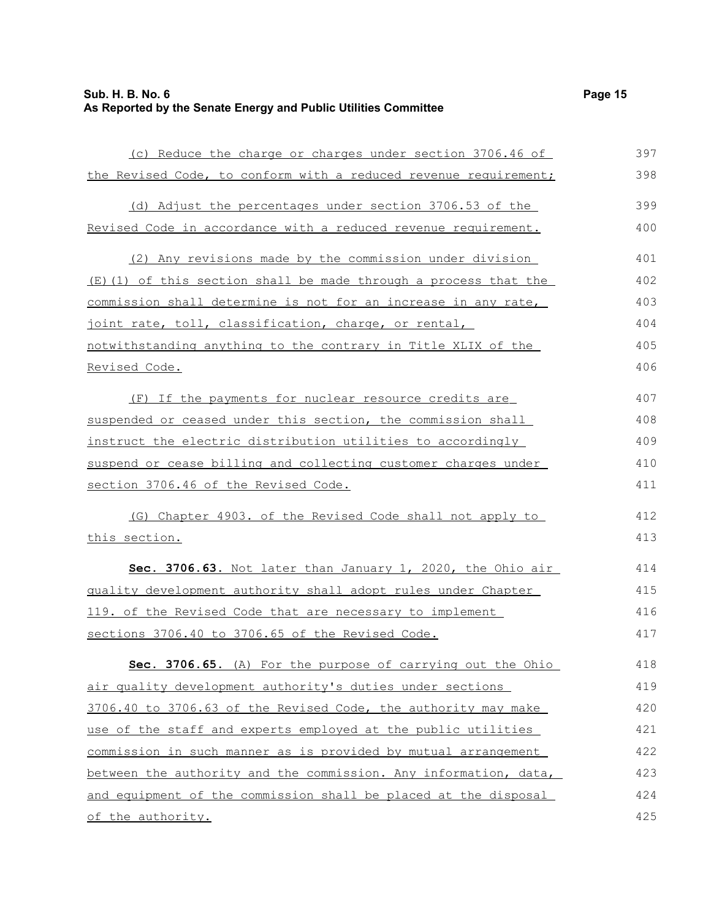| (c) Reduce the charge or charges under section 3706.46 of        | 397 |
|------------------------------------------------------------------|-----|
| the Revised Code, to conform with a reduced revenue requirement; | 398 |
| (d) Adjust the percentages under section 3706.53 of the          | 399 |
| Revised Code in accordance with a reduced revenue requirement.   | 400 |
| (2) Any revisions made by the commission under division          | 401 |
| (E)(1) of this section shall be made through a process that the  | 402 |
| commission shall determine is not for an increase in any rate,   | 403 |
| joint rate, toll, classification, charge, or rental,             | 404 |
| notwithstanding anything to the contrary in Title XLIX of the    | 405 |
| Revised Code.                                                    | 406 |
| (F) If the payments for nuclear resource credits are             | 407 |
| suspended or ceased under this section, the commission shall     | 408 |
| instruct the electric distribution utilities to accordingly      | 409 |
| suspend or cease billing and collecting customer charges under   | 410 |
| section 3706.46 of the Revised Code.                             | 411 |
| (G) Chapter 4903. of the Revised Code shall not apply to         | 412 |
| this section.                                                    | 413 |
| Sec. 3706.63. Not later than January 1, 2020, the Ohio air       | 414 |
| quality development authority shall adopt rules under Chapter    | 415 |
| 119. of the Revised Code that are necessary to implement         | 416 |
| sections 3706.40 to 3706.65 of the Revised Code.                 | 417 |
| Sec. 3706.65. (A) For the purpose of carrying out the Ohio       | 418 |
| air quality development authority's duties under sections        | 419 |
| 3706.40 to 3706.63 of the Revised Code, the authority may make   | 420 |
| use of the staff and experts employed at the public utilities    | 421 |
| commission in such manner as is provided by mutual arrangement   | 422 |
| between the authority and the commission. Any information, data, | 423 |
| and equipment of the commission shall be placed at the disposal  | 424 |
| of the authority.                                                | 425 |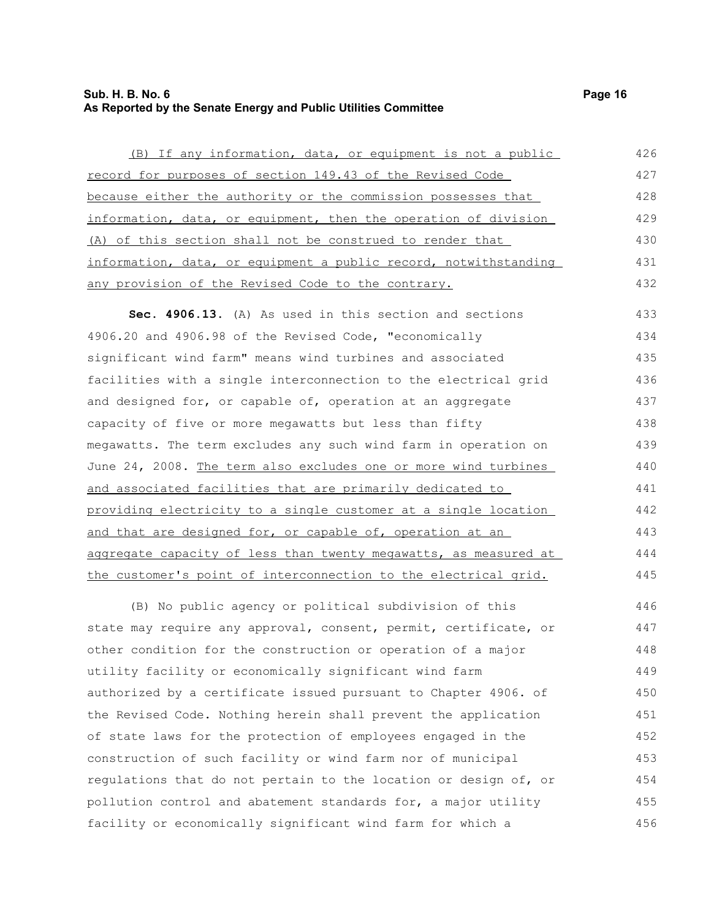### **Sub. H. B. No. 6 Page 16 As Reported by the Senate Energy and Public Utilities Committee**

any provision of the Revised Code to the contrary.

(B) If any information, data, or equipment is not a public record for purposes of section 149.43 of the Revised Code because either the authority or the commission possesses that information, data, or equipment, then the operation of division (A) of this section shall not be construed to render that information, data, or equipment a public record, notwithstanding 426 427 428 429 430 431

**Sec. 4906.13.** (A) As used in this section and sections 4906.20 and 4906.98 of the Revised Code, "economically significant wind farm" means wind turbines and associated facilities with a single interconnection to the electrical grid and designed for, or capable of, operation at an aggregate capacity of five or more megawatts but less than fifty megawatts. The term excludes any such wind farm in operation on June 24, 2008. The term also excludes one or more wind turbines and associated facilities that are primarily dedicated to providing electricity to a single customer at a single location and that are designed for, or capable of, operation at an aggregate capacity of less than twenty megawatts, as measured at the customer's point of interconnection to the electrical grid. 433 434 435 436 437 438 439 440 441 442 443 444 445

(B) No public agency or political subdivision of this state may require any approval, consent, permit, certificate, or other condition for the construction or operation of a major utility facility or economically significant wind farm authorized by a certificate issued pursuant to Chapter 4906. of the Revised Code. Nothing herein shall prevent the application of state laws for the protection of employees engaged in the construction of such facility or wind farm nor of municipal regulations that do not pertain to the location or design of, or pollution control and abatement standards for, a major utility facility or economically significant wind farm for which a 446 447 448 449 450 451 452 453 454 455 456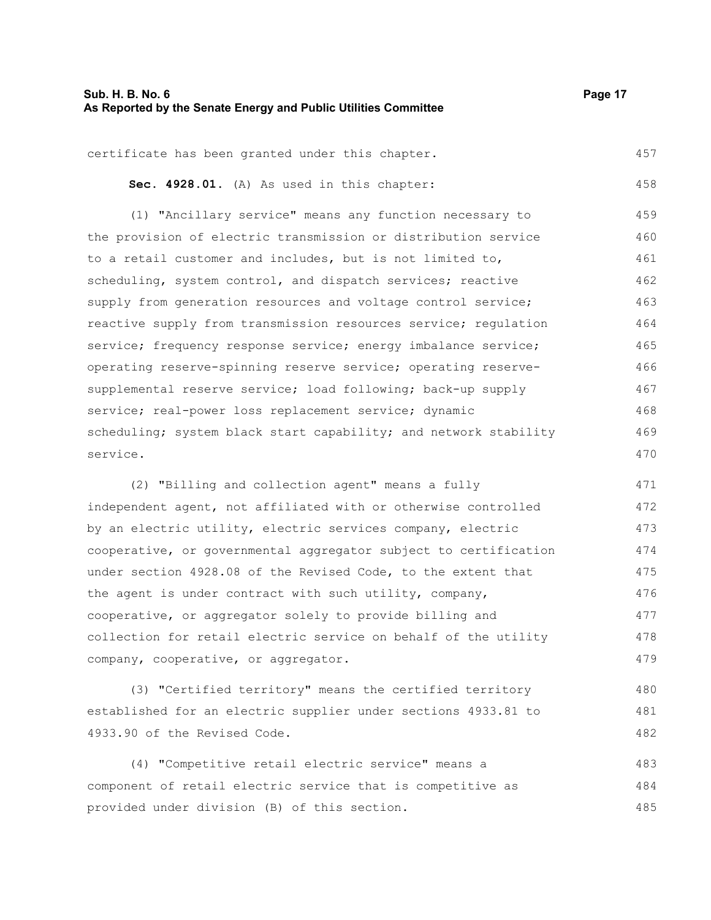### **Sub. H. B. No. 6 Page 17 As Reported by the Senate Energy and Public Utilities Committee**

certificate has been granted under this chapter. 457

**Sec. 4928.01.** (A) As used in this chapter: 458

(1) "Ancillary service" means any function necessary to the provision of electric transmission or distribution service to a retail customer and includes, but is not limited to, scheduling, system control, and dispatch services; reactive supply from generation resources and voltage control service; reactive supply from transmission resources service; regulation service; frequency response service; energy imbalance service; operating reserve-spinning reserve service; operating reservesupplemental reserve service; load following; back-up supply service; real-power loss replacement service; dynamic scheduling; system black start capability; and network stability service. 459 460 461 462 463 464 465 466 467 468 469 470

(2) "Billing and collection agent" means a fully independent agent, not affiliated with or otherwise controlled by an electric utility, electric services company, electric cooperative, or governmental aggregator subject to certification under section 4928.08 of the Revised Code, to the extent that the agent is under contract with such utility, company, cooperative, or aggregator solely to provide billing and collection for retail electric service on behalf of the utility company, cooperative, or aggregator. 471 472 473 474 475 476 477 478 479

(3) "Certified territory" means the certified territory established for an electric supplier under sections 4933.81 to 4933.90 of the Revised Code. 480 481 482

(4) "Competitive retail electric service" means a component of retail electric service that is competitive as provided under division (B) of this section. 483 484 485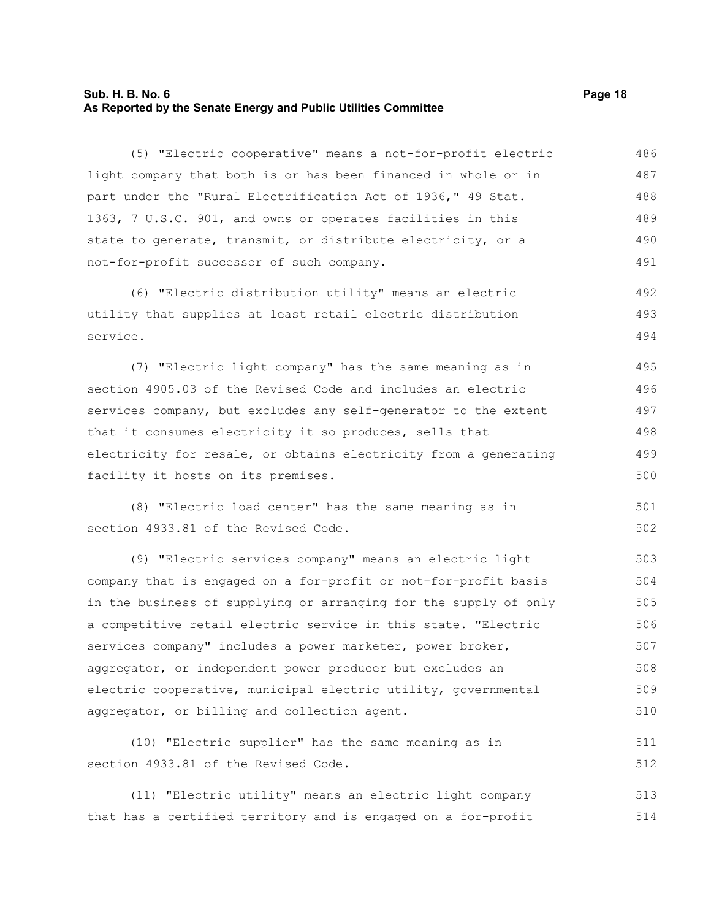### **Sub. H. B. No. 6 Page 18 As Reported by the Senate Energy and Public Utilities Committee**

(5) "Electric cooperative" means a not-for-profit electric light company that both is or has been financed in whole or in part under the "Rural Electrification Act of 1936," 49 Stat. 1363, 7 U.S.C. 901, and owns or operates facilities in this state to generate, transmit, or distribute electricity, or a not-for-profit successor of such company. 486 487 488 489 490 491

(6) "Electric distribution utility" means an electric utility that supplies at least retail electric distribution service. 492 493 494

(7) "Electric light company" has the same meaning as in section 4905.03 of the Revised Code and includes an electric services company, but excludes any self-generator to the extent that it consumes electricity it so produces, sells that electricity for resale, or obtains electricity from a generating facility it hosts on its premises. 495 496 497 498 499 500

(8) "Electric load center" has the same meaning as in section 4933.81 of the Revised Code. 501 502

(9) "Electric services company" means an electric light company that is engaged on a for-profit or not-for-profit basis in the business of supplying or arranging for the supply of only a competitive retail electric service in this state. "Electric services company" includes a power marketer, power broker, aggregator, or independent power producer but excludes an electric cooperative, municipal electric utility, governmental aggregator, or billing and collection agent. 503 504 505 506 507 508 509 510

(10) "Electric supplier" has the same meaning as in section 4933.81 of the Revised Code. 511 512

(11) "Electric utility" means an electric light company that has a certified territory and is engaged on a for-profit 513 514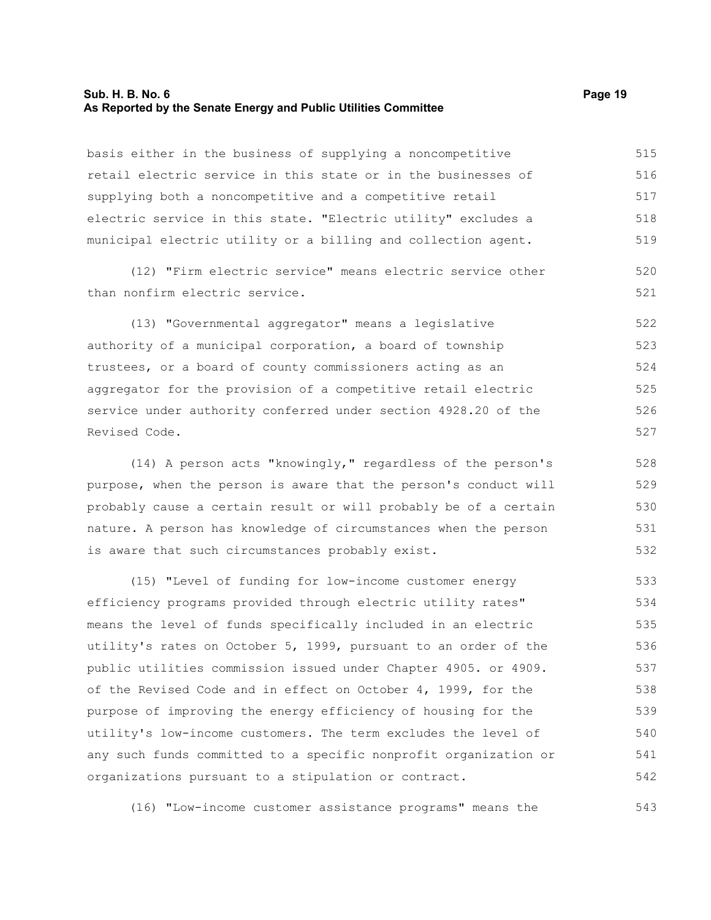#### **Sub. H. B. No. 6 Page 19 As Reported by the Senate Energy and Public Utilities Committee**

basis either in the business of supplying a noncompetitive retail electric service in this state or in the businesses of supplying both a noncompetitive and a competitive retail electric service in this state. "Electric utility" excludes a municipal electric utility or a billing and collection agent. 515 516 517 518 519

(12) "Firm electric service" means electric service other than nonfirm electric service.

(13) "Governmental aggregator" means a legislative authority of a municipal corporation, a board of township trustees, or a board of county commissioners acting as an aggregator for the provision of a competitive retail electric service under authority conferred under section 4928.20 of the Revised Code. 522 523 524 525 526 527

(14) A person acts "knowingly," regardless of the person's purpose, when the person is aware that the person's conduct will probably cause a certain result or will probably be of a certain nature. A person has knowledge of circumstances when the person is aware that such circumstances probably exist. 528 529 530 531 532

(15) "Level of funding for low-income customer energy efficiency programs provided through electric utility rates" means the level of funds specifically included in an electric utility's rates on October 5, 1999, pursuant to an order of the public utilities commission issued under Chapter 4905. or 4909. of the Revised Code and in effect on October 4, 1999, for the purpose of improving the energy efficiency of housing for the utility's low-income customers. The term excludes the level of any such funds committed to a specific nonprofit organization or organizations pursuant to a stipulation or contract. 533 534 535 536 537 538 539 540 541 542

(16) "Low-income customer assistance programs" means the

520 521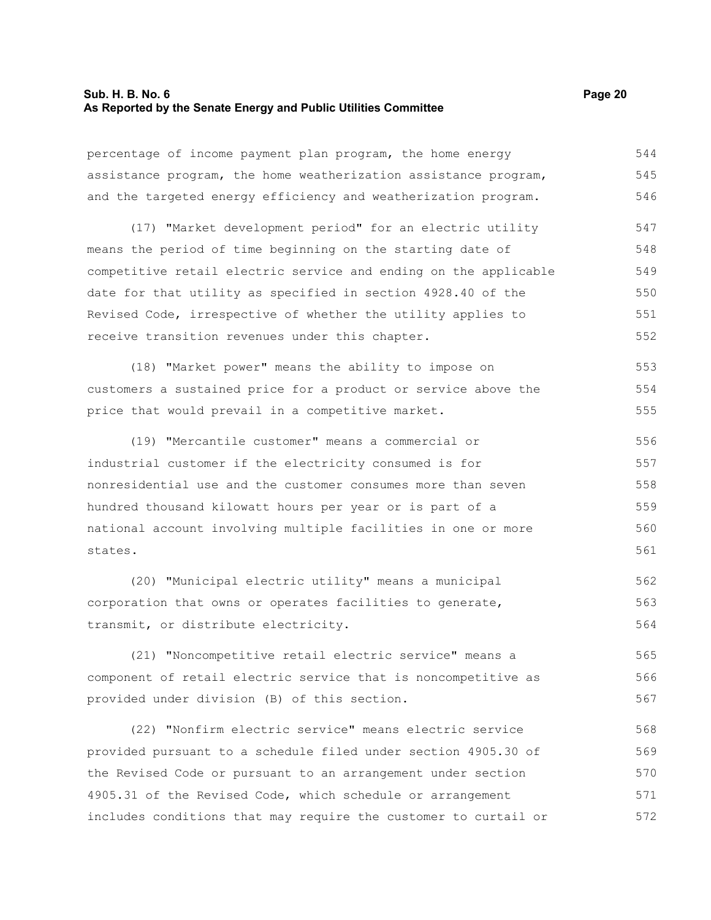### **Sub. H. B. No. 6 Page 20 As Reported by the Senate Energy and Public Utilities Committee**

percentage of income payment plan program, the home energy assistance program, the home weatherization assistance program, and the targeted energy efficiency and weatherization program. 544 545 546

(17) "Market development period" for an electric utility means the period of time beginning on the starting date of competitive retail electric service and ending on the applicable date for that utility as specified in section 4928.40 of the Revised Code, irrespective of whether the utility applies to receive transition revenues under this chapter. 547 548 549 550 551 552

(18) "Market power" means the ability to impose on customers a sustained price for a product or service above the price that would prevail in a competitive market. 553 554 555

(19) "Mercantile customer" means a commercial or industrial customer if the electricity consumed is for nonresidential use and the customer consumes more than seven hundred thousand kilowatt hours per year or is part of a national account involving multiple facilities in one or more states. 556 557 558 559 560 561

(20) "Municipal electric utility" means a municipal corporation that owns or operates facilities to generate, transmit, or distribute electricity. 562 563 564

(21) "Noncompetitive retail electric service" means a component of retail electric service that is noncompetitive as provided under division (B) of this section. 565 566 567

(22) "Nonfirm electric service" means electric service provided pursuant to a schedule filed under section 4905.30 of the Revised Code or pursuant to an arrangement under section 4905.31 of the Revised Code, which schedule or arrangement includes conditions that may require the customer to curtail or 568 569 570 571 572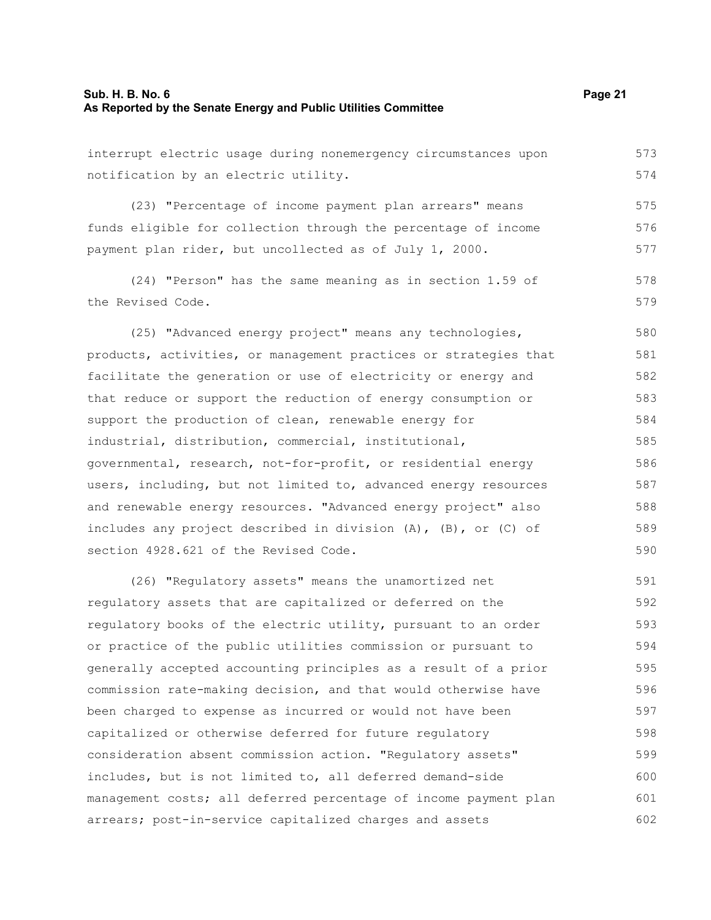### **Sub. H. B. No. 6 Page 21 As Reported by the Senate Energy and Public Utilities Committee**

| interrupt electric usage during nonemergency circumstances upon        | 573 |
|------------------------------------------------------------------------|-----|
| notification by an electric utility.                                   | 574 |
| (23) "Percentage of income payment plan arrears" means                 | 575 |
| funds eligible for collection through the percentage of income         | 576 |
| payment plan rider, but uncollected as of July 1, 2000.                | 577 |
| (24) "Person" has the same meaning as in section 1.59 of               | 578 |
| the Revised Code.                                                      | 579 |
| (25) "Advanced energy project" means any technologies,                 | 580 |
| products, activities, or management practices or strategies that       | 581 |
| facilitate the generation or use of electricity or energy and          | 582 |
| that reduce or support the reduction of energy consumption or          | 583 |
| support the production of clean, renewable energy for                  | 584 |
| industrial, distribution, commercial, institutional,                   | 585 |
| governmental, research, not-for-profit, or residential energy          | 586 |
| users, including, but not limited to, advanced energy resources        | 587 |
| and renewable energy resources. "Advanced energy project" also         | 588 |
| includes any project described in division $(A)$ , $(B)$ , or $(C)$ of | 589 |
| section 4928.621 of the Revised Code.                                  | 590 |
|                                                                        |     |

(26) "Regulatory assets" means the unamortized net regulatory assets that are capitalized or deferred on the regulatory books of the electric utility, pursuant to an order or practice of the public utilities commission or pursuant to generally accepted accounting principles as a result of a prior commission rate-making decision, and that would otherwise have been charged to expense as incurred or would not have been capitalized or otherwise deferred for future regulatory consideration absent commission action. "Regulatory assets" includes, but is not limited to, all deferred demand-side management costs; all deferred percentage of income payment plan arrears; post-in-service capitalized charges and assets 591 592 593 594 595 596 597 598 599 600 601 602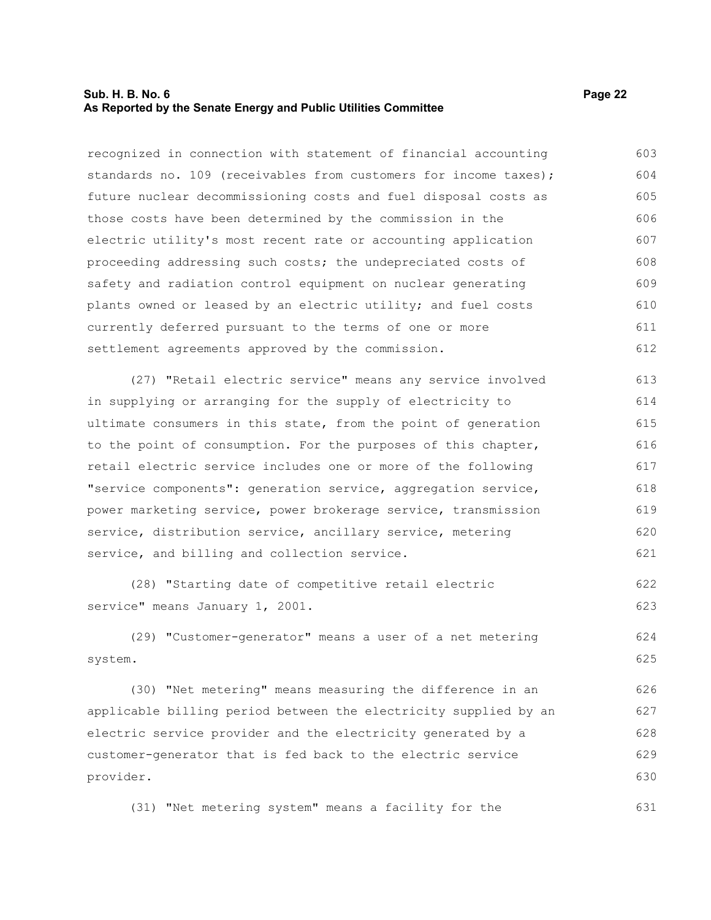### **Sub. H. B. No. 6 Page 22 As Reported by the Senate Energy and Public Utilities Committee**

recognized in connection with statement of financial accounting standards no. 109 (receivables from customers for income taxes); future nuclear decommissioning costs and fuel disposal costs as those costs have been determined by the commission in the electric utility's most recent rate or accounting application proceeding addressing such costs; the undepreciated costs of safety and radiation control equipment on nuclear generating plants owned or leased by an electric utility; and fuel costs currently deferred pursuant to the terms of one or more settlement agreements approved by the commission. 603 604 605 606 607 608 609 610 611 612

(27) "Retail electric service" means any service involved in supplying or arranging for the supply of electricity to ultimate consumers in this state, from the point of generation to the point of consumption. For the purposes of this chapter, retail electric service includes one or more of the following "service components": generation service, aggregation service, power marketing service, power brokerage service, transmission service, distribution service, ancillary service, metering service, and billing and collection service. 613 614 615 616 617 618 619 620 621

(28) "Starting date of competitive retail electric service" means January 1, 2001. 622 623

(29) "Customer-generator" means a user of a net metering system. 624 625

(30) "Net metering" means measuring the difference in an applicable billing period between the electricity supplied by an electric service provider and the electricity generated by a customer-generator that is fed back to the electric service provider. 626 627 628 629 630

(31) "Net metering system" means a facility for the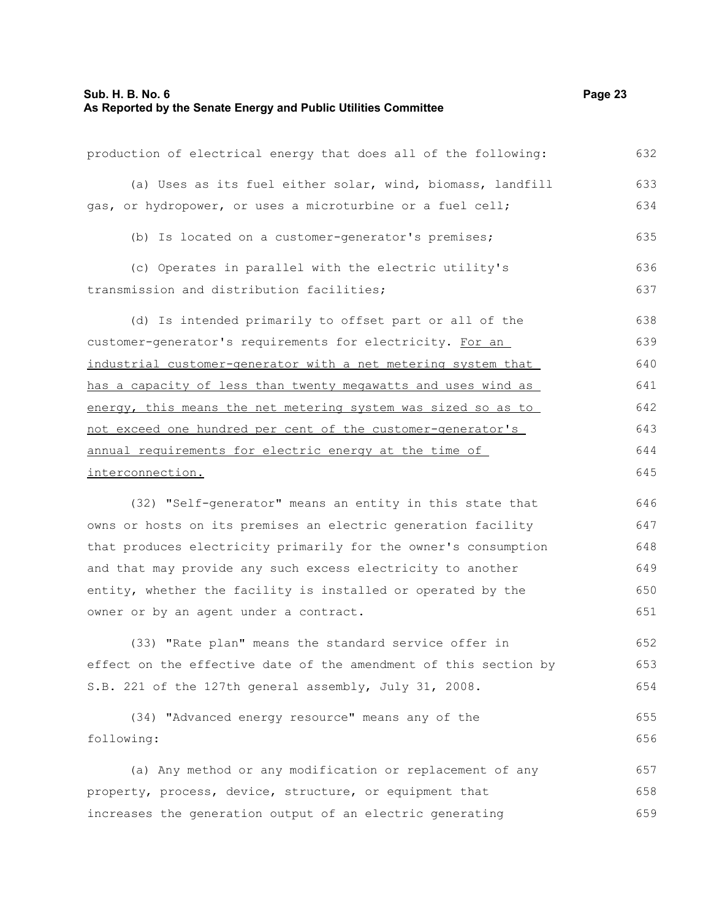| production of electrical energy that does all of the following:  | 632 |
|------------------------------------------------------------------|-----|
| (a) Uses as its fuel either solar, wind, biomass, landfill       | 633 |
| gas, or hydropower, or uses a microturbine or a fuel cell;       | 634 |
| (b) Is located on a customer-generator's premises;               | 635 |
| (c) Operates in parallel with the electric utility's             | 636 |
| transmission and distribution facilities;                        | 637 |
| (d) Is intended primarily to offset part or all of the           | 638 |
| customer-generator's requirements for electricity. For an        | 639 |
| industrial customer-generator with a net metering system that    | 640 |
| has a capacity of less than twenty megawatts and uses wind as    | 641 |
| energy, this means the net metering system was sized so as to    | 642 |
| not exceed one hundred per cent of the customer-generator's      | 643 |
| annual requirements for electric energy at the time of           | 644 |
| interconnection.                                                 | 645 |
| (32) "Self-generator" means an entity in this state that         | 646 |
| owns or hosts on its premises an electric generation facility    | 647 |
| that produces electricity primarily for the owner's consumption  | 648 |
| and that may provide any such excess electricity to another      | 649 |
| entity, whether the facility is installed or operated by the     | 650 |
| owner or by an agent under a contract.                           | 651 |
| (33) "Rate plan" means the standard service offer in             | 652 |
| effect on the effective date of the amendment of this section by | 653 |
| S.B. 221 of the 127th general assembly, July 31, 2008.           | 654 |
| (34) "Advanced energy resource" means any of the                 | 655 |
| following:                                                       | 656 |
| (a) Any method or any modification or replacement of any         | 657 |
| property, process, device, structure, or equipment that          | 658 |
| increases the generation output of an electric generating        | 659 |
|                                                                  |     |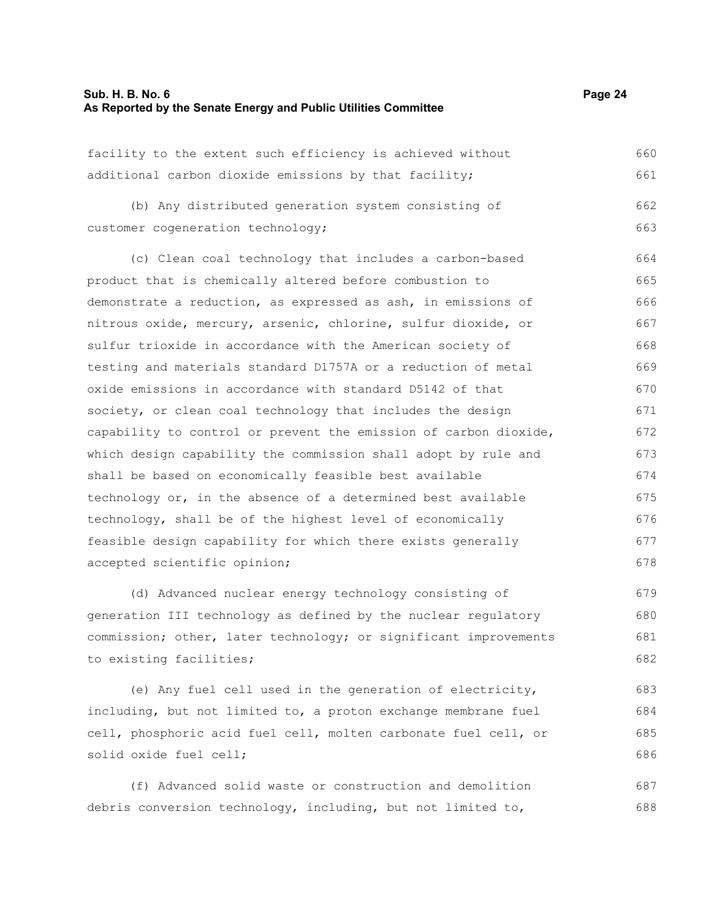682

| facility to the extent such efficiency is achieved without       | 660 |
|------------------------------------------------------------------|-----|
| additional carbon dioxide emissions by that facility;            | 661 |
| (b) Any distributed generation system consisting of              | 662 |
| customer cogeneration technology;                                | 663 |
| (c) Clean coal technology that includes a carbon-based           | 664 |
| product that is chemically altered before combustion to          | 665 |
| demonstrate a reduction, as expressed as ash, in emissions of    | 666 |
| nitrous oxide, mercury, arsenic, chlorine, sulfur dioxide, or    | 667 |
| sulfur trioxide in accordance with the American society of       | 668 |
| testing and materials standard D1757A or a reduction of metal    | 669 |
| oxide emissions in accordance with standard D5142 of that        | 670 |
| society, or clean coal technology that includes the design       | 671 |
| capability to control or prevent the emission of carbon dioxide, | 672 |
| which design capability the commission shall adopt by rule and   | 673 |
| shall be based on economically feasible best available           | 674 |
| technology or, in the absence of a determined best available     | 675 |
| technology, shall be of the highest level of economically        | 676 |
| feasible design capability for which there exists generally      | 677 |
| accepted scientific opinion;                                     | 678 |
| (d) Advanced nuclear energy technology consisting of             | 679 |
| generation III technology as defined by the nuclear regulatory   | 680 |
| commission; other, later technology; or significant improvements | 681 |

to existing facilities;

(e) Any fuel cell used in the generation of electricity, including, but not limited to, a proton exchange membrane fuel cell, phosphoric acid fuel cell, molten carbonate fuel cell, or solid oxide fuel cell; 683 684 685 686

(f) Advanced solid waste or construction and demolition debris conversion technology, including, but not limited to, 687 688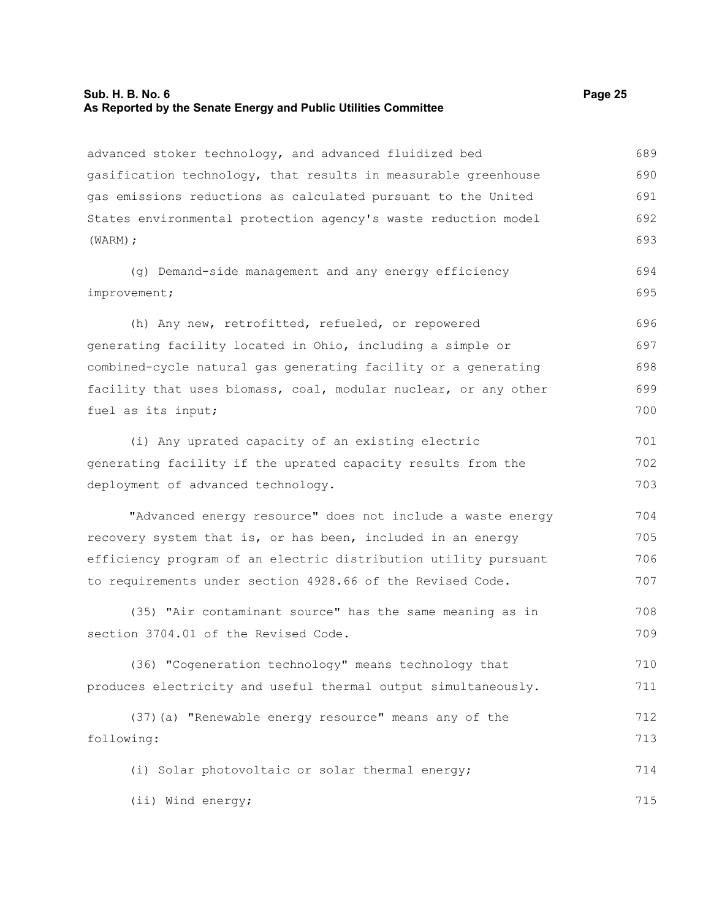## **Sub. H. B. No. 6 Page 25 As Reported by the Senate Energy and Public Utilities Committee**

| advanced stoker technology, and advanced fluidized bed          | 689 |
|-----------------------------------------------------------------|-----|
| gasification technology, that results in measurable greenhouse  | 690 |
| gas emissions reductions as calculated pursuant to the United   | 691 |
| States environmental protection agency's waste reduction model  | 692 |
| $(WARM)$ ;                                                      | 693 |
| (g) Demand-side management and any energy efficiency            | 694 |
| improvement;                                                    | 695 |
| (h) Any new, retrofitted, refueled, or repowered                | 696 |
| generating facility located in Ohio, including a simple or      | 697 |
| combined-cycle natural gas generating facility or a generating  | 698 |
| facility that uses biomass, coal, modular nuclear, or any other | 699 |
| fuel as its input;                                              | 700 |
| (i) Any uprated capacity of an existing electric                | 701 |
| generating facility if the uprated capacity results from the    | 702 |
| deployment of advanced technology.                              | 703 |
| "Advanced energy resource" does not include a waste energy      | 704 |
| recovery system that is, or has been, included in an energy     | 705 |
| efficiency program of an electric distribution utility pursuant | 706 |
| to requirements under section 4928.66 of the Revised Code.      | 707 |
| (35) "Air contaminant source" has the same meaning as in        | 708 |
| section 3704.01 of the Revised Code.                            | 709 |
| (36) "Cogeneration technology" means technology that            | 710 |
| produces electricity and useful thermal output simultaneously.  | 711 |
| (37) (a) "Renewable energy resource" means any of the           | 712 |
| following:                                                      | 713 |
| (i) Solar photovoltaic or solar thermal energy;                 | 714 |
| (ii) Wind energy;                                               | 715 |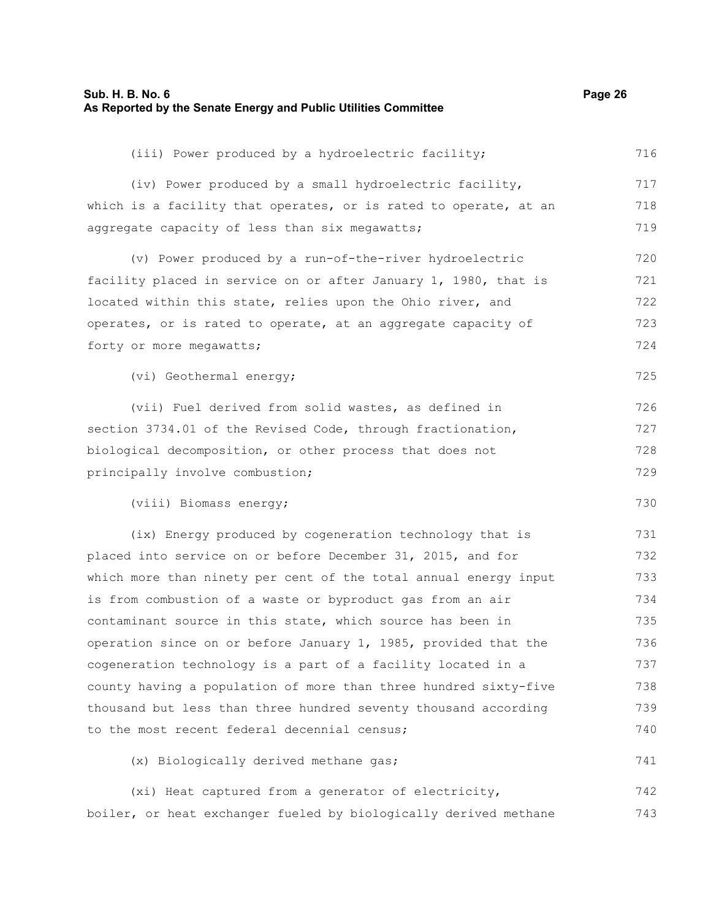#### **Sub. H. B. No. 6 Page 26 As Reported by the Senate Energy and Public Utilities Committee**

| (iii) Power produced by a hydroelectric facility;                | 716 |
|------------------------------------------------------------------|-----|
| (iv) Power produced by a small hydroelectric facility,           | 717 |
| which is a facility that operates, or is rated to operate, at an | 718 |
| aggregate capacity of less than six megawatts;                   | 719 |
| (v) Power produced by a run-of-the-river hydroelectric           | 720 |
| facility placed in service on or after January 1, 1980, that is  | 721 |
| located within this state, relies upon the Ohio river, and       | 722 |
| operates, or is rated to operate, at an aggregate capacity of    | 723 |
| forty or more megawatts;                                         | 724 |
| (vi) Geothermal energy;                                          | 725 |
| (vii) Fuel derived from solid wastes, as defined in              | 726 |
| section 3734.01 of the Revised Code, through fractionation,      | 727 |
| biological decomposition, or other process that does not         | 728 |
| principally involve combustion;                                  | 729 |
| (viii) Biomass energy;                                           | 730 |
| (ix) Energy produced by cogeneration technology that is          | 731 |
| placed into service on or before December 31, 2015, and for      | 732 |
| which more than ninety per cent of the total annual energy input | 733 |
| is from combustion of a waste or byproduct gas from an air       | 734 |
| contaminant source in this state, which source has been in       | 735 |
| operation since on or before January 1, 1985, provided that the  | 736 |
| cogeneration technology is a part of a facility located in a     | 737 |
| county having a population of more than three hundred sixty-five | 738 |
| thousand but less than three hundred seventy thousand according  | 739 |
| to the most recent federal decennial census;                     | 740 |
| (x) Biologically derived methane gas;                            | 741 |
| (xi) Heat captured from a generator of electricity,              | 742 |
| boiler, or heat exchanger fueled by biologically derived methane | 743 |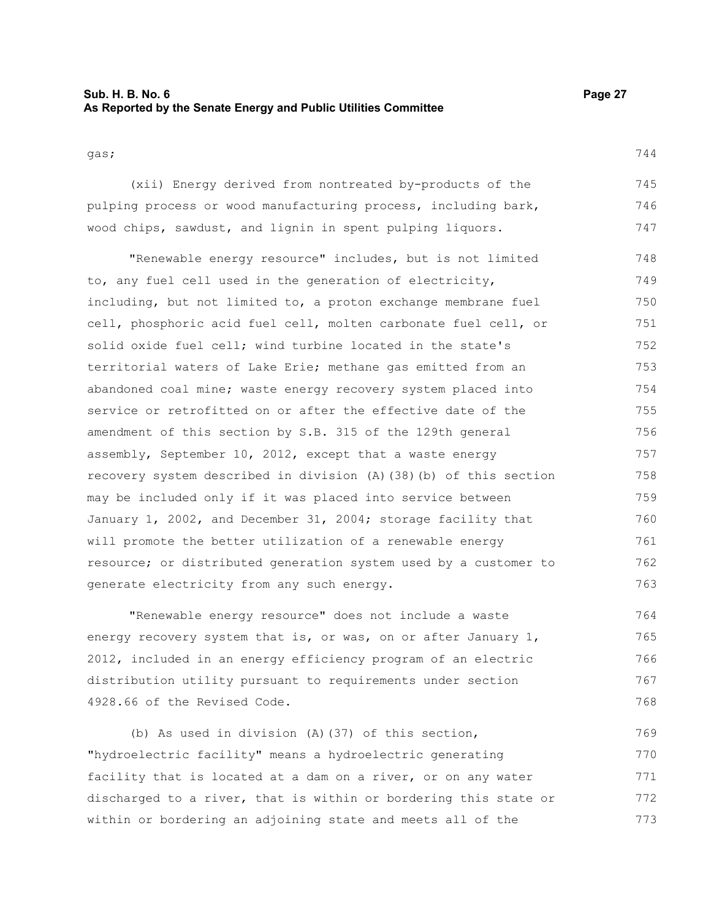### **Sub. H. B. No. 6 Page 27 As Reported by the Senate Energy and Public Utilities Committee**

744

gas;

(xii) Energy derived from nontreated by-products of the pulping process or wood manufacturing process, including bark, wood chips, sawdust, and lignin in spent pulping liquors. 745 746 747

"Renewable energy resource" includes, but is not limited to, any fuel cell used in the generation of electricity, including, but not limited to, a proton exchange membrane fuel cell, phosphoric acid fuel cell, molten carbonate fuel cell, or solid oxide fuel cell; wind turbine located in the state's territorial waters of Lake Erie; methane gas emitted from an abandoned coal mine; waste energy recovery system placed into service or retrofitted on or after the effective date of the amendment of this section by S.B. 315 of the 129th general assembly, September 10, 2012, except that a waste energy recovery system described in division (A)(38)(b) of this section may be included only if it was placed into service between January 1, 2002, and December 31, 2004; storage facility that will promote the better utilization of a renewable energy resource; or distributed generation system used by a customer to generate electricity from any such energy. 748 749 750 751 752 753 754 755 756 757 758 759 760 761 762 763

"Renewable energy resource" does not include a waste energy recovery system that is, or was, on or after January  $1$ , 2012, included in an energy efficiency program of an electric distribution utility pursuant to requirements under section 4928.66 of the Revised Code. 764 765 766 767 768

(b) As used in division (A)(37) of this section, "hydroelectric facility" means a hydroelectric generating facility that is located at a dam on a river, or on any water discharged to a river, that is within or bordering this state or within or bordering an adjoining state and meets all of the 769 770 771 772 773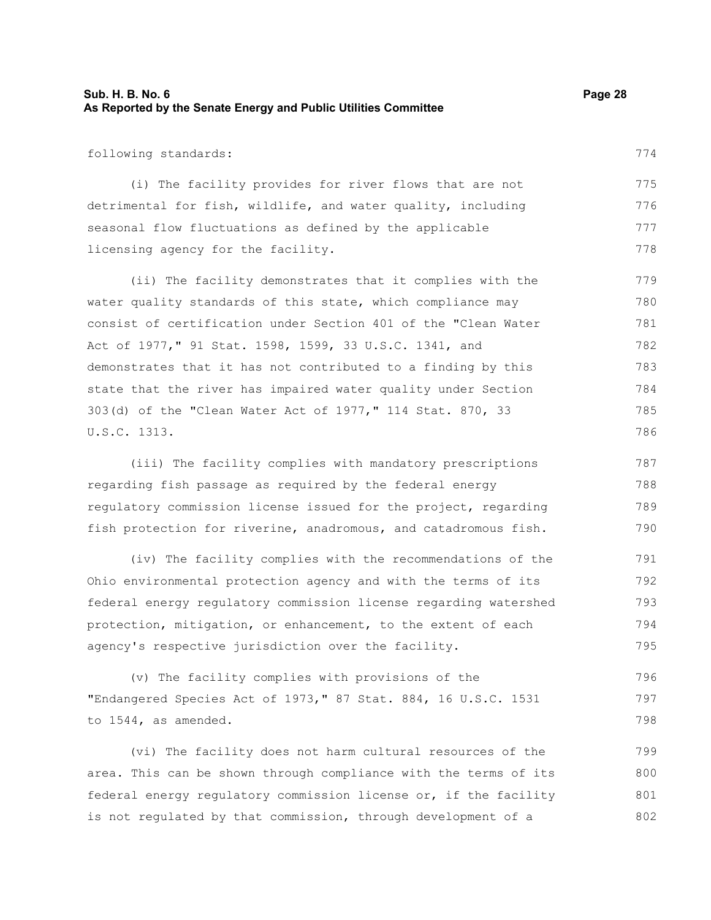### **Sub. H. B. No. 6 Page 28 As Reported by the Senate Energy and Public Utilities Committee**

following standards:

(i) The facility provides for river flows that are not detrimental for fish, wildlife, and water quality, including seasonal flow fluctuations as defined by the applicable licensing agency for the facility. 775 776 777 778

(ii) The facility demonstrates that it complies with the water quality standards of this state, which compliance may consist of certification under Section 401 of the "Clean Water Act of 1977," 91 Stat. 1598, 1599, 33 U.S.C. 1341, and demonstrates that it has not contributed to a finding by this state that the river has impaired water quality under Section 303(d) of the "Clean Water Act of 1977," 114 Stat. 870, 33 U.S.C. 1313. 779 780 781 782 783 784 785

(iii) The facility complies with mandatory prescriptions regarding fish passage as required by the federal energy regulatory commission license issued for the project, regarding fish protection for riverine, anadromous, and catadromous fish. 787 788 789 790

(iv) The facility complies with the recommendations of the Ohio environmental protection agency and with the terms of its federal energy regulatory commission license regarding watershed protection, mitigation, or enhancement, to the extent of each agency's respective jurisdiction over the facility. 791 792 793 794 795

(v) The facility complies with provisions of the "Endangered Species Act of 1973," 87 Stat. 884, 16 U.S.C. 1531 to 1544, as amended. 796 797 798

(vi) The facility does not harm cultural resources of the area. This can be shown through compliance with the terms of its federal energy regulatory commission license or, if the facility is not regulated by that commission, through development of a 799 800 801 802

774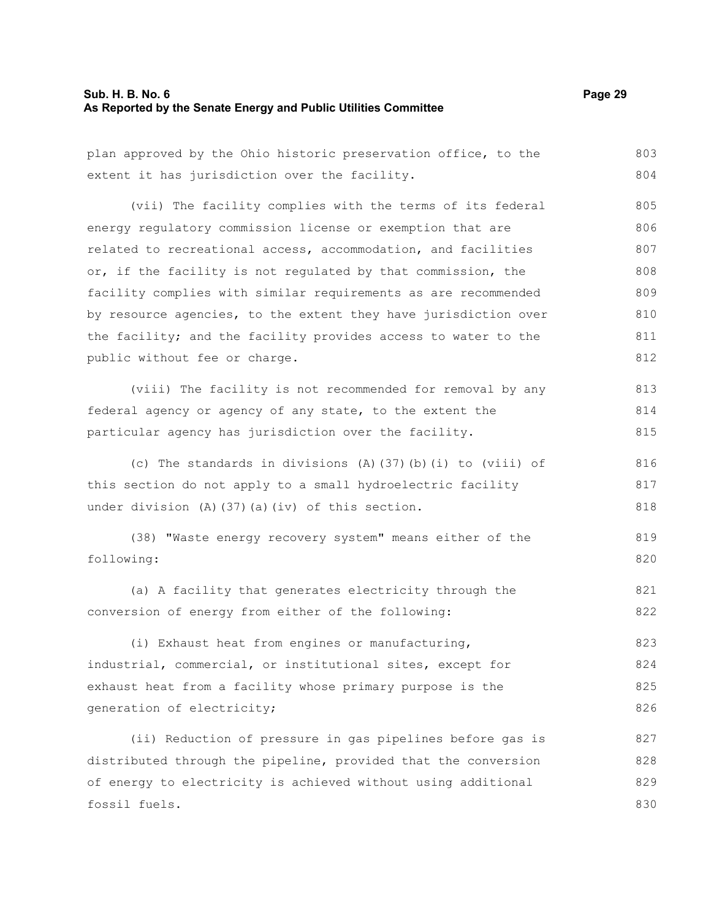## **Sub. H. B. No. 6 Page 29 As Reported by the Senate Energy and Public Utilities Committee**

| plan approved by the Ohio historic preservation office, to the  | 803 |
|-----------------------------------------------------------------|-----|
| extent it has jurisdiction over the facility.                   | 804 |
| (vii) The facility complies with the terms of its federal       | 805 |
| energy regulatory commission license or exemption that are      | 806 |
| related to recreational access, accommodation, and facilities   | 807 |
| or, if the facility is not regulated by that commission, the    | 808 |
| facility complies with similar requirements as are recommended  | 809 |
| by resource agencies, to the extent they have jurisdiction over | 810 |
| the facility; and the facility provides access to water to the  | 811 |
| public without fee or charge.                                   | 812 |
| (viii) The facility is not recommended for removal by any       | 813 |
| federal agency or agency of any state, to the extent the        | 814 |
| particular agency has jurisdiction over the facility.           | 815 |
| (c) The standards in divisions (A) (37) (b) (i) to (viii) of    | 816 |
| this section do not apply to a small hydroelectric facility     | 817 |
| under division (A) (37) (a) (iv) of this section.               | 818 |
| (38) "Waste energy recovery system" means either of the         | 819 |
| following:                                                      | 820 |
| (a) A facility that generates electricity through the           | 821 |
| conversion of energy from either of the following:              | 822 |
| (i) Exhaust heat from engines or manufacturing,                 | 823 |
| industrial, commercial, or institutional sites, except for      | 824 |
| exhaust heat from a facility whose primary purpose is the       | 825 |
| generation of electricity;                                      | 826 |
| (ii) Reduction of pressure in gas pipelines before gas is       | 827 |
| distributed through the pipeline, provided that the conversion  | 828 |
| of energy to electricity is achieved without using additional   | 829 |
| fossil fuels.                                                   | 830 |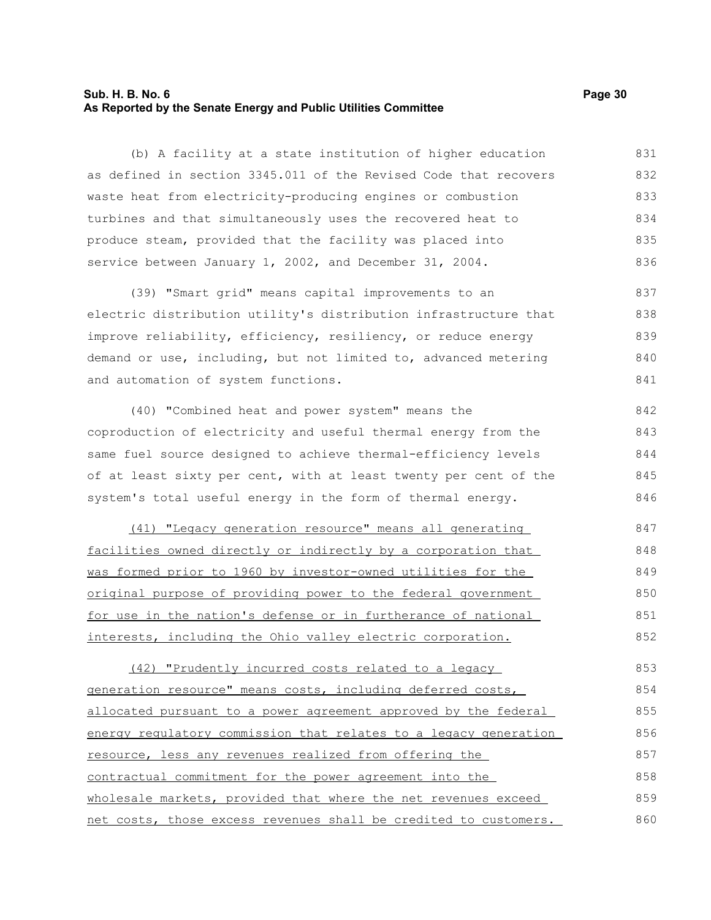### **Sub. H. B. No. 6 Page 30 As Reported by the Senate Energy and Public Utilities Committee**

(b) A facility at a state institution of higher education as defined in section 3345.011 of the Revised Code that recovers waste heat from electricity-producing engines or combustion turbines and that simultaneously uses the recovered heat to produce steam, provided that the facility was placed into service between January 1, 2002, and December 31, 2004. 831 832 833 834 835 836

(39) "Smart grid" means capital improvements to an electric distribution utility's distribution infrastructure that improve reliability, efficiency, resiliency, or reduce energy demand or use, including, but not limited to, advanced metering and automation of system functions. 837 838 839 840 841

(40) "Combined heat and power system" means the coproduction of electricity and useful thermal energy from the same fuel source designed to achieve thermal-efficiency levels of at least sixty per cent, with at least twenty per cent of the system's total useful energy in the form of thermal energy. 842 843 844 845 846

(41) "Legacy generation resource" means all generating facilities owned directly or indirectly by a corporation that was formed prior to 1960 by investor-owned utilities for the original purpose of providing power to the federal government for use in the nation's defense or in furtherance of national interests, including the Ohio valley electric corporation. 847 848 849 850 851 852

(42) "Prudently incurred costs related to a legacy generation resource" means costs, including deferred costs, allocated pursuant to a power agreement approved by the federal energy regulatory commission that relates to a legacy generation resource, less any revenues realized from offering the contractual commitment for the power agreement into the wholesale markets, provided that where the net revenues exceed net costs, those excess revenues shall be credited to customers. 853 854 855 856 857 858 859 860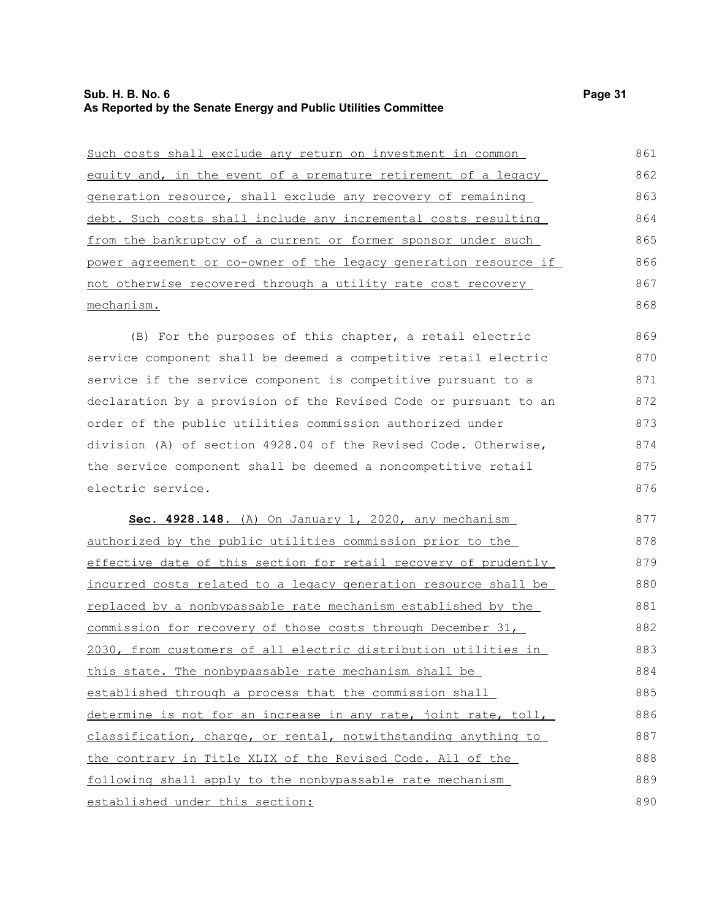| Such costs shall exclude any return on investment in common      | 861 |
|------------------------------------------------------------------|-----|
| equity and, in the event of a premature retirement of a legacy   | 862 |
| generation resource, shall exclude any recovery of remaining     | 863 |
| debt. Such costs shall include any incremental costs resulting   | 864 |
| from the bankruptcy of a current or former sponsor under such    | 865 |
| power agreement or co-owner of the legacy generation resource if | 866 |
| not otherwise recovered through a utility rate cost recovery     | 867 |
| mechanism.                                                       | 868 |

(B) For the purposes of this chapter, a retail electric service component shall be deemed a competitive retail electric service if the service component is competitive pursuant to a declaration by a provision of the Revised Code or pursuant to an order of the public utilities commission authorized under division (A) of section 4928.04 of the Revised Code. Otherwise, the service component shall be deemed a noncompetitive retail electric service. 869 870 871 872 873 874 875 876

 **Sec. 4928.148.** (A) On January 1, 2020, any mechanism authorized by the public utilities commission prior to the effective date of this section for retail recovery of prudently incurred costs related to a legacy generation resource shall be replaced by a nonbypassable rate mechanism established by the commission for recovery of those costs through December 31, 2030, from customers of all electric distribution utilities in this state. The nonbypassable rate mechanism shall be established through a process that the commission shall determine is not for an increase in any rate, joint rate, toll, classification, charge, or rental, notwithstanding anything to the contrary in Title XLIX of the Revised Code. All of the following shall apply to the nonbypassable rate mechanism established under this section: 877 878 879 880 881 882 883 884 885 886 887 888 889 890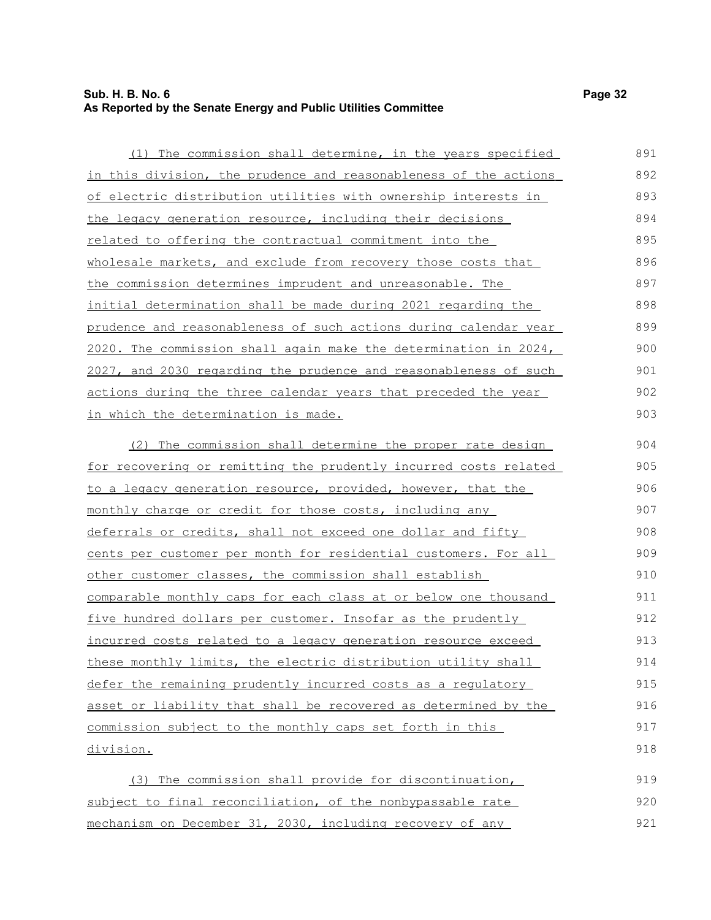### **Sub. H. B. No. 6 Page 32 As Reported by the Senate Energy and Public Utilities Committee**

in which the determination is made.

 (1) The commission shall determine, in the years specified in this division, the prudence and reasonableness of the actions of electric distribution utilities with ownership interests in the legacy generation resource, including their decisions related to offering the contractual commitment into the wholesale markets, and exclude from recovery those costs that the commission determines imprudent and unreasonable. The initial determination shall be made during 2021 regarding the prudence and reasonableness of such actions during calendar year 2020. The commission shall again make the determination in 2024, 2027, and 2030 regarding the prudence and reasonableness of such actions during the three calendar years that preceded the year

(2) The commission shall determine the proper rate design for recovering or remitting the prudently incurred costs related to a legacy generation resource, provided, however, that the monthly charge or credit for those costs, including any deferrals or credits, shall not exceed one dollar and fifty cents per customer per month for residential customers. For all other customer classes, the commission shall establish comparable monthly caps for each class at or below one thousand five hundred dollars per customer. Insofar as the prudently incurred costs related to a legacy generation resource exceed these monthly limits, the electric distribution utility shall defer the remaining prudently incurred costs as a regulatory asset or liability that shall be recovered as determined by the commission subject to the monthly caps set forth in this division. 904 905 906 907 908 909 910 911 912 913 914 915 916 917 918

(3) The commission shall provide for discontinuation, subject to final reconciliation, of the nonbypassable rate mechanism on December 31, 2030, including recovery of any 919 920 921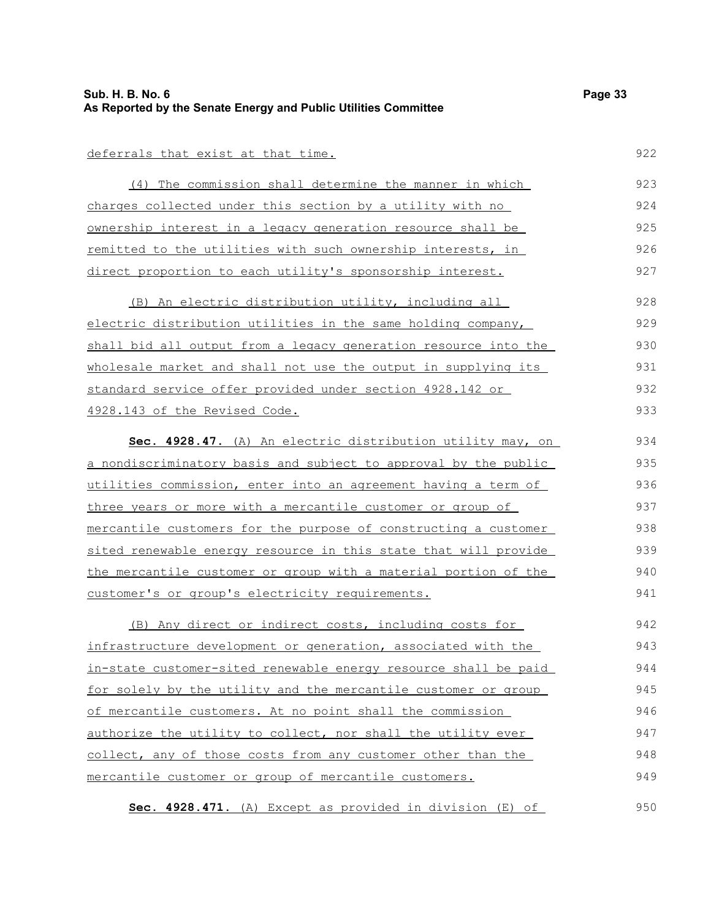922

950

### deferrals that exist at that time.

(4) The commission shall determine the manner in which charges collected under this section by a utility with no ownership interest in a legacy generation resource shall be remitted to the utilities with such ownership interests, in direct proportion to each utility's sponsorship interest. 923 924 925 926 927

(B) An electric distribution utility, including all electric distribution utilities in the same holding company, shall bid all output from a legacy generation resource into the wholesale market and shall not use the output in supplying its standard service offer provided under section 4928.142 or 4928.143 of the Revised Code. 928 929 930 931 932 933

 **Sec. 4928.47.** (A) An electric distribution utility may, on a nondiscriminatory basis and subject to approval by the public utilities commission, enter into an agreement having a term of three years or more with a mercantile customer or group of mercantile customers for the purpose of constructing a customer sited renewable energy resource in this state that will provide the mercantile customer or group with a material portion of the customer's or group's electricity requirements. 934 935 936 937 938 939 940 941

(B) Any direct or indirect costs, including costs for infrastructure development or generation, associated with the in-state customer-sited renewable energy resource shall be paid for solely by the utility and the mercantile customer or group of mercantile customers. At no point shall the commission authorize the utility to collect, nor shall the utility ever collect, any of those costs from any customer other than the mercantile customer or group of mercantile customers. 942 943 944 945 946 947 948 949

**Sec. 4928.471.** (A) Except as provided in division (E) of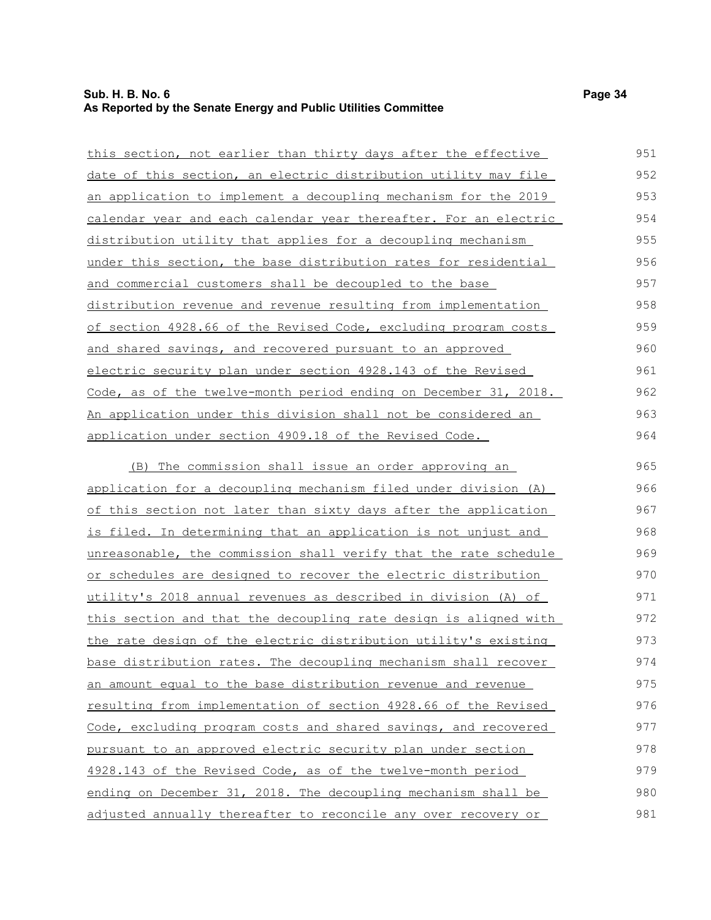| this section, not earlier than thirty days after the effective         | 951 |
|------------------------------------------------------------------------|-----|
| date of this section, an electric distribution utility may file        | 952 |
| <u>an application to implement a decoupling mechanism for the 2019</u> | 953 |
| calendar year and each calendar year thereafter. For an electric       | 954 |
| distribution utility that applies for a decoupling mechanism           | 955 |
| under this section, the base distribution rates for residential        | 956 |
| and commercial customers shall be decoupled to the base                | 957 |
| distribution revenue and revenue resulting from implementation         | 958 |
| of section 4928.66 of the Revised Code, excluding program costs        | 959 |
| and shared savings, and recovered pursuant to an approved              | 960 |
| electric security plan under section 4928.143 of the Revised           | 961 |
| Code, as of the twelve-month period ending on December 31, 2018.       | 962 |
| <u>An application under this division shall not be considered an</u>   | 963 |
| application under section 4909.18 of the Revised Code.                 | 964 |
| (B) The commission shall issue an order approving an                   | 965 |
| application for a decoupling mechanism filed under division (A)        | 966 |
| of this section not later than sixty days after the application        | 967 |
| is filed. In determining that an application is not unjust and         | 968 |
| unreasonable, the commission shall verify that the rate schedule       | 969 |
| <u>or schedules are designed to recover the electric distribution</u>  | 970 |
| utility's 2018 annual revenues as described in division (A) of         | 971 |
| this section and that the decoupling rate design is aligned with       | 972 |
| the rate design of the electric distribution utility's existing        | 973 |
| base distribution rates. The decoupling mechanism shall recover        | 974 |
| an amount equal to the base distribution revenue and revenue           | 975 |
| resulting from implementation of section 4928.66 of the Revised        | 976 |

Code, excluding program costs and shared savings, and recovered

pursuant to an approved electric security plan under section 4928.143 of the Revised Code, as of the twelve-month period

ending on December 31, 2018. The decoupling mechanism shall be adjusted annually thereafter to reconcile any over recovery or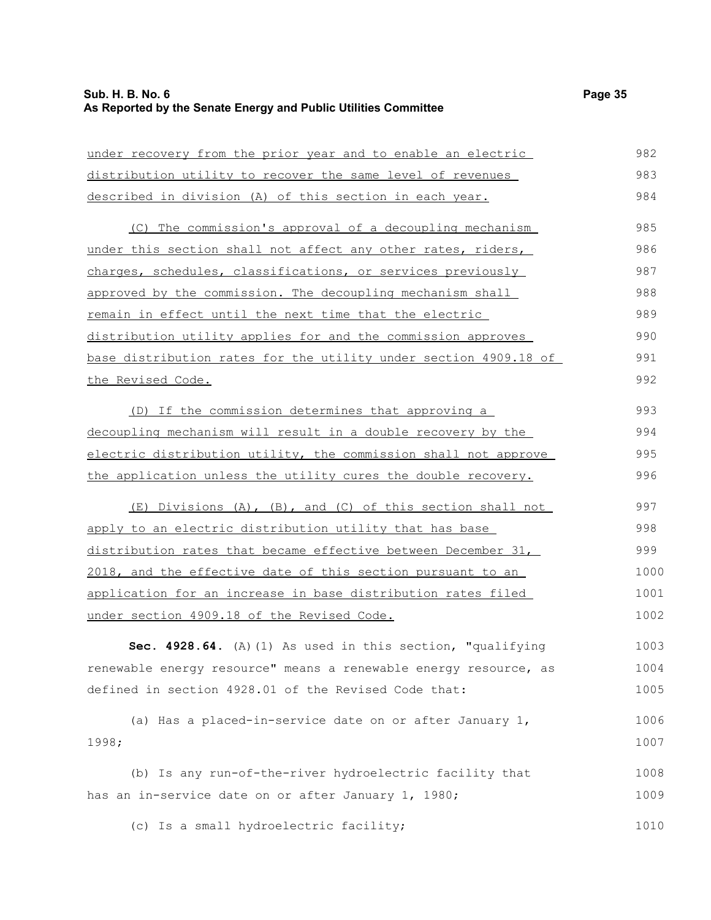## **Sub. H. B. No. 6 Page 35 As Reported by the Senate Energy and Public Utilities Committee**

| under recovery from the prior year and to enable an electric     | 982  |
|------------------------------------------------------------------|------|
| distribution utility to recover the same level of revenues       | 983  |
| described in division (A) of this section in each year.          | 984  |
| (C) The commission's approval of a decoupling mechanism          | 985  |
| under this section shall not affect any other rates, riders,     | 986  |
| charges, schedules, classifications, or services previously      | 987  |
| approved by the commission. The decoupling mechanism shall       | 988  |
| remain in effect until the next time that the electric           | 989  |
| distribution utility applies for and the commission approves     | 990  |
| base distribution rates for the utility under section 4909.18 of | 991  |
| the Revised Code.                                                | 992  |
| (D) If the commission determines that approving a                | 993  |
| decoupling mechanism will result in a double recovery by the     | 994  |
| electric distribution utility, the commission shall not approve  | 995  |
| the application unless the utility cures the double recovery.    | 996  |
| (E) Divisions (A), (B), and (C) of this section shall not        | 997  |
| apply to an electric distribution utility that has base          | 998  |
| distribution rates that became effective between December 31,    | 999  |
| 2018, and the effective date of this section pursuant to an      | 1000 |
| application for an increase in base distribution rates filed     | 1001 |
| under section 4909.18 of the Revised Code.                       | 1002 |
| Sec. 4928.64. (A) (1) As used in this section, "qualifying       | 1003 |
| renewable energy resource" means a renewable energy resource, as | 1004 |
| defined in section 4928.01 of the Revised Code that:             | 1005 |
| (a) Has a placed-in-service date on or after January 1,          | 1006 |
| 1998;                                                            | 1007 |
| (b) Is any run-of-the-river hydroelectric facility that          | 1008 |
| has an in-service date on or after January 1, 1980;              | 1009 |
| (c) Is a small hydroelectric facility;                           | 1010 |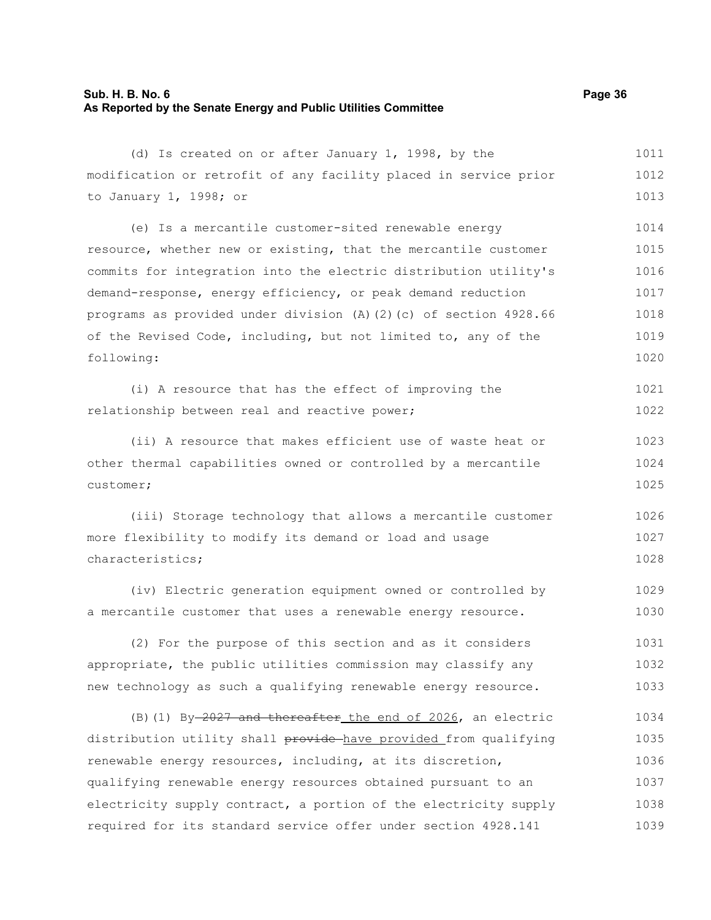## **Sub. H. B. No. 6 Page 36 As Reported by the Senate Energy and Public Utilities Committee**

| (d) Is created on or after January 1, 1998, by the               | 1011 |
|------------------------------------------------------------------|------|
| modification or retrofit of any facility placed in service prior | 1012 |
| to January 1, 1998; or                                           | 1013 |
| (e) Is a mercantile customer-sited renewable energy              | 1014 |
| resource, whether new or existing, that the mercantile customer  | 1015 |
| commits for integration into the electric distribution utility's | 1016 |
| demand-response, energy efficiency, or peak demand reduction     | 1017 |
| programs as provided under division (A)(2)(c) of section 4928.66 | 1018 |
| of the Revised Code, including, but not limited to, any of the   | 1019 |
| following:                                                       | 1020 |
| (i) A resource that has the effect of improving the              | 1021 |
| relationship between real and reactive power;                    | 1022 |
| (ii) A resource that makes efficient use of waste heat or        | 1023 |
| other thermal capabilities owned or controlled by a mercantile   | 1024 |
| customer;                                                        | 1025 |
| (iii) Storage technology that allows a mercantile customer       | 1026 |
| more flexibility to modify its demand or load and usage          | 1027 |
| characteristics;                                                 | 1028 |
| (iv) Electric generation equipment owned or controlled by        | 1029 |
| a mercantile customer that uses a renewable energy resource.     | 1030 |
| (2) For the purpose of this section and as it considers          | 1031 |
| appropriate, the public utilities commission may classify any    | 1032 |
| new technology as such a qualifying renewable energy resource.   | 1033 |
| (B) (1) By-2027 and thereafter the end of 2026, an electric      | 1034 |
| distribution utility shall provide have provided from qualifying | 1035 |
| renewable energy resources, including, at its discretion,        | 1036 |
| qualifying renewable energy resources obtained pursuant to an    | 1037 |
| electricity supply contract, a portion of the electricity supply | 1038 |
| required for its standard service offer under section 4928.141   | 1039 |
|                                                                  |      |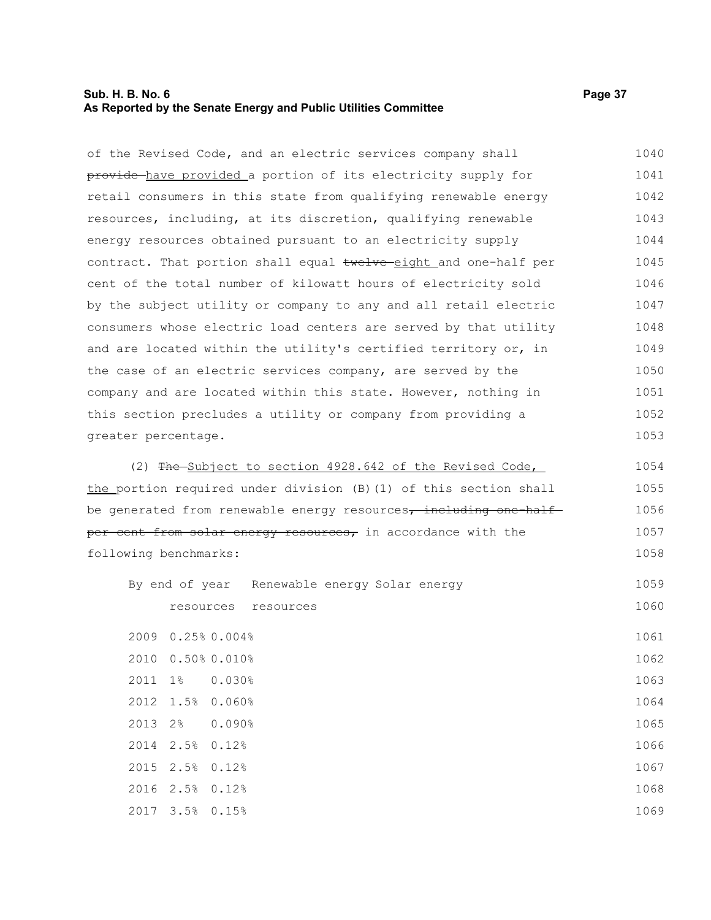## **Sub. H. B. No. 6 Page 37 As Reported by the Senate Energy and Public Utilities Committee**

3.5% 0.15%

| of the Revised Code, and an electric services company shall       | 1040 |
|-------------------------------------------------------------------|------|
| provide have provided a portion of its electricity supply for     | 1041 |
| retail consumers in this state from qualifying renewable energy   | 1042 |
| resources, including, at its discretion, qualifying renewable     | 1043 |
| energy resources obtained pursuant to an electricity supply       | 1044 |
| contract. That portion shall equal twelve eight and one-half per  | 1045 |
| cent of the total number of kilowatt hours of electricity sold    | 1046 |
| by the subject utility or company to any and all retail electric  | 1047 |
| consumers whose electric load centers are served by that utility  | 1048 |
| and are located within the utility's certified territory or, in   | 1049 |
| the case of an electric services company, are served by the       | 1050 |
| company and are located within this state. However, nothing in    | 1051 |
| this section precludes a utility or company from providing a      | 1052 |
| greater percentage.                                               | 1053 |
| (2) The Subject to section 4928.642 of the Revised Code,          | 1054 |
| the portion required under division (B) (1) of this section shall | 1055 |
| be generated from renewable energy resources, including one-half- | 1056 |
| per cent from solar energy resources, in accordance with the      | 1057 |
| following benchmarks:                                             | 1058 |
| By end of year Renewable energy Solar energy                      | 1059 |
| resources resources                                               | 1060 |
| 2009 0.25% 0.004%                                                 | 1061 |
| 2010 0.50% 0.010%                                                 | 1062 |
| 2011<br>$1\%$<br>0.030%                                           | 1063 |
| 1.5%<br>0.060%<br>2012                                            | 1064 |
| 2013<br>2%<br>0.090%                                              | 1065 |
| 2.5%<br>2014<br>0.12%                                             | 1066 |
| 2015<br>2.5%<br>0.12%                                             | 1067 |
| 2016 2.5% 0.12%                                                   | 1068 |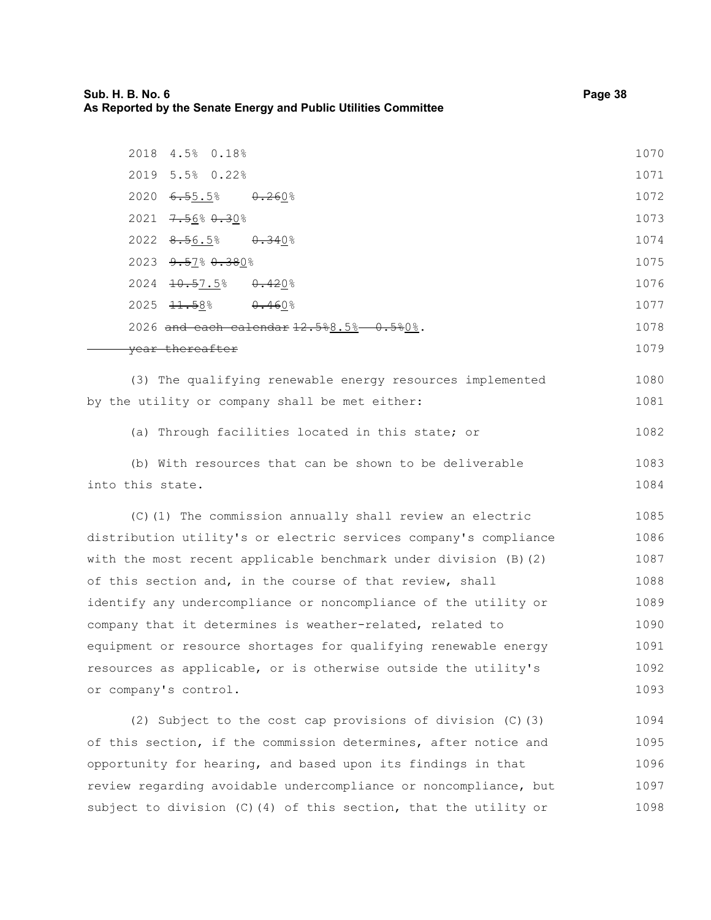| 2018 4.5% 0.18%                                                      | 1070 |
|----------------------------------------------------------------------|------|
| 2019 5.5% 0.22%                                                      | 1071 |
| 2020<br><del>6.5</del> 5.5%<br>0.2608                                | 1072 |
| 2021 $7.5680.308$                                                    | 1073 |
| $2022$ $8.56.5%$<br><del>0.34</del> 0%                               | 1074 |
| 2023 9.57% 0.380%                                                    | 1075 |
| 2024 <del>10.5</del> 7.5% 0.420%                                     | 1076 |
| $2025$ $\frac{11.58}{1}$<br>$0.460\%$                                | 1077 |
| 2026 and each calendar $12.588.5% -0.580%$ .                         | 1078 |
| year thereafter                                                      | 1079 |
| (3) The qualifying renewable energy resources implemented            | 1080 |
| by the utility or company shall be met either:                       | 1081 |
| (a) Through facilities located in this state; or                     | 1082 |
| (b) With resources that can be shown to be deliverable               | 1083 |
| into this state.                                                     | 1084 |
| (C) (1) The commission annually shall review an electric             | 1085 |
| distribution utility's or electric services company's compliance     | 1086 |
| with the most recent applicable benchmark under division $(B)$ $(2)$ | 1087 |
| of this section and, in the course of that review, shall             | 1088 |
| identify any undercompliance or noncompliance of the utility or      | 1089 |
| company that it determines is weather-related, related to            | 1090 |
| equipment or resource shortages for qualifying renewable energy      | 1091 |
| resources as applicable, or is otherwise outside the utility's       | 1092 |
| or company's control.                                                | 1093 |
| (2) Subject to the cost cap provisions of division (C) (3)           | 1094 |
| of this section, if the commission determines, after notice and      | 1095 |

opportunity for hearing, and based upon its findings in that review regarding avoidable undercompliance or noncompliance, but subject to division (C)(4) of this section, that the utility or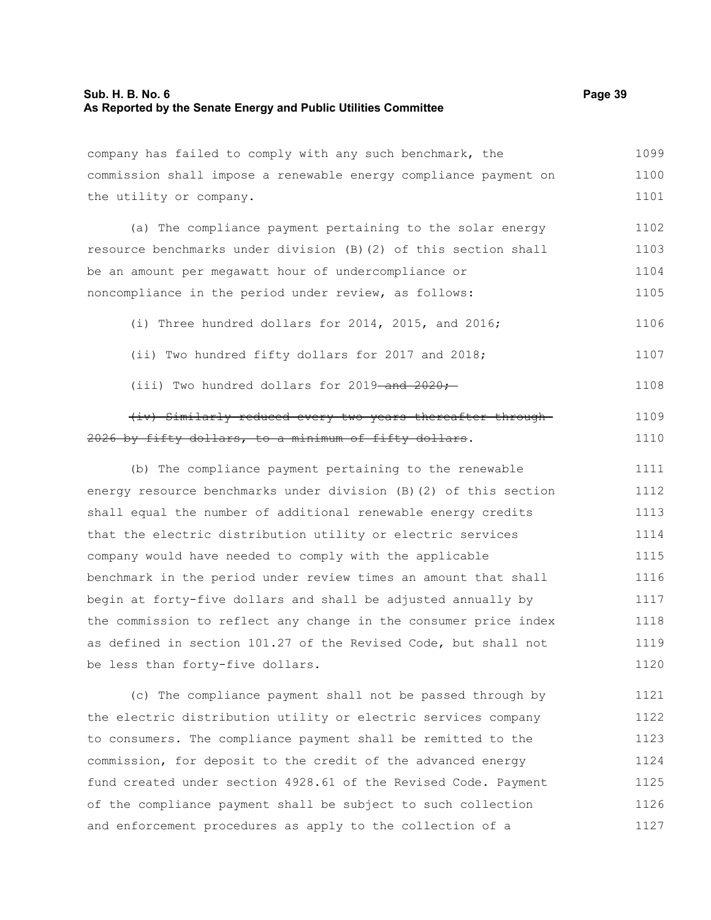| company has failed to comply with any such benchmark, the         | 1099 |
|-------------------------------------------------------------------|------|
| commission shall impose a renewable energy compliance payment on  | 1100 |
| the utility or company.                                           | 1101 |
| (a) The compliance payment pertaining to the solar energy         | 1102 |
| resource benchmarks under division (B) (2) of this section shall  | 1103 |
| be an amount per megawatt hour of undercompliance or              | 1104 |
| noncompliance in the period under review, as follows:             | 1105 |
| (i) Three hundred dollars for 2014, 2015, and 2016;               | 1106 |
| (ii) Two hundred fifty dollars for 2017 and 2018;                 | 1107 |
| (iii) Two hundred dollars for 2019-and 2020;                      | 1108 |
| (iv) Similarly reduced every two years thereafter through-        | 1109 |
| 2026 by fifty dollars, to a minimum of fifty dollars.             | 1110 |
| (b) The compliance payment pertaining to the renewable            | 1111 |
| energy resource benchmarks under division (B) (2) of this section | 1112 |
| shall equal the number of additional renewable energy credits     | 1113 |
| that the electric distribution utility or electric services       | 1114 |
| company would have needed to comply with the applicable           | 1115 |
| benchmark in the period under review times an amount that shall   | 1116 |
| begin at forty-five dollars and shall be adjusted annually by     | 1117 |
| the commission to reflect any change in the consumer price index  | 1118 |
| as defined in section 101.27 of the Revised Code, but shall not   | 1119 |
| be less than forty-five dollars.                                  | 1120 |
| (c) The compliance payment shall not be passed through by         | 1121 |
| the electric distribution utility or electric services company    | 1122 |
|                                                                   |      |
| to consumers. The compliance payment shall be remitted to the     | 1123 |

fund created under section 4928.61 of the Revised Code. Payment of the compliance payment shall be subject to such collection and enforcement procedures as apply to the collection of a 1125 1126 1127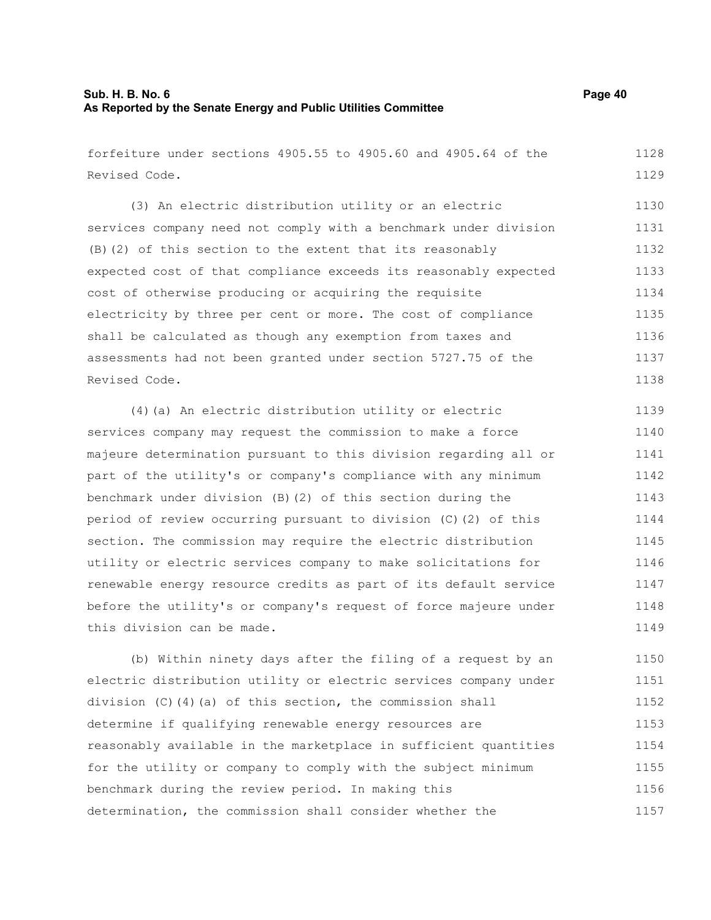forfeiture under sections 4905.55 to 4905.60 and 4905.64 of the Revised Code. 1128 1129

(3) An electric distribution utility or an electric services company need not comply with a benchmark under division (B)(2) of this section to the extent that its reasonably expected cost of that compliance exceeds its reasonably expected cost of otherwise producing or acquiring the requisite electricity by three per cent or more. The cost of compliance shall be calculated as though any exemption from taxes and assessments had not been granted under section 5727.75 of the Revised Code. 1130 1131 1132 1133 1134 1135 1136 1137 1138

(4)(a) An electric distribution utility or electric services company may request the commission to make a force majeure determination pursuant to this division regarding all or part of the utility's or company's compliance with any minimum benchmark under division (B)(2) of this section during the period of review occurring pursuant to division (C)(2) of this section. The commission may require the electric distribution utility or electric services company to make solicitations for renewable energy resource credits as part of its default service before the utility's or company's request of force majeure under this division can be made. 1139 1140 1141 1142 1143 1144 1145 1146 1147 1148 1149

(b) Within ninety days after the filing of a request by an electric distribution utility or electric services company under division (C)(4)(a) of this section, the commission shall determine if qualifying renewable energy resources are reasonably available in the marketplace in sufficient quantities for the utility or company to comply with the subject minimum benchmark during the review period. In making this determination, the commission shall consider whether the 1150 1151 1152 1153 1154 1155 1156 1157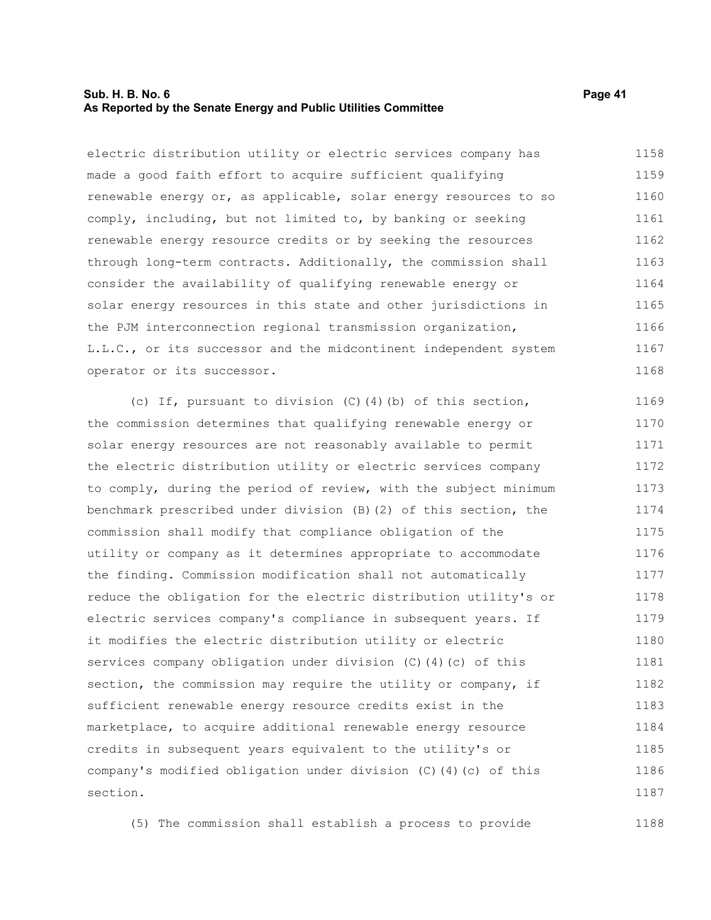### **Sub. H. B. No. 6 Page 41 As Reported by the Senate Energy and Public Utilities Committee**

electric distribution utility or electric services company has made a good faith effort to acquire sufficient qualifying renewable energy or, as applicable, solar energy resources to so comply, including, but not limited to, by banking or seeking renewable energy resource credits or by seeking the resources through long-term contracts. Additionally, the commission shall consider the availability of qualifying renewable energy or solar energy resources in this state and other jurisdictions in the PJM interconnection regional transmission organization, L.L.C., or its successor and the midcontinent independent system operator or its successor. 1158 1159 1160 1161 1162 1163 1164 1165 1166 1167 1168

(c) If, pursuant to division (C)(4)(b) of this section, the commission determines that qualifying renewable energy or solar energy resources are not reasonably available to permit the electric distribution utility or electric services company to comply, during the period of review, with the subject minimum benchmark prescribed under division (B)(2) of this section, the commission shall modify that compliance obligation of the utility or company as it determines appropriate to accommodate the finding. Commission modification shall not automatically reduce the obligation for the electric distribution utility's or electric services company's compliance in subsequent years. If it modifies the electric distribution utility or electric services company obligation under division (C)(4)(c) of this section, the commission may require the utility or company, if sufficient renewable energy resource credits exist in the marketplace, to acquire additional renewable energy resource credits in subsequent years equivalent to the utility's or company's modified obligation under division (C)(4)(c) of this section. 1169 1170 1171 1172 1173 1174 1175 1176 1177 1178 1179 1180 1181 1182 1183 1184 1185 1186 1187

(5) The commission shall establish a process to provide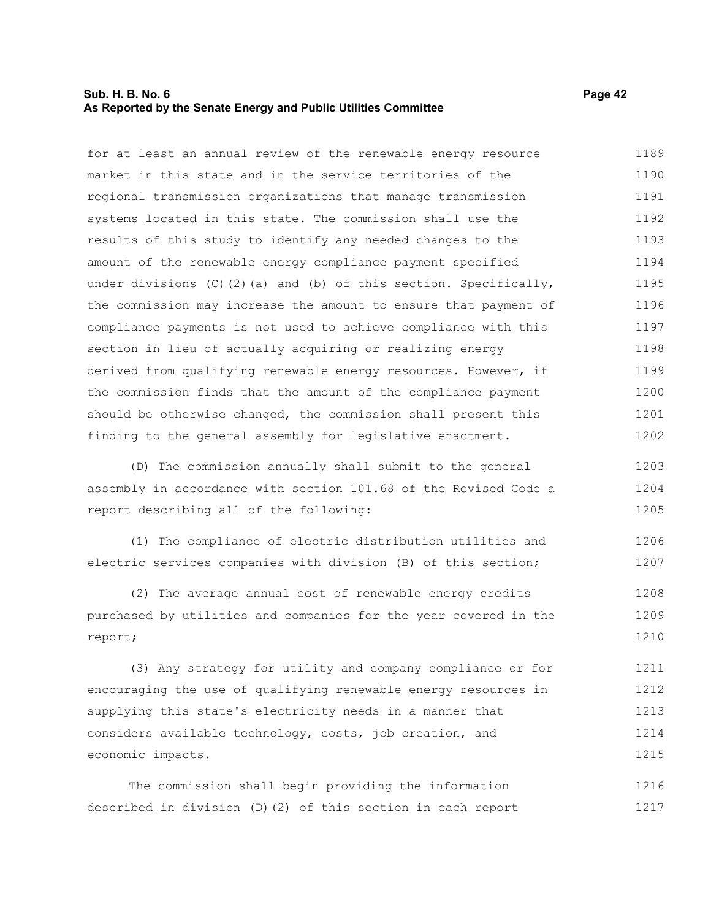### **Sub. H. B. No. 6 Page 42 As Reported by the Senate Energy and Public Utilities Committee**

for at least an annual review of the renewable energy resource market in this state and in the service territories of the regional transmission organizations that manage transmission systems located in this state. The commission shall use the results of this study to identify any needed changes to the amount of the renewable energy compliance payment specified under divisions (C)(2)(a) and (b) of this section. Specifically, the commission may increase the amount to ensure that payment of compliance payments is not used to achieve compliance with this section in lieu of actually acquiring or realizing energy derived from qualifying renewable energy resources. However, if the commission finds that the amount of the compliance payment should be otherwise changed, the commission shall present this finding to the general assembly for legislative enactment. 1189 1190 1191 1192 1193 1194 1195 1196 1197 1198 1199 1200 1201 1202

(D) The commission annually shall submit to the general assembly in accordance with section 101.68 of the Revised Code a report describing all of the following: 1203 1204 1205

(1) The compliance of electric distribution utilities and electric services companies with division (B) of this section; 1206 1207

(2) The average annual cost of renewable energy credits purchased by utilities and companies for the year covered in the report; 1208 1209 1210

(3) Any strategy for utility and company compliance or for encouraging the use of qualifying renewable energy resources in supplying this state's electricity needs in a manner that considers available technology, costs, job creation, and economic impacts. 1211 1212 1213 1214 1215

The commission shall begin providing the information described in division (D)(2) of this section in each report 1216 1217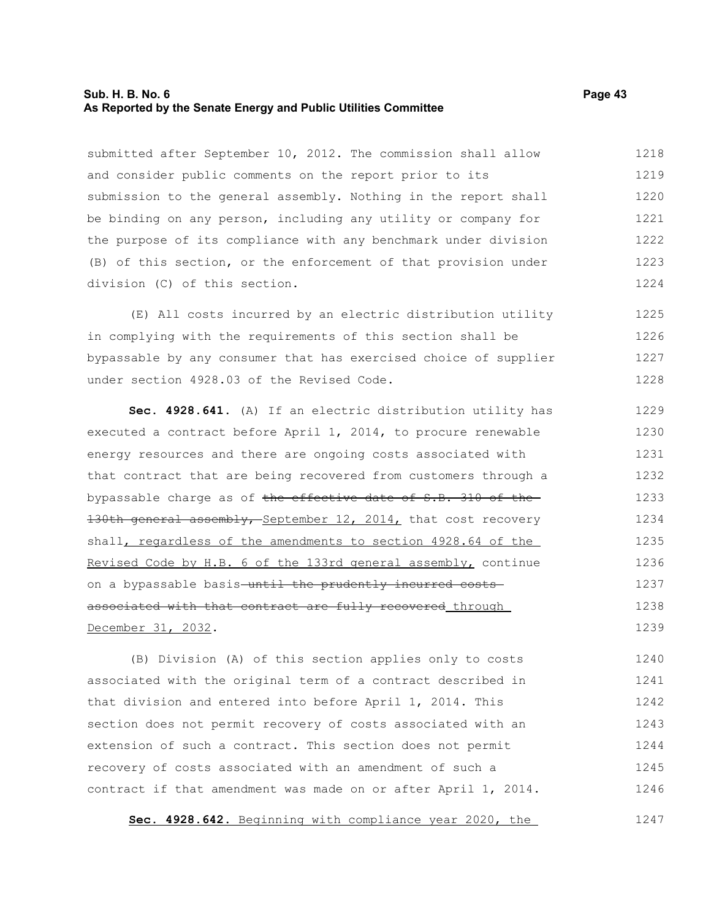### **Sub. H. B. No. 6 Page 43 As Reported by the Senate Energy and Public Utilities Committee**

submitted after September 10, 2012. The commission shall allow and consider public comments on the report prior to its submission to the general assembly. Nothing in the report shall be binding on any person, including any utility or company for the purpose of its compliance with any benchmark under division (B) of this section, or the enforcement of that provision under division (C) of this section. 1218 1219 1220 1221 1222 1223 1224

(E) All costs incurred by an electric distribution utility in complying with the requirements of this section shall be bypassable by any consumer that has exercised choice of supplier under section 4928.03 of the Revised Code. 1225 1226 1227 1228

**Sec. 4928.641.** (A) If an electric distribution utility has executed a contract before April 1, 2014, to procure renewable energy resources and there are ongoing costs associated with that contract that are being recovered from customers through a bypassable charge as of the effective date of S.B. 310 of the-130th general assembly, September 12, 2014, that cost recovery shall, regardless of the amendments to section 4928.64 of the Revised Code by H.B. 6 of the 133rd general assembly, continue on a bypassable basis-until the prudently incurred costsassociated with that contract are fully recovered through December 31, 2032. 1229 1230 1231 1232 1233 1234 1235 1236 1237 1238 1239

(B) Division (A) of this section applies only to costs associated with the original term of a contract described in that division and entered into before April 1, 2014. This section does not permit recovery of costs associated with an extension of such a contract. This section does not permit recovery of costs associated with an amendment of such a contract if that amendment was made on or after April 1, 2014. 1240 1241 1242 1243 1244 1245 1246

 **Sec. 4928.642.** Beginning with compliance year 2020, the 1247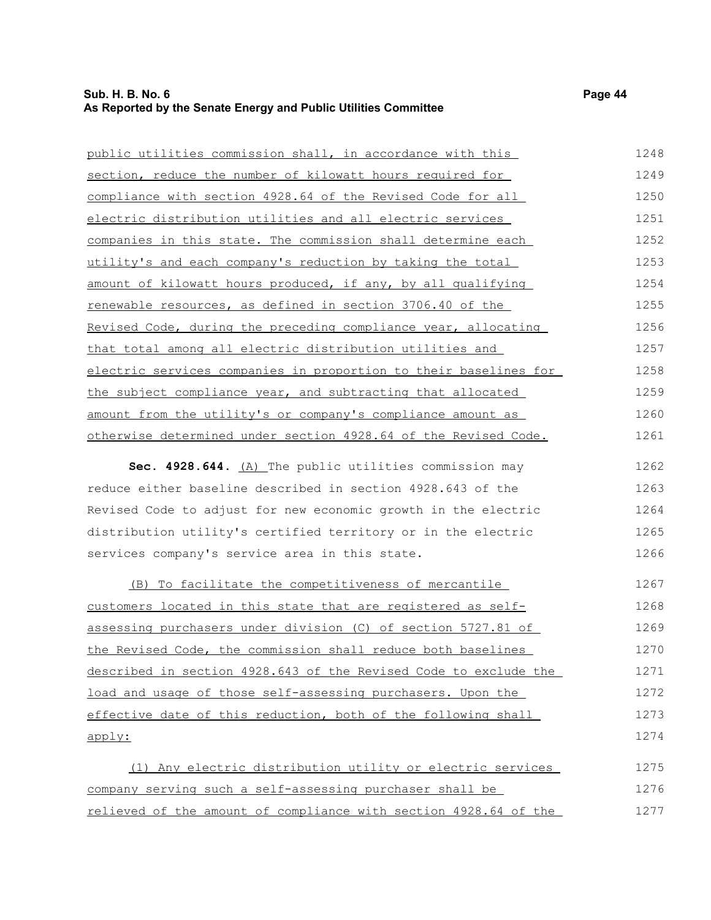| public utilities commission shall, in accordance with this       | 1248 |
|------------------------------------------------------------------|------|
| section, reduce the number of kilowatt hours required for        | 1249 |
| compliance with section 4928.64 of the Revised Code for all      | 1250 |
| electric distribution utilities and all electric services        | 1251 |
| companies in this state. The commission shall determine each     | 1252 |
| utility's and each company's reduction by taking the total       | 1253 |
| amount of kilowatt hours produced, if any, by all qualifying     | 1254 |
| renewable resources, as defined in section 3706.40 of the        | 1255 |
| Revised Code, during the preceding compliance year, allocating   | 1256 |
| that total among all electric distribution utilities and         | 1257 |
| electric services companies in proportion to their baselines for | 1258 |
| the subject compliance year, and subtracting that allocated      | 1259 |
| amount from the utility's or company's compliance amount as      | 1260 |
| otherwise determined under section 4928.64 of the Revised Code.  | 1261 |

Sec. 4928.644. (A) The public utilities commission may reduce either baseline described in section 4928.643 of the Revised Code to adjust for new economic growth in the electric distribution utility's certified territory or in the electric services company's service area in this state. 1262 1263 1264 1265 1266

 (B) To facilitate the competitiveness of mercantile customers located in this state that are registered as selfassessing purchasers under division (C) of section 5727.81 of the Revised Code, the commission shall reduce both baselines described in section 4928.643 of the Revised Code to exclude the load and usage of those self-assessing purchasers. Upon the effective date of this reduction, both of the following shall apply: 1267 1268 1269 1270 1271 1272 1273 1274

(1) Any electric distribution utility or electric services company serving such a self-assessing purchaser shall be relieved of the amount of compliance with section 4928.64 of the 1275 1276 1277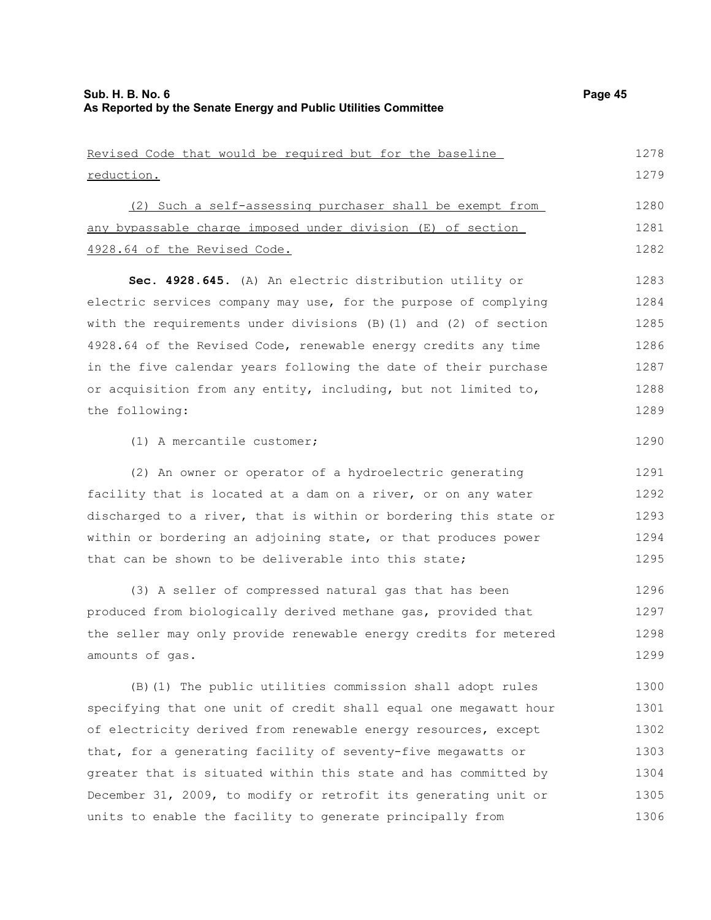1306

| Revised Code that would be required but for the baseline           | 1278 |
|--------------------------------------------------------------------|------|
| reduction.                                                         | 1279 |
| (2) Such a self-assessing purchaser shall be exempt from           | 1280 |
| any bypassable charge imposed under division (E) of section        | 1281 |
| 4928.64 of the Revised Code.                                       | 1282 |
| Sec. 4928.645. (A) An electric distribution utility or             | 1283 |
| electric services company may use, for the purpose of complying    | 1284 |
| with the requirements under divisions $(B)$ (1) and (2) of section | 1285 |
| 4928.64 of the Revised Code, renewable energy credits any time     | 1286 |
| in the five calendar years following the date of their purchase    | 1287 |
| or acquisition from any entity, including, but not limited to,     | 1288 |
| the following:                                                     | 1289 |
| (1) A mercantile customer;                                         | 1290 |
| (2) An owner or operator of a hydroelectric generating             | 1291 |
| facility that is located at a dam on a river, or on any water      | 1292 |
| discharged to a river, that is within or bordering this state or   | 1293 |
| within or bordering an adjoining state, or that produces power     | 1294 |
| that can be shown to be deliverable into this state;               | 1295 |
| (3) A seller of compressed natural gas that has been               | 1296 |
| produced from biologically derived methane gas, provided that      | 1297 |
| the seller may only provide renewable energy credits for metered   | 1298 |
| amounts of gas.                                                    | 1299 |
| (B) (1) The public utilities commission shall adopt rules          | 1300 |
| specifying that one unit of credit shall equal one megawatt hour   | 1301 |
| of electricity derived from renewable energy resources, except     | 1302 |
| that, for a generating facility of seventy-five megawatts or       | 1303 |
| greater that is situated within this state and has committed by    | 1304 |
| December 31, 2009, to modify or retrofit its generating unit or    | 1305 |

units to enable the facility to generate principally from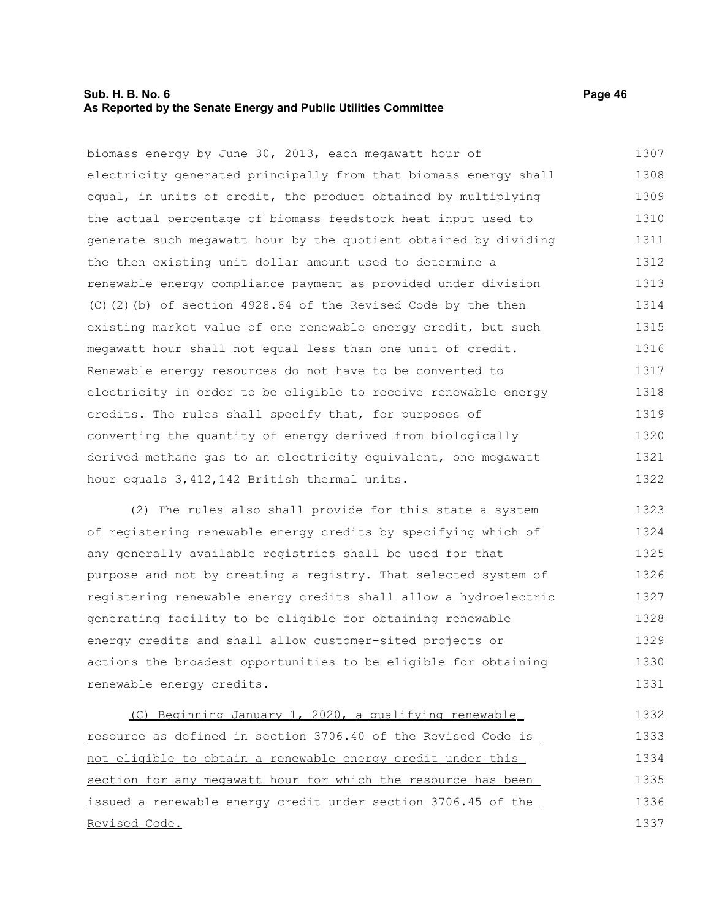### **Sub. H. B. No. 6 Page 46 As Reported by the Senate Energy and Public Utilities Committee**

biomass energy by June 30, 2013, each megawatt hour of electricity generated principally from that biomass energy shall equal, in units of credit, the product obtained by multiplying the actual percentage of biomass feedstock heat input used to generate such megawatt hour by the quotient obtained by dividing the then existing unit dollar amount used to determine a renewable energy compliance payment as provided under division (C)(2)(b) of section 4928.64 of the Revised Code by the then existing market value of one renewable energy credit, but such megawatt hour shall not equal less than one unit of credit. Renewable energy resources do not have to be converted to electricity in order to be eligible to receive renewable energy credits. The rules shall specify that, for purposes of

converting the quantity of energy derived from biologically derived methane gas to an electricity equivalent, one megawatt hour equals 3,412,142 British thermal units. 1320 1321 1322

(2) The rules also shall provide for this state a system of registering renewable energy credits by specifying which of any generally available registries shall be used for that purpose and not by creating a registry. That selected system of registering renewable energy credits shall allow a hydroelectric generating facility to be eligible for obtaining renewable energy credits and shall allow customer-sited projects or actions the broadest opportunities to be eligible for obtaining renewable energy credits. 1323 1324 1325 1326 1327 1328 1329 1330 1331

 (C) Beginning January 1, 2020, a qualifying renewable resource as defined in section 3706.40 of the Revised Code is not eligible to obtain a renewable energy credit under this section for any megawatt hour for which the resource has been issued a renewable energy credit under section 3706.45 of the Revised Code. 1332 1333 1334 1335 1336 1337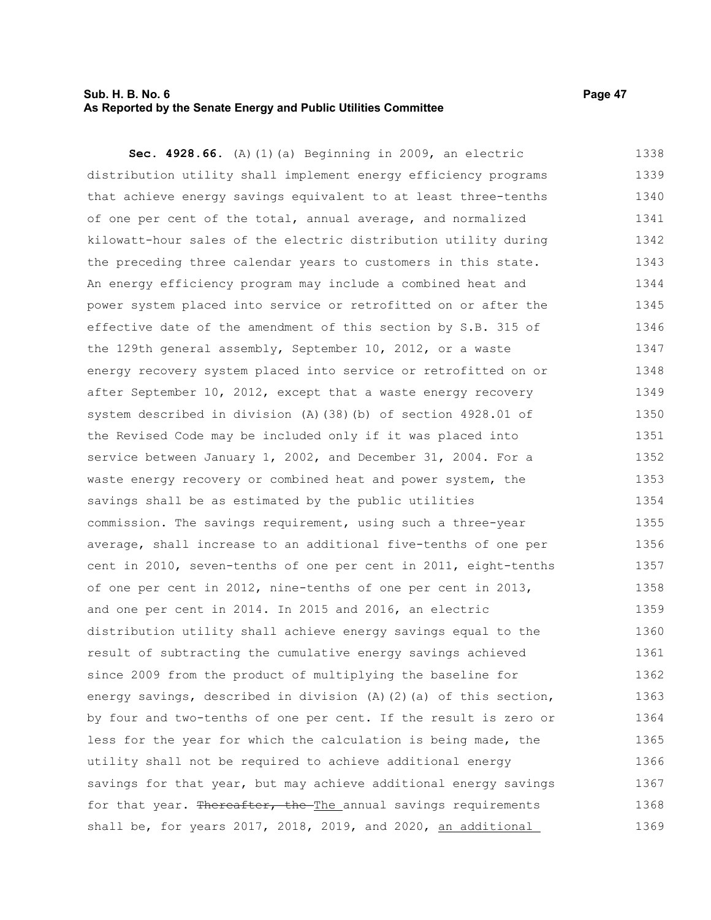### **Sub. H. B. No. 6 Page 47 As Reported by the Senate Energy and Public Utilities Committee**

**Sec. 4928.66.** (A)(1)(a) Beginning in 2009, an electric distribution utility shall implement energy efficiency programs that achieve energy savings equivalent to at least three-tenths of one per cent of the total, annual average, and normalized kilowatt-hour sales of the electric distribution utility during the preceding three calendar years to customers in this state. An energy efficiency program may include a combined heat and power system placed into service or retrofitted on or after the effective date of the amendment of this section by S.B. 315 of the 129th general assembly, September 10, 2012, or a waste energy recovery system placed into service or retrofitted on or after September 10, 2012, except that a waste energy recovery system described in division (A)(38)(b) of section 4928.01 of the Revised Code may be included only if it was placed into service between January 1, 2002, and December 31, 2004. For a waste energy recovery or combined heat and power system, the savings shall be as estimated by the public utilities commission. The savings requirement, using such a three-year average, shall increase to an additional five-tenths of one per cent in 2010, seven-tenths of one per cent in 2011, eight-tenths of one per cent in 2012, nine-tenths of one per cent in 2013, and one per cent in 2014. In 2015 and 2016, an electric distribution utility shall achieve energy savings equal to the result of subtracting the cumulative energy savings achieved since 2009 from the product of multiplying the baseline for energy savings, described in division (A)(2)(a) of this section, by four and two-tenths of one per cent. If the result is zero or less for the year for which the calculation is being made, the utility shall not be required to achieve additional energy savings for that year, but may achieve additional energy savings for that year. Thereafter, the The annual savings requirements shall be, for years 2017, 2018, 2019, and 2020, an additional 1338 1339 1340 1341 1342 1343 1344 1345 1346 1347 1348 1349 1350 1351 1352 1353 1354 1355 1356 1357 1358 1359 1360 1361 1362 1363 1364 1365 1366 1367 1368 1369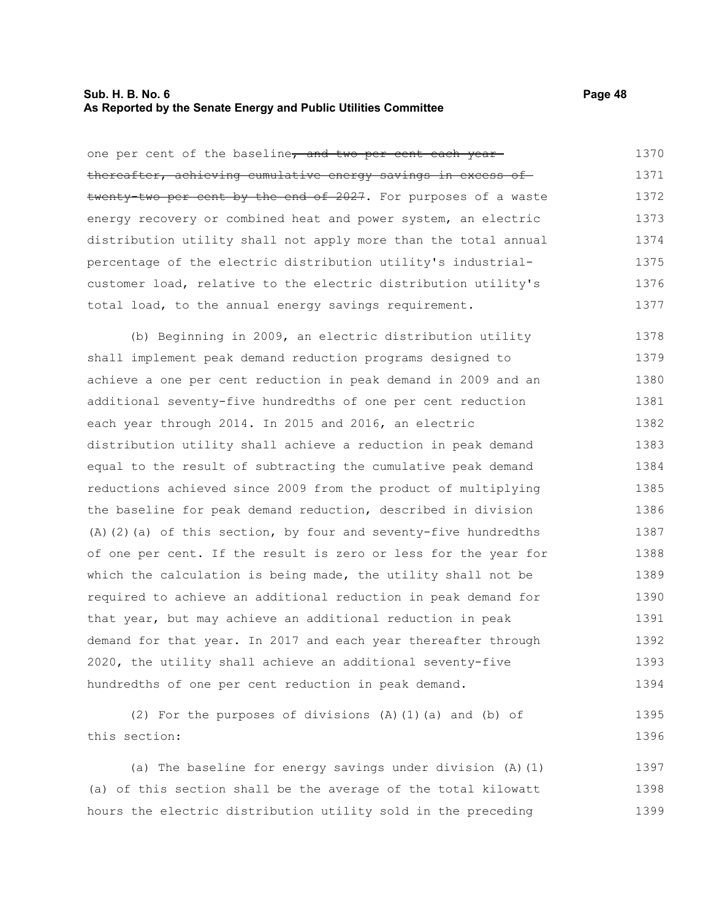### **Sub. H. B. No. 6 Page 48 As Reported by the Senate Energy and Public Utilities Committee**

one per cent of the baseline, and two per cent each yearthereafter, achieving cumulative energy savings in excess of twenty-two per cent by the end of 2027. For purposes of a waste energy recovery or combined heat and power system, an electric distribution utility shall not apply more than the total annual percentage of the electric distribution utility's industrialcustomer load, relative to the electric distribution utility's total load, to the annual energy savings requirement. 1370 1371 1372 1373 1374 1375 1376 1377

(b) Beginning in 2009, an electric distribution utility shall implement peak demand reduction programs designed to achieve a one per cent reduction in peak demand in 2009 and an additional seventy-five hundredths of one per cent reduction each year through 2014. In 2015 and 2016, an electric distribution utility shall achieve a reduction in peak demand equal to the result of subtracting the cumulative peak demand reductions achieved since 2009 from the product of multiplying the baseline for peak demand reduction, described in division (A)(2)(a) of this section, by four and seventy-five hundredths of one per cent. If the result is zero or less for the year for which the calculation is being made, the utility shall not be required to achieve an additional reduction in peak demand for that year, but may achieve an additional reduction in peak demand for that year. In 2017 and each year thereafter through 2020, the utility shall achieve an additional seventy-five hundredths of one per cent reduction in peak demand. 1378 1379 1380 1381 1382 1383 1384 1385 1386 1387 1388 1389 1390 1391 1392 1393 1394

(2) For the purposes of divisions (A)(1)(a) and (b) of this section: 1395 1396

(a) The baseline for energy savings under division (A)(1) (a) of this section shall be the average of the total kilowatt hours the electric distribution utility sold in the preceding 1397 1398 1399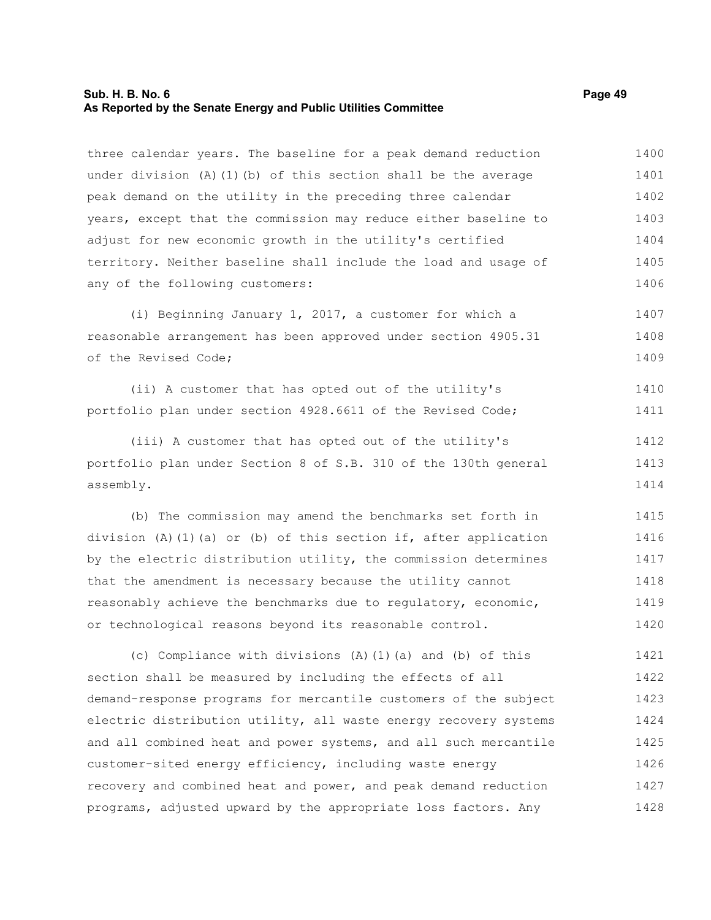### **Sub. H. B. No. 6 Page 49 As Reported by the Senate Energy and Public Utilities Committee**

three calendar years. The baseline for a peak demand reduction under division (A)(1)(b) of this section shall be the average peak demand on the utility in the preceding three calendar years, except that the commission may reduce either baseline to adjust for new economic growth in the utility's certified territory. Neither baseline shall include the load and usage of any of the following customers: 1400 1401 1402 1403 1404 1405 1406

(i) Beginning January 1, 2017, a customer for which a reasonable arrangement has been approved under section 4905.31 of the Revised Code; 1407 1408 1409

(ii) A customer that has opted out of the utility's portfolio plan under section 4928.6611 of the Revised Code; 1410 1411

(iii) A customer that has opted out of the utility's portfolio plan under Section 8 of S.B. 310 of the 130th general assembly. 1412 1413 1414

(b) The commission may amend the benchmarks set forth in division (A)(1)(a) or (b) of this section if, after application by the electric distribution utility, the commission determines that the amendment is necessary because the utility cannot reasonably achieve the benchmarks due to regulatory, economic, or technological reasons beyond its reasonable control. 1415 1416 1417 1418 1419 1420

(c) Compliance with divisions (A)(1)(a) and (b) of this section shall be measured by including the effects of all demand-response programs for mercantile customers of the subject electric distribution utility, all waste energy recovery systems and all combined heat and power systems, and all such mercantile customer-sited energy efficiency, including waste energy recovery and combined heat and power, and peak demand reduction programs, adjusted upward by the appropriate loss factors. Any 1421 1422 1423 1424 1425 1426 1427 1428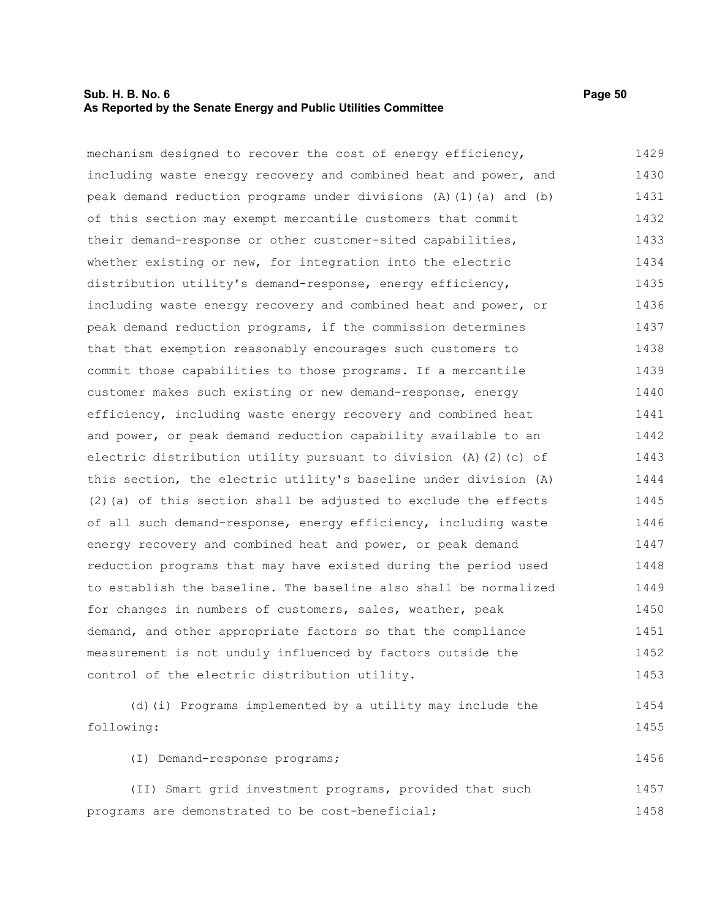## **Sub. H. B. No. 6 Page 50 As Reported by the Senate Energy and Public Utilities Committee**

| mechanism designed to recover the cost of energy efficiency,       | 1429 |
|--------------------------------------------------------------------|------|
| including waste energy recovery and combined heat and power, and   | 1430 |
| peak demand reduction programs under divisions (A) (1) (a) and (b) | 1431 |
| of this section may exempt mercantile customers that commit        | 1432 |
| their demand-response or other customer-sited capabilities,        | 1433 |
| whether existing or new, for integration into the electric         | 1434 |
| distribution utility's demand-response, energy efficiency,         | 1435 |
| including waste energy recovery and combined heat and power, or    | 1436 |
| peak demand reduction programs, if the commission determines       | 1437 |
| that that exemption reasonably encourages such customers to        | 1438 |
| commit those capabilities to those programs. If a mercantile       | 1439 |
| customer makes such existing or new demand-response, energy        | 1440 |
| efficiency, including waste energy recovery and combined heat      | 1441 |
| and power, or peak demand reduction capability available to an     | 1442 |
| electric distribution utility pursuant to division (A)(2)(c) of    | 1443 |
| this section, the electric utility's baseline under division (A)   | 1444 |
| (2) (a) of this section shall be adjusted to exclude the effects   | 1445 |
| of all such demand-response, energy efficiency, including waste    | 1446 |
| energy recovery and combined heat and power, or peak demand        | 1447 |
| reduction programs that may have existed during the period used    | 1448 |
| to establish the baseline. The baseline also shall be normalized   | 1449 |
| for changes in numbers of customers, sales, weather, peak          | 1450 |
| demand, and other appropriate factors so that the compliance       | 1451 |
| measurement is not unduly influenced by factors outside the        | 1452 |
| control of the electric distribution utility.                      | 1453 |
| (d) (i) Programs implemented by a utility may include the          | 1454 |
| following:                                                         | 1455 |
|                                                                    |      |

(I) Demand-response programs; 1456

(II) Smart grid investment programs, provided that such programs are demonstrated to be cost-beneficial; 1457 1458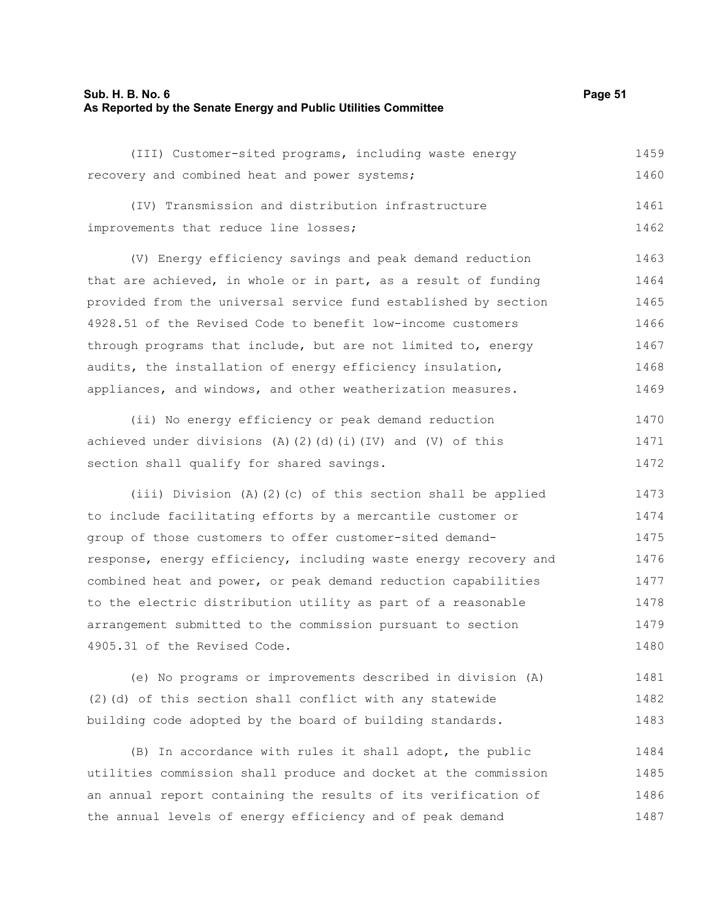#### **Sub. H. B. No. 6 Page 51 As Reported by the Senate Energy and Public Utilities Committee**

| (III) Customer-sited programs, including waste energy           | 1459 |
|-----------------------------------------------------------------|------|
| recovery and combined heat and power systems;                   | 1460 |
| (IV) Transmission and distribution infrastructure               | 1461 |
| improvements that reduce line losses;                           | 1462 |
| (V) Energy efficiency savings and peak demand reduction         | 1463 |
| that are achieved, in whole or in part, as a result of funding  | 1464 |
| provided from the universal service fund established by section | 1465 |
| 4928.51 of the Revised Code to benefit low-income customers     | 1466 |
| through programs that include, but are not limited to, energy   | 1467 |
| audits, the installation of energy efficiency insulation,       | 1468 |
| appliances, and windows, and other weatherization measures.     | 1469 |
|                                                                 |      |

(ii) No energy efficiency or peak demand reduction achieved under divisions (A)(2)(d)(i)(IV) and (V) of this section shall qualify for shared savings. 1470 1471 1472

(iii) Division (A)(2)(c) of this section shall be applied to include facilitating efforts by a mercantile customer or group of those customers to offer customer-sited demandresponse, energy efficiency, including waste energy recovery and combined heat and power, or peak demand reduction capabilities to the electric distribution utility as part of a reasonable arrangement submitted to the commission pursuant to section 4905.31 of the Revised Code. 1473 1474 1475 1476 1477 1478 1479 1480

(e) No programs or improvements described in division (A) (2)(d) of this section shall conflict with any statewide building code adopted by the board of building standards. 1481 1482 1483

(B) In accordance with rules it shall adopt, the public utilities commission shall produce and docket at the commission an annual report containing the results of its verification of the annual levels of energy efficiency and of peak demand 1484 1485 1486 1487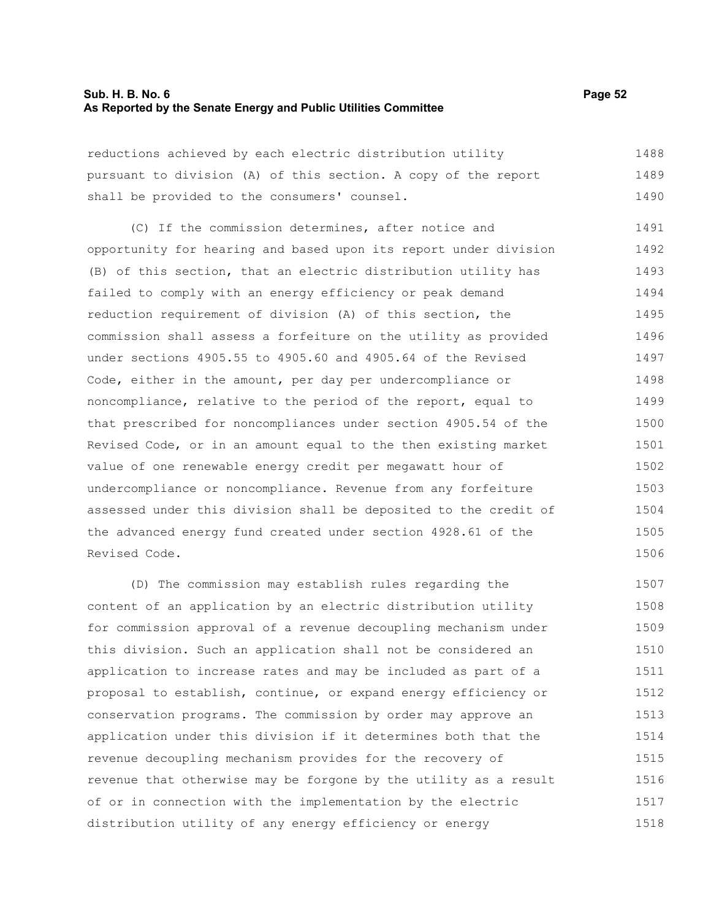### **Sub. H. B. No. 6 Page 52 As Reported by the Senate Energy and Public Utilities Committee**

reductions achieved by each electric distribution utility pursuant to division (A) of this section. A copy of the report shall be provided to the consumers' counsel. 1488 1489 1490

(C) If the commission determines, after notice and opportunity for hearing and based upon its report under division (B) of this section, that an electric distribution utility has failed to comply with an energy efficiency or peak demand reduction requirement of division (A) of this section, the commission shall assess a forfeiture on the utility as provided under sections 4905.55 to 4905.60 and 4905.64 of the Revised Code, either in the amount, per day per undercompliance or noncompliance, relative to the period of the report, equal to that prescribed for noncompliances under section 4905.54 of the Revised Code, or in an amount equal to the then existing market value of one renewable energy credit per megawatt hour of undercompliance or noncompliance. Revenue from any forfeiture assessed under this division shall be deposited to the credit of the advanced energy fund created under section 4928.61 of the Revised Code. 1491 1492 1493 1494 1495 1496 1497 1498 1499 1500 1501 1502 1503 1504 1505 1506

(D) The commission may establish rules regarding the content of an application by an electric distribution utility for commission approval of a revenue decoupling mechanism under this division. Such an application shall not be considered an application to increase rates and may be included as part of a proposal to establish, continue, or expand energy efficiency or conservation programs. The commission by order may approve an application under this division if it determines both that the revenue decoupling mechanism provides for the recovery of revenue that otherwise may be forgone by the utility as a result of or in connection with the implementation by the electric distribution utility of any energy efficiency or energy 1507 1508 1509 1510 1511 1512 1513 1514 1515 1516 1517 1518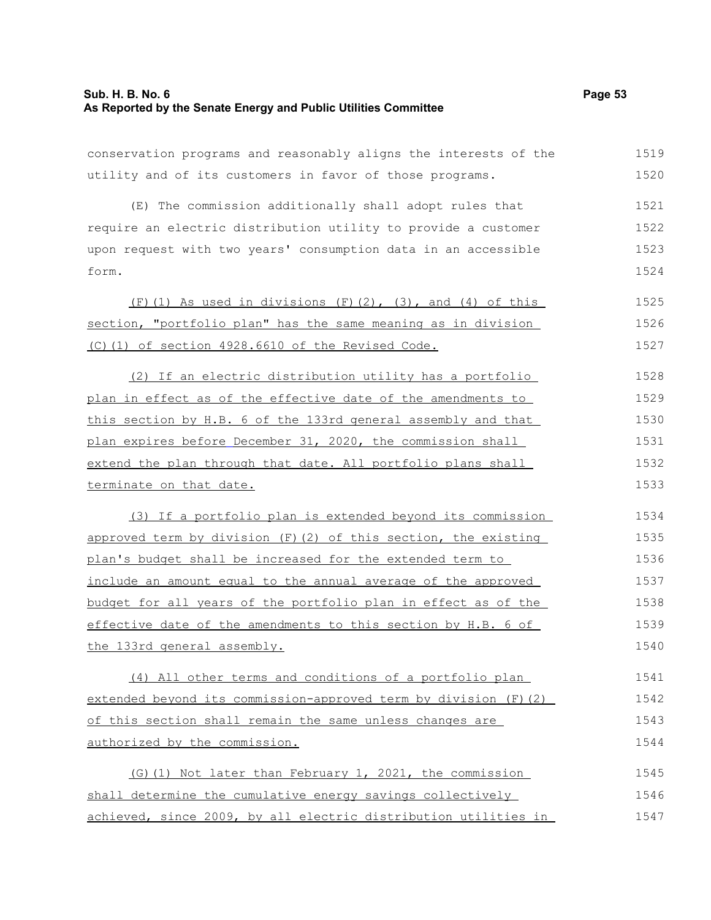| conservation programs and reasonably aligns the interests of the | 1519 |
|------------------------------------------------------------------|------|
| utility and of its customers in favor of those programs.         | 1520 |
| (E) The commission additionally shall adopt rules that           | 1521 |
| require an electric distribution utility to provide a customer   | 1522 |
| upon request with two years' consumption data in an accessible   | 1523 |
| form.                                                            | 1524 |
| $(F)$ (1) As used in divisions $(F)$ (2), (3), and (4) of this   | 1525 |
| section, "portfolio plan" has the same meaning as in division    | 1526 |
| (C)(1) of section 4928.6610 of the Revised Code.                 | 1527 |
| (2) If an electric distribution utility has a portfolio          | 1528 |
| plan in effect as of the effective date of the amendments to     | 1529 |
| this section by H.B. 6 of the 133rd general assembly and that    | 1530 |
| plan expires before December 31, 2020, the commission shall      | 1531 |
| extend the plan through that date. All portfolio plans shall     | 1532 |
| terminate on that date.                                          | 1533 |
| (3) If a portfolio plan is extended beyond its commission        | 1534 |
| approved term by division (F) (2) of this section, the existing  | 1535 |
| plan's budget shall be increased for the extended term to        | 1536 |
| include an amount equal to the annual average of the approved    | 1537 |
| budget for all years of the portfolio plan in effect as of the   | 1538 |
| effective date of the amendments to this section by H.B. 6 of    | 1539 |
| the 133rd general assembly.                                      | 1540 |
| (4) All other terms and conditions of a portfolio plan           | 1541 |
| extended beyond its commission-approved term by division (F)(2)  | 1542 |
| of this section shall remain the same unless changes are         | 1543 |
| authorized by the commission.                                    | 1544 |
| (G) (1) Not later than February 1, 2021, the commission          | 1545 |
| shall determine the cumulative energy savings collectively       | 1546 |
| achieved, since 2009, by all electric distribution utilities in  | 1547 |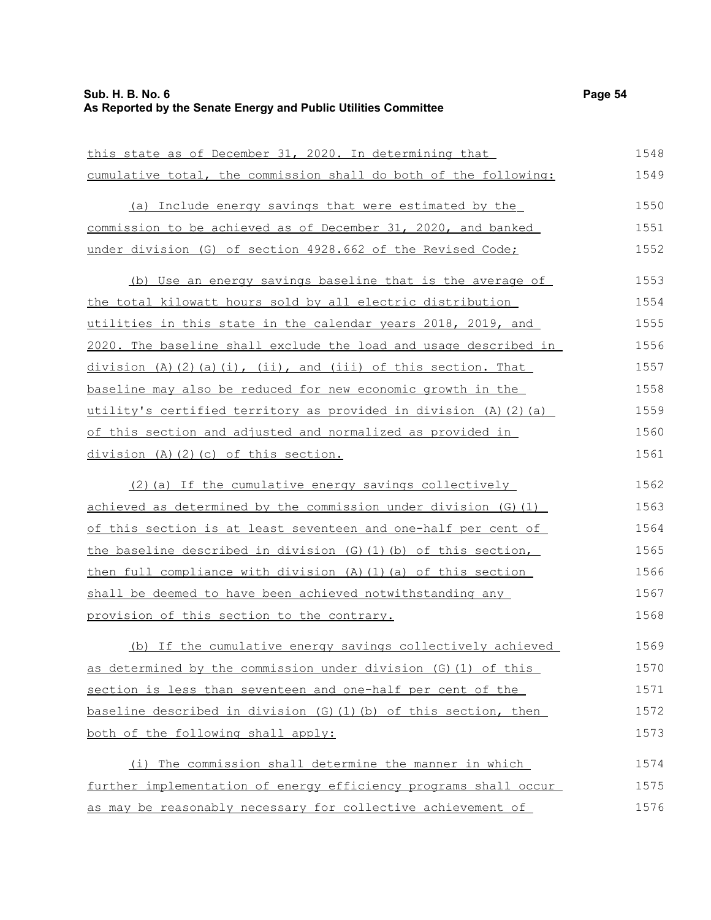| this state as of December 31, 2020. In determining that              | 1548 |
|----------------------------------------------------------------------|------|
| cumulative total, the commission shall do both of the following:     | 1549 |
| (a) Include energy savings that were estimated by the                | 1550 |
| commission to be achieved as of December 31, 2020, and banked        | 1551 |
| under division (G) of section 4928.662 of the Revised Code;          | 1552 |
| (b) Use an energy savings baseline that is the average of            | 1553 |
| the total kilowatt hours sold by all electric distribution           | 1554 |
| utilities in this state in the calendar years 2018, 2019, and        | 1555 |
| 2020. The baseline shall exclude the load and usage described in     | 1556 |
| division (A)(2)(a)(i), (ii), and (iii) of this section. That         | 1557 |
| baseline may also be reduced for new economic growth in the          | 1558 |
| utility's certified territory as provided in division (A)(2)(a)      | 1559 |
| of this section and adjusted and normalized as provided in           | 1560 |
| division (A)(2)(c) of this section.                                  | 1561 |
| (2) (a) If the cumulative energy savings collectively                | 1562 |
| achieved as determined by the commission under division (G) (1)      | 1563 |
| of this section is at least seventeen and one-half per cent of       | 1564 |
| the baseline described in division (G) (1) (b) of this section,      | 1565 |
| then full compliance with division $(A)$ $(1)$ $(a)$ of this section | 1566 |
| shall be deemed to have been achieved notwithstanding any            | 1567 |
| provision of this section to the contrary.                           | 1568 |
| (b) If the cumulative energy savings collectively achieved           | 1569 |
| as determined by the commission under division (G) (1) of this       | 1570 |
| section is less than seventeen and one-half per cent of the          | 1571 |
| baseline described in division (G) (1) (b) of this section, then     | 1572 |
| both of the following shall apply:                                   | 1573 |
| (i) The commission shall determine the manner in which               | 1574 |
| further implementation of energy efficiency programs shall occur     | 1575 |
| as may be reasonably necessary for collective achievement of         | 1576 |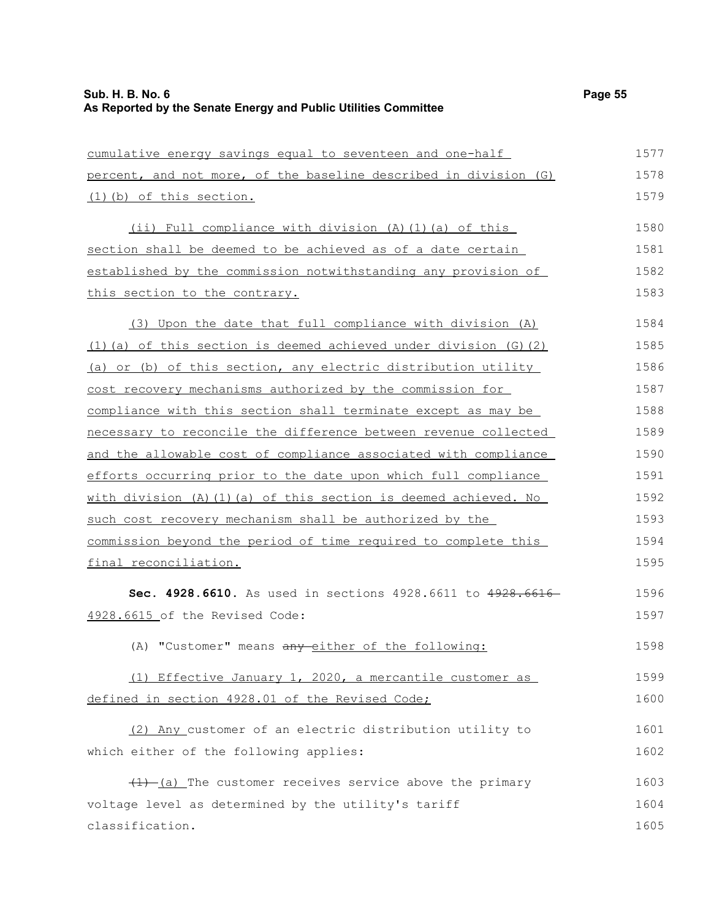| cumulative energy savings equal to seventeen and one-half         | 1577 |
|-------------------------------------------------------------------|------|
| percent, and not more, of the baseline described in division (G)  | 1578 |
| (1) (b) of this section.                                          | 1579 |
| (ii) Full compliance with division (A)(1)(a) of this              | 1580 |
| section shall be deemed to be achieved as of a date certain       | 1581 |
| established by the commission notwithstanding any provision of    | 1582 |
| this section to the contrary.                                     | 1583 |
| (3) Upon the date that full compliance with division (A)          | 1584 |
| (1) (a) of this section is deemed achieved under division (G) (2) | 1585 |
| (a) or (b) of this section, any electric distribution utility     | 1586 |
| cost recovery mechanisms authorized by the commission for         | 1587 |
| compliance with this section shall terminate except as may be     | 1588 |
| necessary to reconcile the difference between revenue collected   | 1589 |
| and the allowable cost of compliance associated with compliance   | 1590 |
| efforts occurring prior to the date upon which full compliance    | 1591 |
| with division (A) (1) (a) of this section is deemed achieved. No  | 1592 |
| such cost recovery mechanism shall be authorized by the           | 1593 |
| commission beyond the period of time required to complete this    | 1594 |
| final reconciliation.                                             | 1595 |
| Sec. 4928.6610. As used in sections 4928.6611 to 4928.66          | 1596 |
| 4928.6615 of the Revised Code:                                    | 1597 |
| (A) "Customer" means any either of the following:                 | 1598 |
| (1) Effective January 1, 2020, a mercantile customer as           | 1599 |
| defined in section 4928.01 of the Revised Code;                   | 1600 |
| (2) Any customer of an electric distribution utility to           | 1601 |
| which either of the following applies:                            | 1602 |
| $(1)$ $(a)$ The customer receives service above the primary       | 1603 |
| voltage level as determined by the utility's tariff               | 1604 |
| classification.                                                   | 1605 |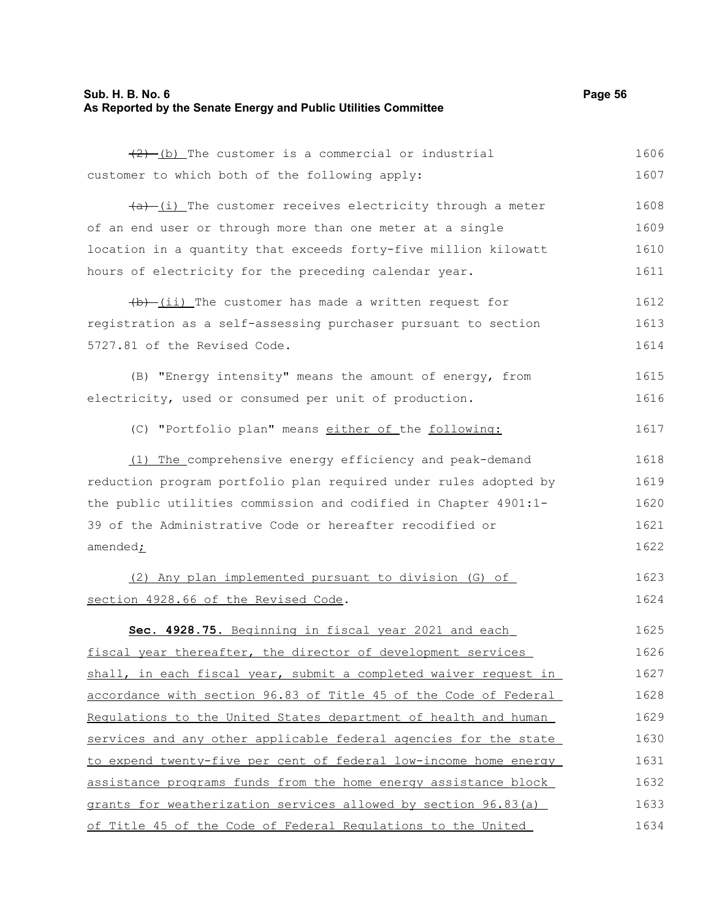## **Sub. H. B. No. 6 Page 56 As Reported by the Senate Energy and Public Utilities Committee**

| $(2)$ (b) The customer is a commercial or industrial             | 1606 |
|------------------------------------------------------------------|------|
| customer to which both of the following apply:                   | 1607 |
| $(a)$ (i) The customer receives electricity through a meter      | 1608 |
| of an end user or through more than one meter at a single        | 1609 |
| location in a quantity that exceeds forty-five million kilowatt  | 1610 |
| hours of electricity for the preceding calendar year.            | 1611 |
| $\frac{1}{b}$ (ii) The customer has made a written request for   | 1612 |
| registration as a self-assessing purchaser pursuant to section   | 1613 |
| 5727.81 of the Revised Code.                                     | 1614 |
| (B) "Energy intensity" means the amount of energy, from          | 1615 |
| electricity, used or consumed per unit of production.            | 1616 |
| (C) "Portfolio plan" means either of the following:              | 1617 |
| (1) The comprehensive energy efficiency and peak-demand          | 1618 |
| reduction program portfolio plan required under rules adopted by | 1619 |
| the public utilities commission and codified in Chapter 4901:1-  | 1620 |
| 39 of the Administrative Code or hereafter recodified or         | 1621 |
| amended <sub>i</sub>                                             | 1622 |
| (2) Any plan implemented pursuant to division (G) of             | 1623 |
| section 4928.66 of the Revised Code.                             | 1624 |
| Sec. 4928.75. Beginning in fiscal year 2021 and each             | 1625 |
| fiscal year thereafter, the director of development services     | 1626 |
| shall, in each fiscal year, submit a completed waiver request in | 1627 |
| accordance with section 96.83 of Title 45 of the Code of Federal | 1628 |
| Regulations to the United States department of health and human  | 1629 |
| services and any other applicable federal agencies for the state | 1630 |
| to expend twenty-five per cent of federal low-income home energy | 1631 |
| assistance programs funds from the home energy assistance block  | 1632 |
| grants for weatherization services allowed by section 96.83(a)   | 1633 |
| of Title 45 of the Code of Federal Regulations to the United     | 1634 |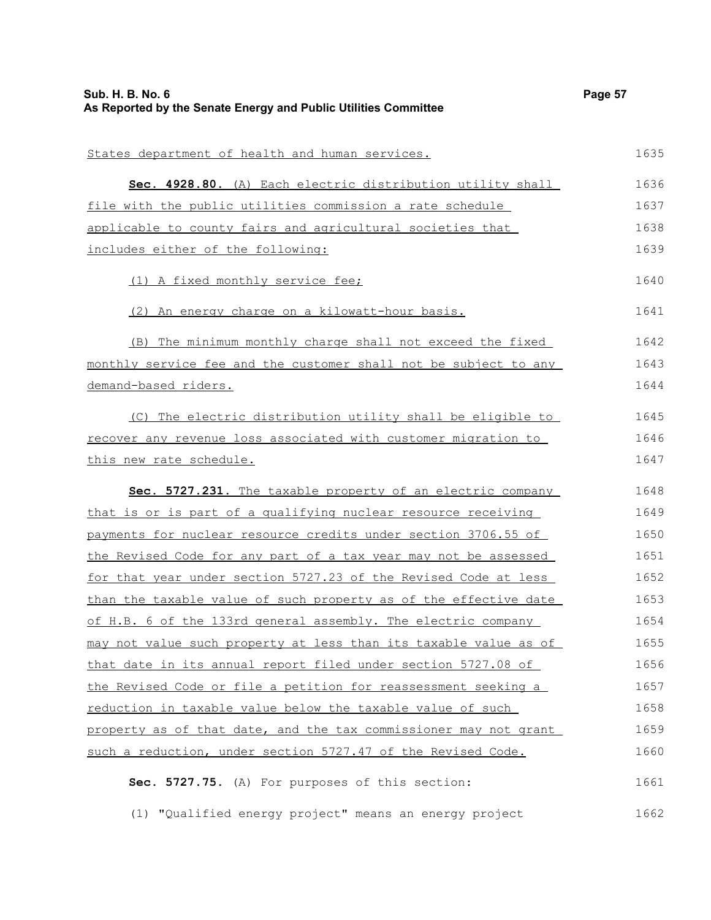| <b>Sub. H. B. No. 6</b><br>As Reported by the Senate Energy and Public Utilities Committee | Page 57 |
|--------------------------------------------------------------------------------------------|---------|
| States department of health and human services.                                            | 1635    |
| Sec. 4928.80. (A) Each electric distribution utility shall                                 | 1636    |
| file with the public utilities commission a rate schedule                                  | 1637    |
| applicable to county fairs and agricultural societies that                                 | 1638    |
| includes either of the following:                                                          | 1639    |
| (1) A fixed monthly service fee;                                                           | 1640    |
| (2) An energy charge on a kilowatt-hour basis.                                             | 1641    |
| The minimum monthly charge shall not exceed the fixed<br>(B)                               | 1642    |
| monthly service fee and the customer shall not be subject to any                           | 1643    |
| demand-based riders.                                                                       | 1644    |
| (C) The electric distribution utility shall be eligible to                                 | 1645    |
| recover any revenue loss associated with customer migration to                             | 1646    |
| this new rate schedule.                                                                    | 1647    |
| Sec. 5727.231. The taxable property of an electric company                                 | 1648    |
| that is or is part of a qualifying nuclear resource receiving                              | 1649    |
| payments for nuclear resource credits under section 3706.55 of                             | 1650    |
| the Revised Code for any part of a tax year may not be assessed                            | 1651    |
| for that year under section 5727.23 of the Revised Code at less                            | 1652    |
| than the taxable value of such property as of the effective date                           | 1653    |
| of H.B. 6 of the 133rd general assembly. The electric company                              | 1654    |
| may not value such property at less than its taxable value as of                           | 1655    |
| that date in its annual report filed under section 5727.08 of                              | 1656    |
| the Revised Code or file a petition for reassessment seeking a                             | 1657    |
| reduction in taxable value below the taxable value of such                                 | 1658    |
| property as of that date, and the tax commissioner may not grant                           | 1659    |
| such a reduction, under section 5727.47 of the Revised Code.                               | 1660    |
| Sec. 5727.75. (A) For purposes of this section:                                            | 1661    |
|                                                                                            |         |

(1) "Qualified energy project" means an energy project 1662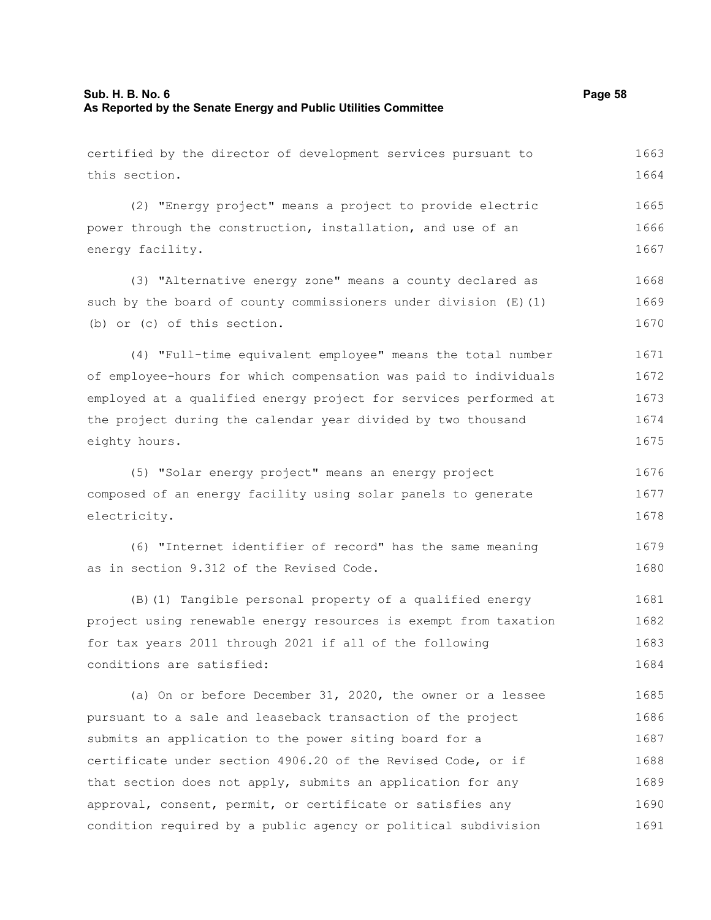| certified by the director of development services pursuant to    | 1663 |
|------------------------------------------------------------------|------|
| this section.                                                    | 1664 |
| (2) "Energy project" means a project to provide electric         | 1665 |
| power through the construction, installation, and use of an      | 1666 |
| energy facility.                                                 | 1667 |
| (3) "Alternative energy zone" means a county declared as         | 1668 |
| such by the board of county commissioners under division (E) (1) | 1669 |
| (b) or (c) of this section.                                      | 1670 |
| (4) "Full-time equivalent employee" means the total number       | 1671 |
| of employee-hours for which compensation was paid to individuals | 1672 |
| employed at a qualified energy project for services performed at | 1673 |
| the project during the calendar year divided by two thousand     | 1674 |
| eighty hours.                                                    | 1675 |
| (5) "Solar energy project" means an energy project               | 1676 |
| composed of an energy facility using solar panels to generate    | 1677 |
| electricity.                                                     | 1678 |
| (6) "Internet identifier of record" has the same meaning         | 1679 |
| as in section 9.312 of the Revised Code.                         | 1680 |
| (B) (1) Tangible personal property of a qualified energy         | 1681 |
| project using renewable energy resources is exempt from taxation | 1682 |

for tax years 2011 through 2021 if all of the following conditions are satisfied: 1683 1684

(a) On or before December 31, 2020, the owner or a lessee pursuant to a sale and leaseback transaction of the project submits an application to the power siting board for a certificate under section 4906.20 of the Revised Code, or if that section does not apply, submits an application for any approval, consent, permit, or certificate or satisfies any condition required by a public agency or political subdivision 1685 1686 1687 1688 1689 1690 1691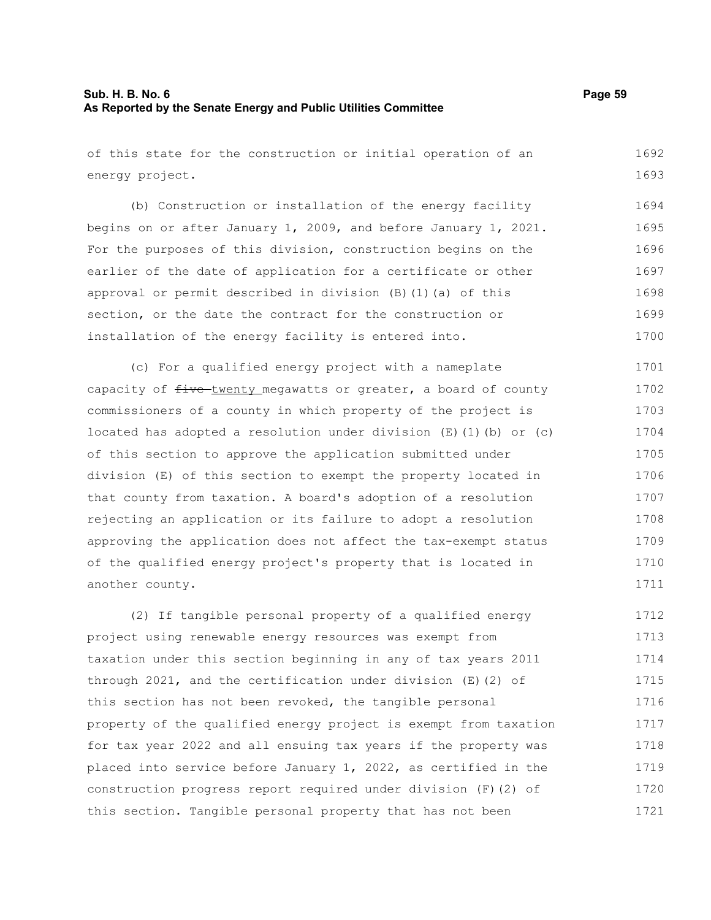of this state for the construction or initial operation of an energy project. (b) Construction or installation of the energy facility begins on or after January 1, 2009, and before January 1, 2021. For the purposes of this division, construction begins on the earlier of the date of application for a certificate or other approval or permit described in division (B)(1)(a) of this section, or the date the contract for the construction or installation of the energy facility is entered into. (c) For a qualified energy project with a nameplate capacity of  $f$ ive-twenty megawatts or greater, a board of county commissioners of a county in which property of the project is located has adopted a resolution under division  $(E)$  (1)(b) or (c) of this section to approve the application submitted under division (E) of this section to exempt the property located in that county from taxation. A board's adoption of a resolution rejecting an application or its failure to adopt a resolution approving the application does not affect the tax-exempt status of the qualified energy project's property that is located in another county. (2) If tangible personal property of a qualified energy project using renewable energy resources was exempt from taxation under this section beginning in any of tax years 2011 1692 1693 1694 1695 1696 1697 1698 1699 1700 1701 1702 1703 1704 1705 1706 1707 1708 1709 1710 1711 1712 1713 1714

through 2021, and the certification under division (E)(2) of this section has not been revoked, the tangible personal property of the qualified energy project is exempt from taxation for tax year 2022 and all ensuing tax years if the property was placed into service before January 1, 2022, as certified in the construction progress report required under division (F)(2) of this section. Tangible personal property that has not been 1715 1716 1717 1718 1719 1720 1721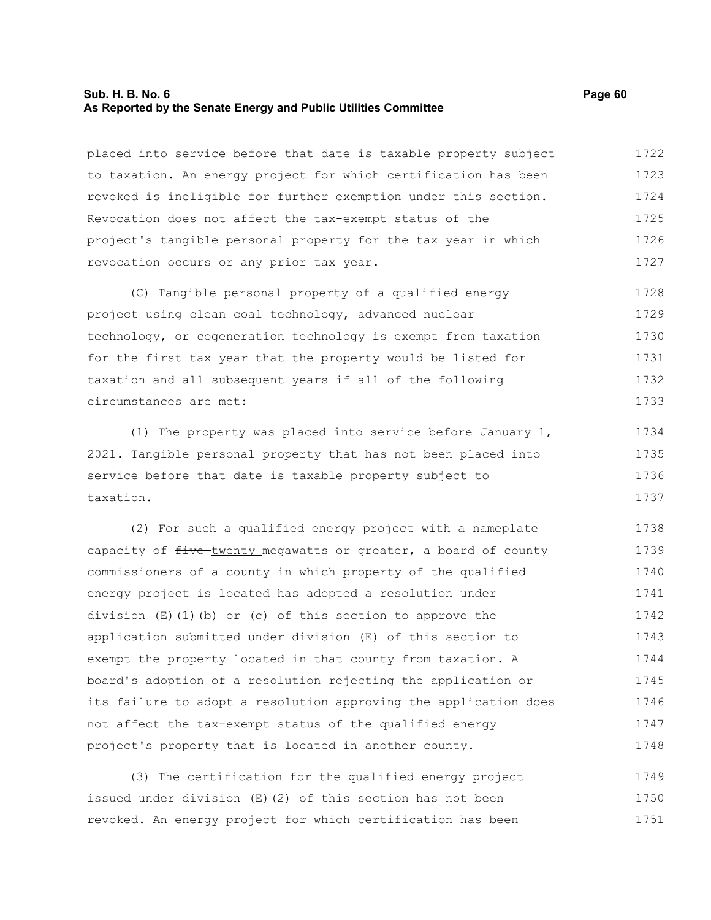#### **Sub. H. B. No. 6 Page 60 As Reported by the Senate Energy and Public Utilities Committee**

placed into service before that date is taxable property subject to taxation. An energy project for which certification has been revoked is ineligible for further exemption under this section. Revocation does not affect the tax-exempt status of the project's tangible personal property for the tax year in which revocation occurs or any prior tax year. 1722 1723 1724 1725 1726 1727

(C) Tangible personal property of a qualified energy project using clean coal technology, advanced nuclear technology, or cogeneration technology is exempt from taxation for the first tax year that the property would be listed for taxation and all subsequent years if all of the following circumstances are met: 1728 1729 1730 1731 1732 1733

(1) The property was placed into service before January 1, 2021. Tangible personal property that has not been placed into service before that date is taxable property subject to taxation. 1734 1735 1736 1737

(2) For such a qualified energy project with a nameplate capacity of  $f$ ive-twenty megawatts or greater, a board of county commissioners of a county in which property of the qualified energy project is located has adopted a resolution under division  $(E)(1)(b)$  or (c) of this section to approve the application submitted under division (E) of this section to exempt the property located in that county from taxation. A board's adoption of a resolution rejecting the application or its failure to adopt a resolution approving the application does not affect the tax-exempt status of the qualified energy project's property that is located in another county. 1738 1739 1740 1741 1742 1743 1744 1745 1746 1747 1748

(3) The certification for the qualified energy project issued under division (E)(2) of this section has not been revoked. An energy project for which certification has been 1749 1750 1751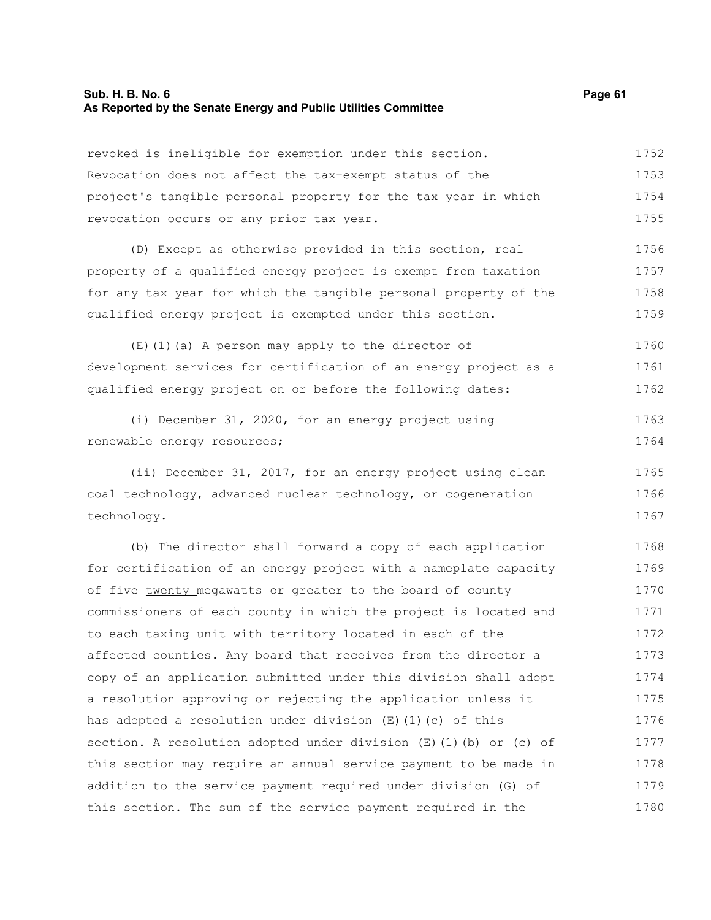| revoked is ineligible for exemption under this section.            | 1752 |
|--------------------------------------------------------------------|------|
| Revocation does not affect the tax-exempt status of the            | 1753 |
| project's tangible personal property for the tax year in which     | 1754 |
| revocation occurs or any prior tax year.                           | 1755 |
| (D) Except as otherwise provided in this section, real             | 1756 |
| property of a qualified energy project is exempt from taxation     | 1757 |
| for any tax year for which the tangible personal property of the   | 1758 |
| qualified energy project is exempted under this section.           | 1759 |
| $(E)$ (1) (a) A person may apply to the director of                | 1760 |
| development services for certification of an energy project as a   | 1761 |
| qualified energy project on or before the following dates:         | 1762 |
| (i) December 31, 2020, for an energy project using                 | 1763 |
| renewable energy resources;                                        | 1764 |
| (ii) December 31, 2017, for an energy project using clean          | 1765 |
| coal technology, advanced nuclear technology, or cogeneration      | 1766 |
| technology.                                                        | 1767 |
| (b) The director shall forward a copy of each application          | 1768 |
| for certification of an energy project with a nameplate capacity   | 1769 |
| of five-twenty megawatts or greater to the board of county         | 1770 |
| commissioners of each county in which the project is located and   | 1771 |
| to each taxing unit with territory located in each of the          | 1772 |
| affected counties. Any board that receives from the director a     | 1773 |
| copy of an application submitted under this division shall adopt   | 1774 |
| a resolution approving or rejecting the application unless it      | 1775 |
| has adopted a resolution under division $(E) (1) (c)$ of this      | 1776 |
| section. A resolution adopted under division (E) (1) (b) or (c) of | 1777 |
| this section may require an annual service payment to be made in   | 1778 |
| addition to the service payment required under division (G) of     | 1779 |
| this section. The sum of the service payment required in the       | 1780 |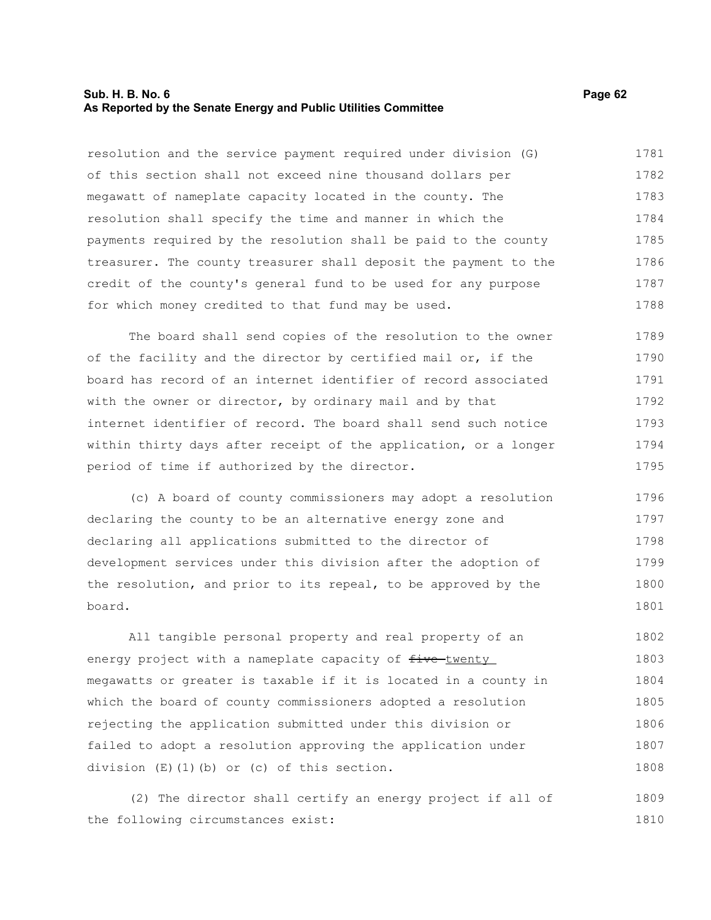#### **Sub. H. B. No. 6 Page 62 As Reported by the Senate Energy and Public Utilities Committee**

resolution and the service payment required under division (G) of this section shall not exceed nine thousand dollars per megawatt of nameplate capacity located in the county. The resolution shall specify the time and manner in which the payments required by the resolution shall be paid to the county treasurer. The county treasurer shall deposit the payment to the credit of the county's general fund to be used for any purpose for which money credited to that fund may be used. 1781 1782 1783 1784 1785 1786 1787 1788

The board shall send copies of the resolution to the owner of the facility and the director by certified mail or, if the board has record of an internet identifier of record associated with the owner or director, by ordinary mail and by that internet identifier of record. The board shall send such notice within thirty days after receipt of the application, or a longer period of time if authorized by the director. 1789 1790 1791 1792 1793 1794 1795

(c) A board of county commissioners may adopt a resolution declaring the county to be an alternative energy zone and declaring all applications submitted to the director of development services under this division after the adoption of the resolution, and prior to its repeal, to be approved by the board. 1796 1797 1798 1799 1800 1801

All tangible personal property and real property of an energy project with a nameplate capacity of five-twenty megawatts or greater is taxable if it is located in a county in which the board of county commissioners adopted a resolution rejecting the application submitted under this division or failed to adopt a resolution approving the application under division (E)(1)(b) or (c) of this section. 1802 1803 1804 1805 1806 1807 1808

(2) The director shall certify an energy project if all of the following circumstances exist: 1809 1810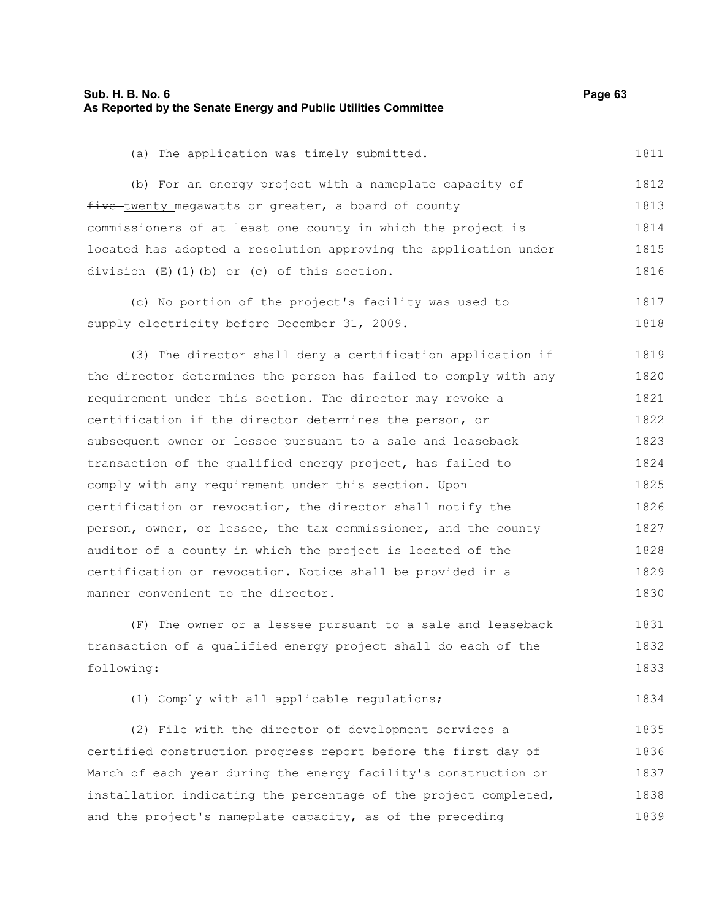| Sub. H. B. No. 6<br>As Reported by the Senate Energy and Public Utilities Committee | Page 63 |  |
|-------------------------------------------------------------------------------------|---------|--|
|                                                                                     |         |  |

1811

(a) The application was timely submitted.

(b) For an energy project with a nameplate capacity of five twenty megawatts or greater, a board of county commissioners of at least one county in which the project is located has adopted a resolution approving the application under division (E)(1)(b) or (c) of this section. 1812 1813 1814 1815 1816

(c) No portion of the project's facility was used to supply electricity before December 31, 2009. 1817 1818

(3) The director shall deny a certification application if the director determines the person has failed to comply with any requirement under this section. The director may revoke a certification if the director determines the person, or subsequent owner or lessee pursuant to a sale and leaseback transaction of the qualified energy project, has failed to comply with any requirement under this section. Upon certification or revocation, the director shall notify the person, owner, or lessee, the tax commissioner, and the county auditor of a county in which the project is located of the certification or revocation. Notice shall be provided in a manner convenient to the director. 1819 1820 1821 1822 1823 1824 1825 1826 1827 1828 1829 1830

(F) The owner or a lessee pursuant to a sale and leaseback transaction of a qualified energy project shall do each of the following: 1831 1832 1833

(1) Comply with all applicable regulations; 1834

(2) File with the director of development services a certified construction progress report before the first day of March of each year during the energy facility's construction or installation indicating the percentage of the project completed, and the project's nameplate capacity, as of the preceding 1835 1836 1837 1838 1839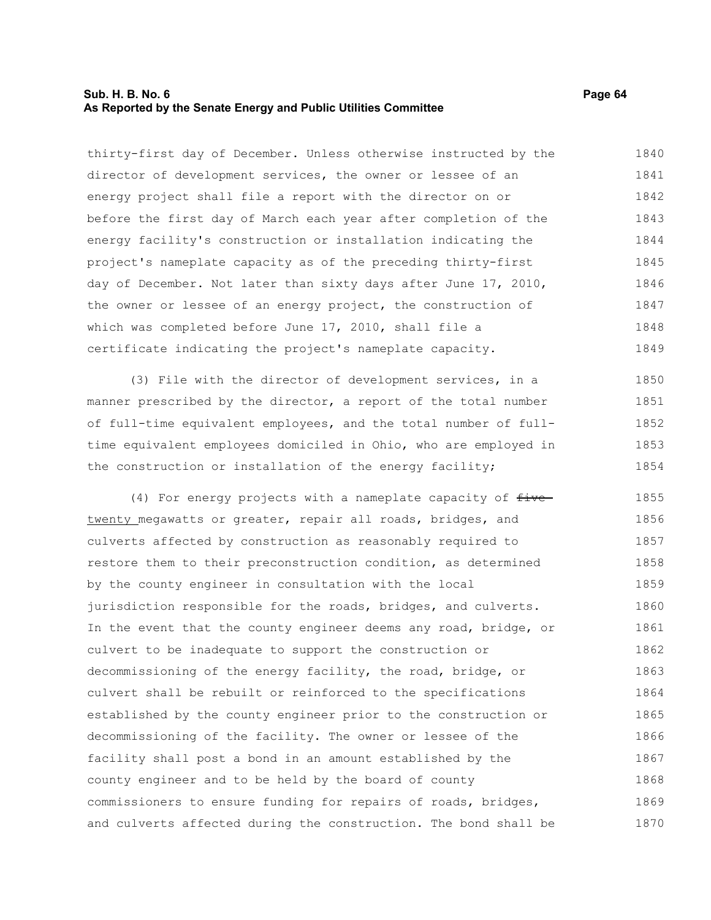### **Sub. H. B. No. 6 Page 64 As Reported by the Senate Energy and Public Utilities Committee**

thirty-first day of December. Unless otherwise instructed by the director of development services, the owner or lessee of an energy project shall file a report with the director on or before the first day of March each year after completion of the energy facility's construction or installation indicating the project's nameplate capacity as of the preceding thirty-first day of December. Not later than sixty days after June 17, 2010, the owner or lessee of an energy project, the construction of which was completed before June 17, 2010, shall file a certificate indicating the project's nameplate capacity. 1840 1841 1842 1843 1844 1845 1846 1847 1848 1849

(3) File with the director of development services, in a manner prescribed by the director, a report of the total number of full-time equivalent employees, and the total number of fulltime equivalent employees domiciled in Ohio, who are employed in the construction or installation of the energy facility; 1850 1851 1852 1853 1854

(4) For energy projects with a nameplate capacity of  $f$ ive twenty megawatts or greater, repair all roads, bridges, and culverts affected by construction as reasonably required to restore them to their preconstruction condition, as determined by the county engineer in consultation with the local jurisdiction responsible for the roads, bridges, and culverts. In the event that the county engineer deems any road, bridge, or culvert to be inadequate to support the construction or decommissioning of the energy facility, the road, bridge, or culvert shall be rebuilt or reinforced to the specifications established by the county engineer prior to the construction or decommissioning of the facility. The owner or lessee of the facility shall post a bond in an amount established by the county engineer and to be held by the board of county commissioners to ensure funding for repairs of roads, bridges, and culverts affected during the construction. The bond shall be 1855 1856 1857 1858 1859 1860 1861 1862 1863 1864 1865 1866 1867 1868 1869 1870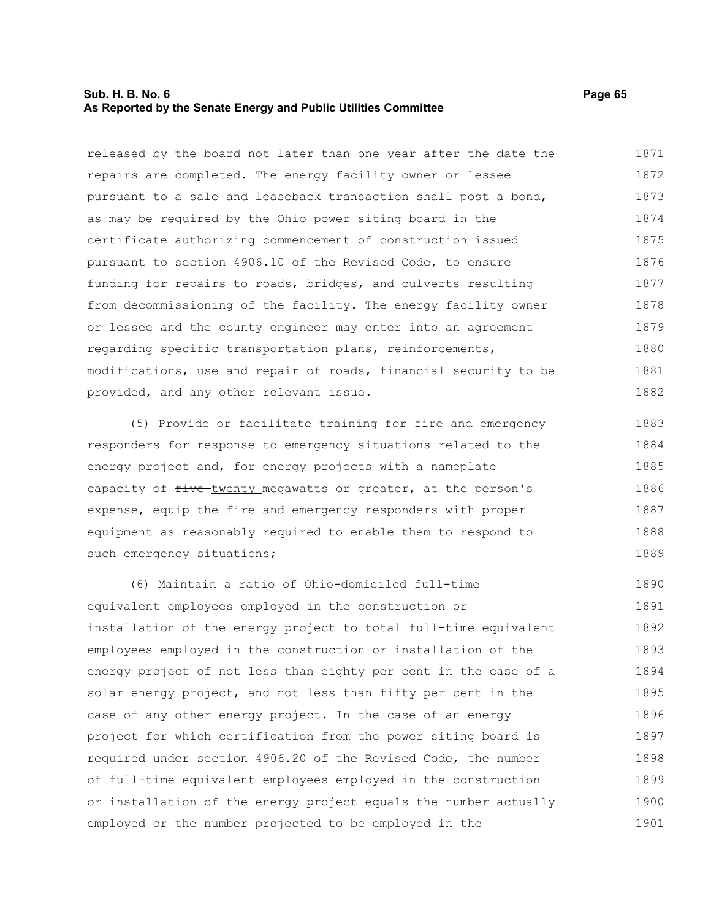### **Sub. H. B. No. 6 Page 65 As Reported by the Senate Energy and Public Utilities Committee**

released by the board not later than one year after the date the repairs are completed. The energy facility owner or lessee pursuant to a sale and leaseback transaction shall post a bond, as may be required by the Ohio power siting board in the certificate authorizing commencement of construction issued pursuant to section 4906.10 of the Revised Code, to ensure funding for repairs to roads, bridges, and culverts resulting from decommissioning of the facility. The energy facility owner or lessee and the county engineer may enter into an agreement regarding specific transportation plans, reinforcements, modifications, use and repair of roads, financial security to be provided, and any other relevant issue. 1871 1872 1873 1874 1875 1876 1877 1878 1879 1880 1881 1882

(5) Provide or facilitate training for fire and emergency responders for response to emergency situations related to the energy project and, for energy projects with a nameplate capacity of  $f$ ive twenty megawatts or greater, at the person's expense, equip the fire and emergency responders with proper equipment as reasonably required to enable them to respond to such emergency situations; 1883 1884 1885 1886 1887 1888 1889

(6) Maintain a ratio of Ohio-domiciled full-time equivalent employees employed in the construction or installation of the energy project to total full-time equivalent employees employed in the construction or installation of the energy project of not less than eighty per cent in the case of a solar energy project, and not less than fifty per cent in the case of any other energy project. In the case of an energy project for which certification from the power siting board is required under section 4906.20 of the Revised Code, the number of full-time equivalent employees employed in the construction or installation of the energy project equals the number actually employed or the number projected to be employed in the 1890 1891 1892 1893 1894 1895 1896 1897 1898 1899 1900 1901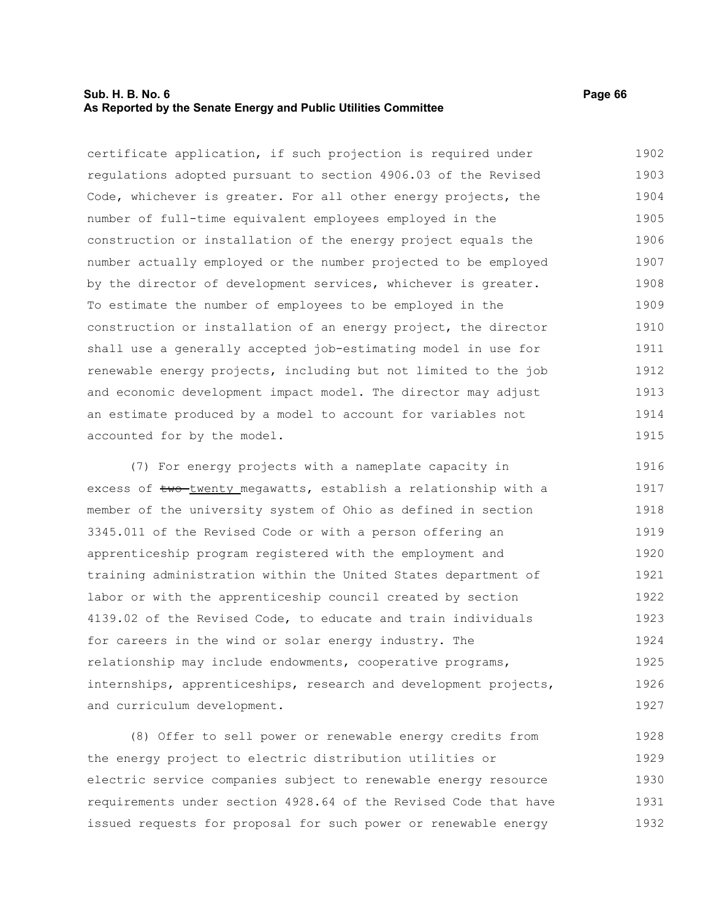### **Sub. H. B. No. 6 Page 66 As Reported by the Senate Energy and Public Utilities Committee**

certificate application, if such projection is required under regulations adopted pursuant to section 4906.03 of the Revised Code, whichever is greater. For all other energy projects, the number of full-time equivalent employees employed in the construction or installation of the energy project equals the number actually employed or the number projected to be employed by the director of development services, whichever is greater. To estimate the number of employees to be employed in the construction or installation of an energy project, the director shall use a generally accepted job-estimating model in use for renewable energy projects, including but not limited to the job and economic development impact model. The director may adjust an estimate produced by a model to account for variables not accounted for by the model. 1902 1903 1904 1905 1906 1907 1908 1909 1910 1911 1912 1913 1914 1915

(7) For energy projects with a nameplate capacity in excess of two twenty megawatts, establish a relationship with a member of the university system of Ohio as defined in section 3345.011 of the Revised Code or with a person offering an apprenticeship program registered with the employment and training administration within the United States department of labor or with the apprenticeship council created by section 4139.02 of the Revised Code, to educate and train individuals for careers in the wind or solar energy industry. The relationship may include endowments, cooperative programs, internships, apprenticeships, research and development projects, and curriculum development. 1916 1917 1918 1919 1920 1921 1922 1923 1924 1925 1926 1927

(8) Offer to sell power or renewable energy credits from the energy project to electric distribution utilities or electric service companies subject to renewable energy resource requirements under section 4928.64 of the Revised Code that have issued requests for proposal for such power or renewable energy 1928 1929 1930 1931 1932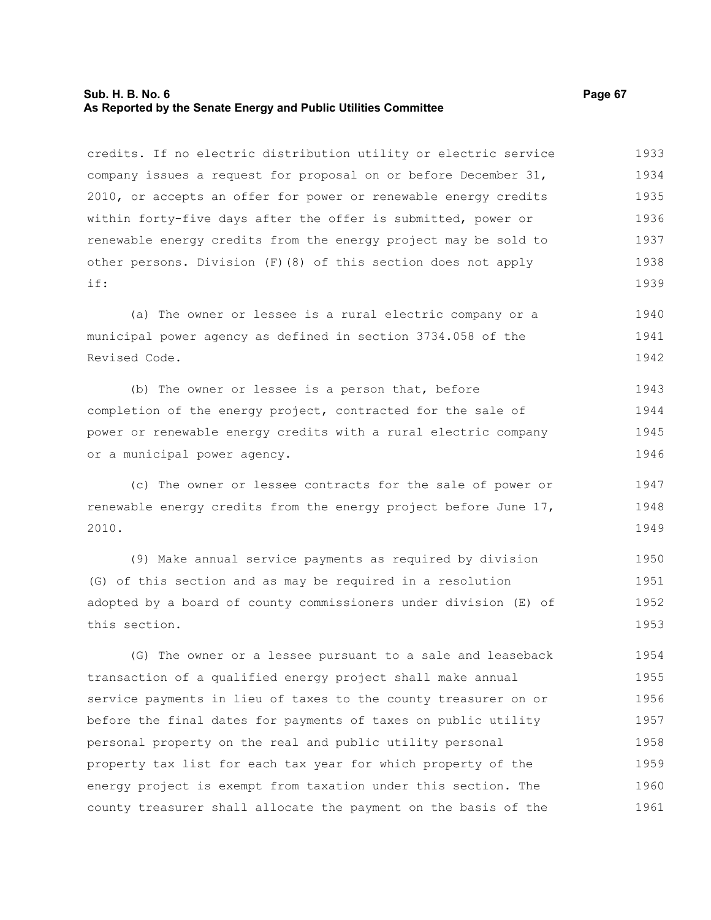### **Sub. H. B. No. 6 Page 67 As Reported by the Senate Energy and Public Utilities Committee**

credits. If no electric distribution utility or electric service company issues a request for proposal on or before December 31, 2010, or accepts an offer for power or renewable energy credits within forty-five days after the offer is submitted, power or renewable energy credits from the energy project may be sold to other persons. Division (F)(8) of this section does not apply if: 1933 1934 1935 1936 1937 1938 1939

(a) The owner or lessee is a rural electric company or a municipal power agency as defined in section 3734.058 of the Revised Code. 1940 1941 1942

(b) The owner or lessee is a person that, before completion of the energy project, contracted for the sale of power or renewable energy credits with a rural electric company or a municipal power agency. 1943 1944 1945 1946

(c) The owner or lessee contracts for the sale of power or renewable energy credits from the energy project before June 17, 2010. 1947 1948 1949

(9) Make annual service payments as required by division (G) of this section and as may be required in a resolution adopted by a board of county commissioners under division (E) of this section. 1950 1951 1952 1953

(G) The owner or a lessee pursuant to a sale and leaseback transaction of a qualified energy project shall make annual service payments in lieu of taxes to the county treasurer on or before the final dates for payments of taxes on public utility personal property on the real and public utility personal property tax list for each tax year for which property of the energy project is exempt from taxation under this section. The county treasurer shall allocate the payment on the basis of the 1954 1955 1956 1957 1958 1959 1960 1961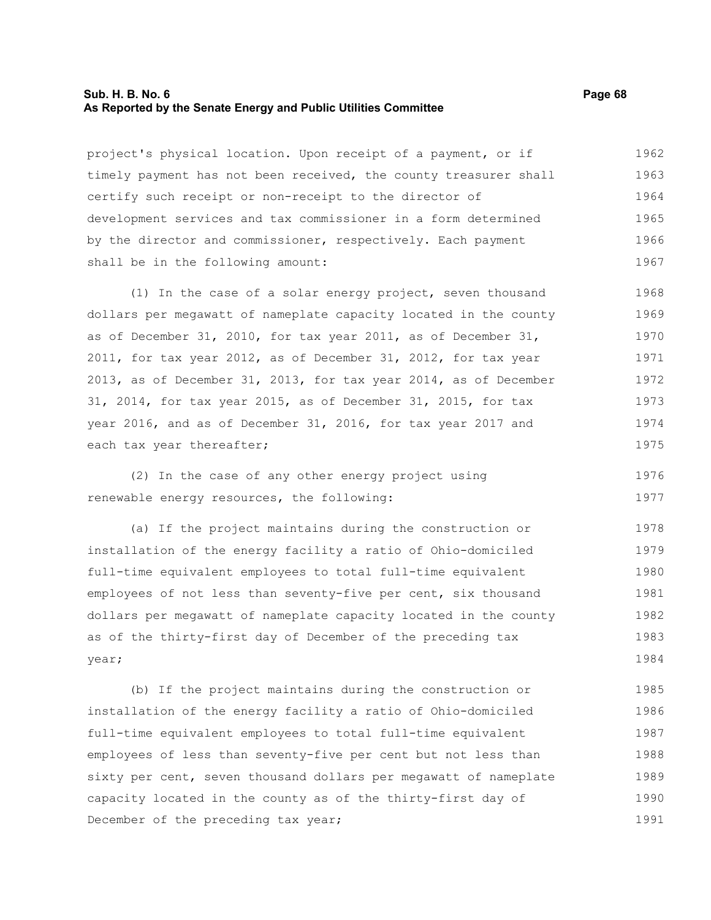#### **Sub. H. B. No. 6 Page 68 As Reported by the Senate Energy and Public Utilities Committee**

project's physical location. Upon receipt of a payment, or if timely payment has not been received, the county treasurer shall certify such receipt or non-receipt to the director of development services and tax commissioner in a form determined by the director and commissioner, respectively. Each payment shall be in the following amount: 1962 1963 1964 1965 1966 1967

(1) In the case of a solar energy project, seven thousand dollars per megawatt of nameplate capacity located in the county as of December 31, 2010, for tax year 2011, as of December 31, 2011, for tax year 2012, as of December 31, 2012, for tax year 2013, as of December 31, 2013, for tax year 2014, as of December 31, 2014, for tax year 2015, as of December 31, 2015, for tax year 2016, and as of December 31, 2016, for tax year 2017 and each tax year thereafter; 1968 1969 1970 1971 1972 1973 1974 1975

(2) In the case of any other energy project using renewable energy resources, the following: 1976

(a) If the project maintains during the construction or installation of the energy facility a ratio of Ohio-domiciled full-time equivalent employees to total full-time equivalent employees of not less than seventy-five per cent, six thousand dollars per megawatt of nameplate capacity located in the county as of the thirty-first day of December of the preceding tax year; 1978 1979 1980 1981 1982 1983 1984

(b) If the project maintains during the construction or installation of the energy facility a ratio of Ohio-domiciled full-time equivalent employees to total full-time equivalent employees of less than seventy-five per cent but not less than sixty per cent, seven thousand dollars per megawatt of nameplate capacity located in the county as of the thirty-first day of December of the preceding tax year; 1985 1986 1987 1988 1989 1990 1991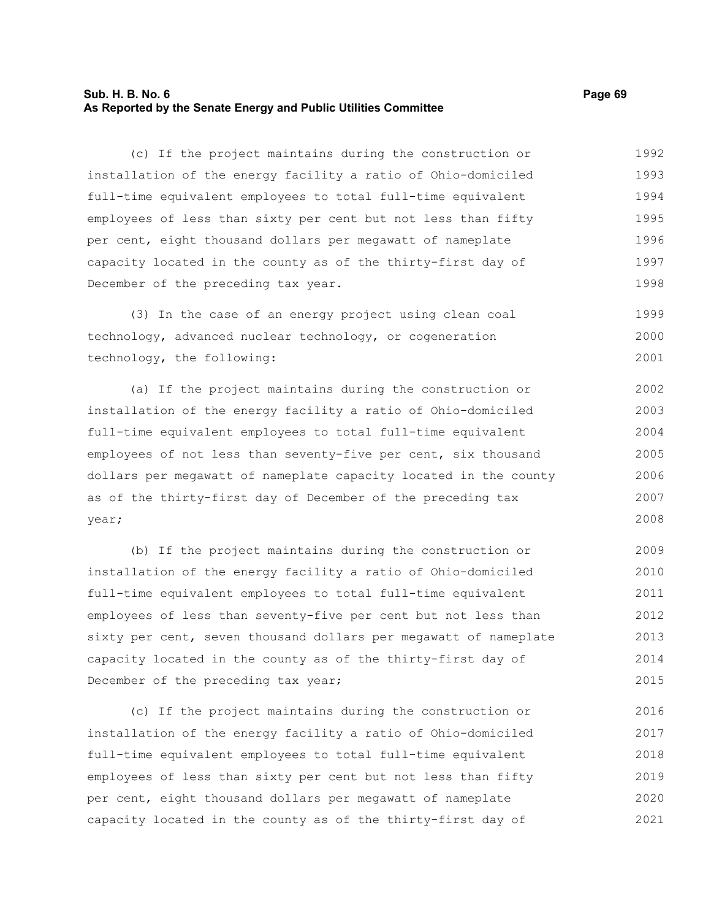### **Sub. H. B. No. 6 Page 69 As Reported by the Senate Energy and Public Utilities Committee**

(c) If the project maintains during the construction or installation of the energy facility a ratio of Ohio-domiciled full-time equivalent employees to total full-time equivalent employees of less than sixty per cent but not less than fifty per cent, eight thousand dollars per megawatt of nameplate capacity located in the county as of the thirty-first day of December of the preceding tax year. 1992 1993 1994 1995 1996 1997 1998

(3) In the case of an energy project using clean coal technology, advanced nuclear technology, or cogeneration technology, the following: 1999 2000 2001

(a) If the project maintains during the construction or installation of the energy facility a ratio of Ohio-domiciled full-time equivalent employees to total full-time equivalent employees of not less than seventy-five per cent, six thousand dollars per megawatt of nameplate capacity located in the county as of the thirty-first day of December of the preceding tax year; 2002 2003 2004 2005 2006 2007 2008

(b) If the project maintains during the construction or installation of the energy facility a ratio of Ohio-domiciled full-time equivalent employees to total full-time equivalent employees of less than seventy-five per cent but not less than sixty per cent, seven thousand dollars per megawatt of nameplate capacity located in the county as of the thirty-first day of December of the preceding tax year; 2009 2010 2011 2012 2013 2014 2015

(c) If the project maintains during the construction or installation of the energy facility a ratio of Ohio-domiciled full-time equivalent employees to total full-time equivalent employees of less than sixty per cent but not less than fifty per cent, eight thousand dollars per megawatt of nameplate capacity located in the county as of the thirty-first day of 2016 2017 2018 2019 2020 2021